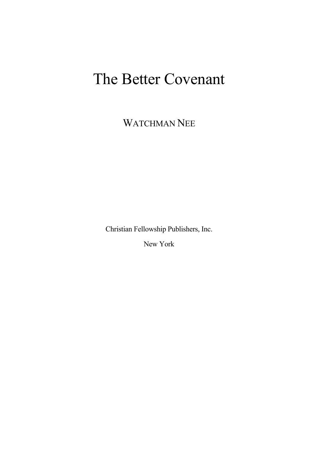# The Better Covenant

WATCHMAN NEE

Christian Fellowship Publishers, Inc.

New York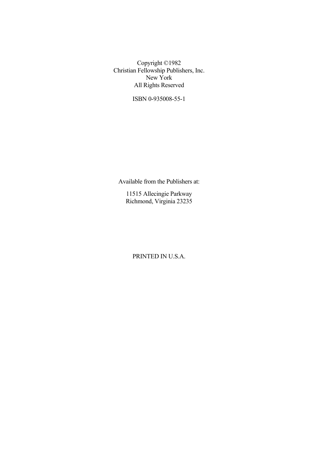Copyright ©1982 Christian Fellowship Publishers, Inc. New York All Rights Reserved

ISBN 0-935008-55-1

Available from the Publishers at:

11515 Allecingie Parkway Richmond, Virginia 23235

PRINTED IN U.S.A.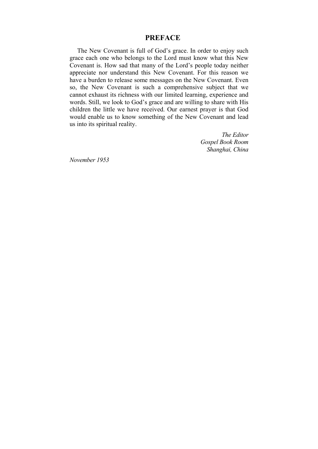### **PREFACE**

The New Covenant is full of God's grace. In order to enjoy such grace each one who belongs to the Lord must know what this New Covenant is. How sad that many of the Lord's people today neither appreciate nor understand this New Covenant. For this reason we have a burden to release some messages on the New Covenant. Even so, the New Covenant is such a comprehensive subject that we cannot exhaust its richness with our limited learning, experience and words. Still, we look to God's grace and are willing to share with His children the little we have received. Our earnest prayer is that God would enable us to know something of the New Covenant and lead us into its spiritual reality.

> *The Editor Gospel Book Room Shanghai, China*

*November 1953*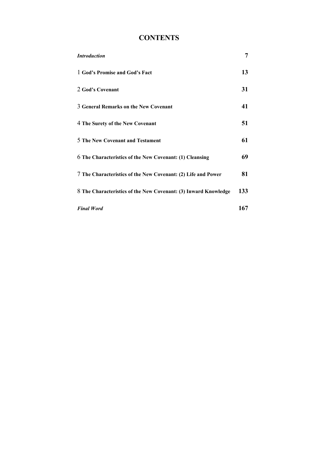## **CONTENTS**

| <b>Introduction</b>                                             | 7   |
|-----------------------------------------------------------------|-----|
| 1 God's Promise and God's Fact                                  | 13  |
| 2 God's Covenant                                                | 31  |
| 3 General Remarks on the New Covenant                           | 41  |
| 4 The Surety of the New Covenant                                | 51  |
| 5 The New Covenant and Testament                                | 61  |
| 6 The Characteristics of the New Covenant: (1) Cleansing        | 69  |
| 7 The Characteristics of the New Covenant: (2) Life and Power   | 81  |
| 8 The Characteristics of the New Covenant: (3) Inward Knowledge | 133 |
| <b>Final Word</b>                                               | 167 |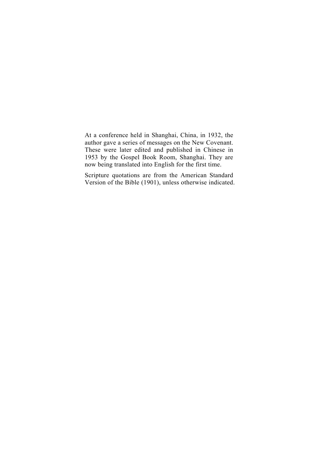At a conference held in Shanghai, China, in 1932, the author gave a series of messages on the New Covenant. These were later edited and published in Chinese in 1953 by the Gospel Book Room, Shanghai. They are now being translated into English for the first time.

Scripture quotations are from the American Standard Version of the Bible (1901), unless otherwise indicated.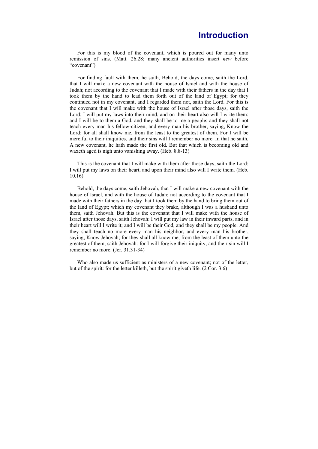# **Introduction**

<span id="page-6-0"></span>For this is my blood of the covenant, which is poured out for many unto remission of sins. (Matt. 26.28; many ancient authorities insert *new* before "covenant")

For finding fault with them, he saith, Behold, the days come, saith the Lord, that I will make a new covenant with the house of Israel and with the house of Judah; not according to the covenant that I made with their fathers in the day that I took them by the hand to lead them forth out of the land of Egypt; for they continued not in my covenant, and I regarded them not, saith the Lord. For this is the covenant that I will make with the house of Israel after those days, saith the Lord; I will put my laws into their mind, and on their heart also will I write them: and I will be to them a God, and they shall be to me a people: and they shall not teach every man his fellow-citizen, and every man his brother, saying, Know the Lord: for all shall know me, from the least to the greatest of them. For I will be merciful to their iniquities, and their sins will I remember no more. In that he saith, A new covenant, he hath made the first old. But that which is becoming old and waxeth aged is nigh unto vanishing away. (Heb. 8.8-13)

This is the covenant that I will make with them after those days, saith the Lord: I will put my laws on their heart, and upon their mind also will I write them. (Heb. 10.16)

Behold, the days come, saith Jehovah, that I will make a new covenant with the house of Israel, and with the house of Judah: not according to the covenant that I made with their fathers in the day that I took them by the hand to bring them out of the land of Egypt; which my covenant they brake, although I was a husband unto them, saith Jehovah. But this is the covenant that I will make with the house of Israel after those days, saith Jehovah: I will put my law in their inward parts, and in their heart will I write it; and I will be their God, and they shall be my people. And they shall teach no more every man his neighbor, and every man his brother, saying, Know Jehovah; for they shall all know me, from the least of them unto the greatest of them, saith Jehovah: for I will forgive their iniquity, and their sin will I remember no more. (Jer. 31.31-34)

Who also made us sufficient as ministers of a new covenant; not of the letter, but of the spirit: for the letter killeth, but the spirit giveth life. (2 Cor. 3.6)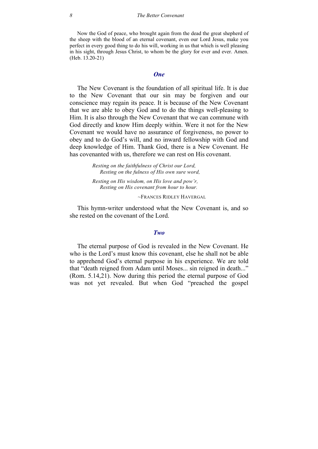Now the God of peace, who brought again from the dead the great shepherd of the sheep with the blood of an eternal covenant, even our Lord Jesus, make you perfect in every good thing to do his will, working in us that which is well pleasing in his sight, through Jesus Christ, to whom be the glory for ever and ever. Amen. (Heb. 13.20-21)

#### *One*

The New Covenant is the foundation of all spiritual life. It is due to the New Covenant that our sin may be forgiven and our conscience may regain its peace. It is because of the New Covenant that we are able to obey God and to do the things well-pleasing to Him. It is also through the New Covenant that we can commune with God directly and know Him deeply within. Were it not for the New Covenant we would have no assurance of forgiveness, no power to obey and to do God's will, and no inward fellowship with God and deep knowledge of Him. Thank God, there is a New Covenant. He has covenanted with us, therefore we can rest on His covenant.

> *Resting on the faithfulness of Christ our Lord, Resting on the fulness of His own sure word,*

*Resting on His wisdom, on His love and pow'r, Resting on His covenant from hour to hour.* 

~FRANCES RIDLEY HAVERGAL

This hymn-writer understood what the New Covenant is, and so she rested on the covenant of the Lord.

#### *Two*

The eternal purpose of God is revealed in the New Covenant. He who is the Lord's must know this covenant, else he shall not be able to apprehend God's eternal purpose in his experience. We are told that "death reigned from Adam until Moses... sin reigned in death..." (Rom. 5.14,21). Now during this period the eternal purpose of God was not yet revealed. But when God "preached the gospel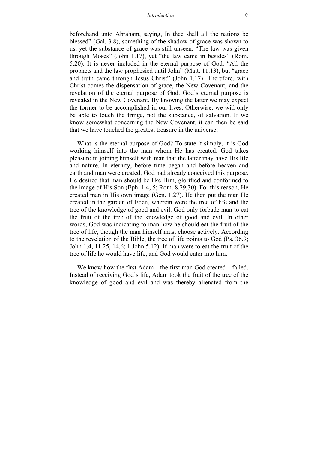beforehand unto Abraham, saying, In thee shall all the nations be blessed" (Gal. 3.8), something of the shadow of grace was shown to us, yet the substance of grace was still unseen. "The law was given through Moses" (John 1.17), yet "the law came in besides" (Rom. 5.20). It is never included in the eternal purpose of God. "All the prophets and the law prophesied until John" (Matt. 11.13), but "grace and truth came through Jesus Christ" (John 1.17). Therefore, with Christ comes the dispensation of grace, the New Covenant, and the revelation of the eternal purpose of God. God's eternal purpose is revealed in the New Covenant. By knowing the latter we may expect the former to be accomplished in our lives. Otherwise, we will only be able to touch the fringe, not the substance, of salvation. If we know somewhat concerning the New Covenant, it can then be said that we have touched the greatest treasure in the universe!

What is the eternal purpose of God? To state it simply, it is God working himself into the man whom He has created. God takes pleasure in joining himself with man that the latter may have His life and nature. In eternity, before time began and before heaven and earth and man were created, God had already conceived this purpose. He desired that man should be like Him, glorified and conformed to the image of His Son (Eph. 1.4, 5; Rom. 8.29,30). For this reason, He created man in His own image (Gen. 1.27). He then put the man He created in the garden of Eden, wherein were the tree of life and the tree of the knowledge of good and evil. God only forbade man to eat the fruit of the tree of the knowledge of good and evil. In other words, God was indicating to man how he should eat the fruit of the tree of life, though the man himself must choose actively. According to the revelation of the Bible, the tree of life points to God (Ps. 36.9; John 1.4, 11.25, 14.6; 1 John 5.12). If man were to eat the fruit of the tree of life he would have life, and God would enter into him.

We know how the first Adam—the first man God created—failed. Instead of receiving God's life, Adam took the fruit of the tree of the knowledge of good and evil and was thereby alienated from the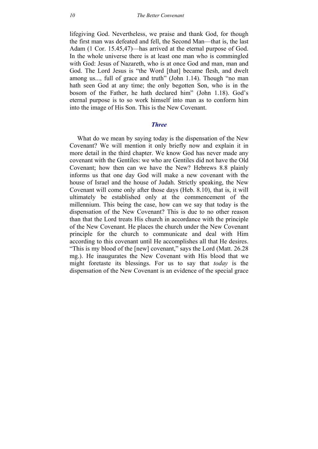lifegiving God. Nevertheless, we praise and thank God, for though the first man was defeated and fell, the Second Man—that is, the last Adam (1 Cor. 15.45,47)—has arrived at the eternal purpose of God. In the whole universe there is at least one man who is commingled with God: Jesus of Nazareth, who is at once God and man, man and God. The Lord Jesus is "the Word [that] became flesh, and dwelt among us..., full of grace and truth" (John 1.14). Though "no man hath seen God at any time; the only begotten Son, who is in the bosom of the Father, he hath declared him" (John 1.18). God's eternal purpose is to so work himself into man as to conform him into the image of His Son. This is the New Covenant.

#### *Three*

What do we mean by saying today is the dispensation of the New Covenant? We will mention it only briefly now and explain it in more detail in the third chapter. We know God has never made any covenant with the Gentiles: we who are Gentiles did not have the Old Covenant; how then can we have the New? Hebrews 8.8 plainly informs us that one day God will make a new covenant with the house of Israel and the house of Judah. Strictly speaking, the New Covenant will come only after those days (Heb. 8.10), that is, it will ultimately be established only at the commencement of the millennium. This being the case, how can we say that today is the dispensation of the New Covenant? This is due to no other reason than that the Lord treats His church in accordance with the principle of the New Covenant. He places the church under the New Covenant principle for the church to communicate and deal with Him according to this covenant until He accomplishes all that He desires. "This is my blood of the [new] covenant," says the Lord (Matt. 26.28 mg.). He inaugurates the New Covenant with His blood that we might foretaste its blessings. For us to say that *today* is the dispensation of the New Covenant is an evidence of the special grace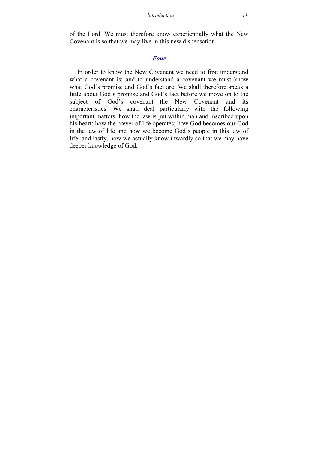of the Lord. We must therefore know experientially what the New Covenant is so that we may live in this new dispensation.

#### *Four*

In order to know the New Covenant we need to first understand what a covenant is; and to understand a covenant we must know what God's promise and God's fact are. We shall therefore speak a little about God's promise and God's fact before we move on to the subject of God's covenant—the New Covenant and its characteristics. We shall deal particularly with the following important matters: how the law is put within man and inscribed upon his heart; how the power of life operates; how God becomes our God in the law of life and how we become God's people in this law of life; and lastly, how we actually know inwardly so that we may have deeper knowledge of God.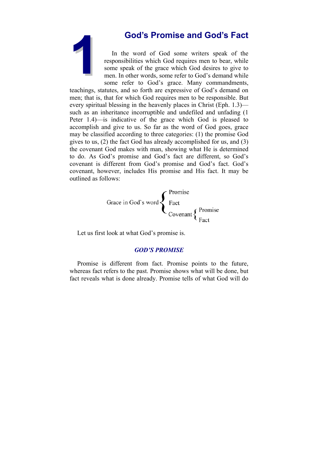<span id="page-12-0"></span>**16 In the word of God some writers speak of the responsibilities which God requires men to bear, while some speak of the grace which God desires to give to men. In other words, some refer to God's grace Many commandments** In the word of God some writers speak of the responsibilities which God requires men to bear, while some speak of the grace which God desires to give to men. In other words, some refer to God's demand while some refer to God's grace. Many commandments,

teachings, statutes, and so forth are expressive of God's demand on men; that is, that for which God requires men to be responsible. But every spiritual blessing in the heavenly places in Christ (Eph. 1.3) such as an inheritance incorruptible and undefiled and unfading (1 Peter 1.4)—is indicative of the grace which God is pleased to accomplish and give to us. So far as the word of God goes, grace may be classified according to three categories: (1) the promise God gives to us, (2) the fact God has already accomplished for us, and (3) the covenant God makes with man, showing what He is determined to do. As God's promise and God's fact are different, so God's covenant is different from God's promise and God's fact. God's covenant, however, includes His promise and His fact. It may be outlined as follows:

$$
Grace in God's word \n\begin{cases} \n\text{Promise} \\ \n\text{Fact} \\ \n\text{Covenant} \n\begin{cases} \n\text{Promise} \\ \n\text{Fact} \n\end{cases} \n\end{cases}
$$

Let us first look at what God's promise is.

### *GOD'S PROMISE*

Promise is different from fact. Promise points to the future, whereas fact refers to the past. Promise shows what will be done, but fact reveals what is done already. Promise tells of what God will do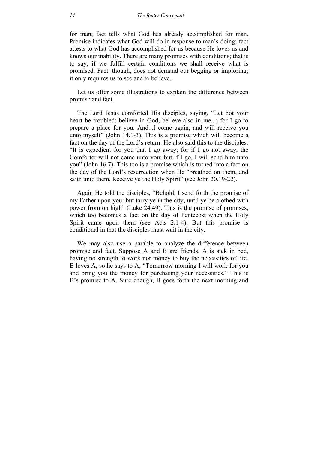for man; fact tells what God has already accomplished for man. Promise indicates what God will do in response to man's doing; fact attests to what God has accomplished for us because He loves us and knows our inability. There are many promises with conditions; that is to say, if we fulfill certain conditions we shall receive what is promised. Fact, though, does not demand our begging or imploring; it only requires us to see and to believe.

Let us offer some illustrations to explain the difference between promise and fact.

The Lord Jesus comforted His disciples, saying, "Let not your heart be troubled: believe in God, believe also in me...; for I go to prepare a place for you. And...I come again, and will receive you unto myself" (John 14.1-3). This is a promise which will become a fact on the day of the Lord's return. He also said this to the disciples: "It is expedient for you that I go away; for if I go not away, the Comforter will not come unto you; but if I go, I will send him unto you" (John 16.7). This too is a promise which is turned into a fact on the day of the Lord's resurrection when He "breathed on them, and saith unto them, Receive ye the Holy Spirit" (see John 20.19-22).

Again He told the disciples, "Behold, I send forth the promise of my Father upon you: but tarry ye in the city, until ye be clothed with power from on high" (Luke 24.49). This is the promise of promises, which too becomes a fact on the day of Pentecost when the Holy Spirit came upon them (see Acts 2.1-4). But this promise is conditional in that the disciples must wait in the city.

We may also use a parable to analyze the difference between promise and fact. Suppose A and B are friends. A is sick in bed, having no strength to work nor money to buy the necessities of life. B loves A, so he says to A, "Tomorrow morning I will work for you and bring you the money for purchasing your necessities." This is B's promise to A. Sure enough, B goes forth the next morning and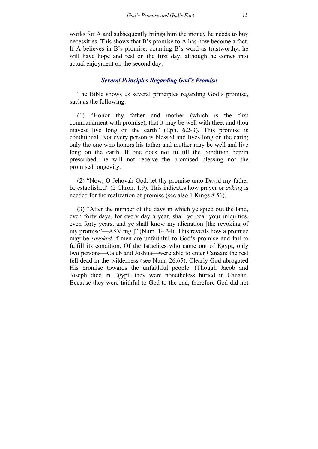works for A and subsequently brings him the money he needs to buy necessities. This shows that B's promise to A has now become a fact. If A believes in B's promise, counting B's word as trustworthy, he will have hope and rest on the first day, although he comes into actual enjoyment on the second day.

#### *Several Principles Regarding God's Promise*

The Bible shows us several principles regarding God's promise, such as the following:

(1) "Honor thy father and mother (which is the first commandment with promise), that it may be well with thee, and thou mayest live long on the earth" (Eph. 6.2-3). This promise is conditional. Not every person is blessed and lives long on the earth; only the one who honors his father and mother may be well and live long on the earth. If one does not fullfill the condition herein prescribed, he will not receive the promised blessing nor the promised longevity.

(2) "Now, O Jehovah God, let thy promise unto David my father be established" (2 Chron. 1.9). This indicates how prayer or *asking* is needed for the realization of promise (see also 1 Kings 8.56).

(3) "After the number of the days in which ye spied out the land, even forty days, for every day a year, shall ye bear your iniquities, even forty years, and ye shall know my alienation [the revoking of my promise'—ASV mg.]" (Num. 14.34). This reveals how a promise may be *revoked* if men are unfaithful to God's promise and fail to fulfill its condition. Of the Israelites who came out of Egypt, only two persons—Caleb and Joshua—were able to enter Canaan; the rest fell dead in the wilderness (see Num. 26.65). Clearly God abrogated His promise towards the unfaithful people. (Though Jacob and Joseph died in Egypt, they were nonetheless buried in Canaan. Because they were faithful to God to the end, therefore God did not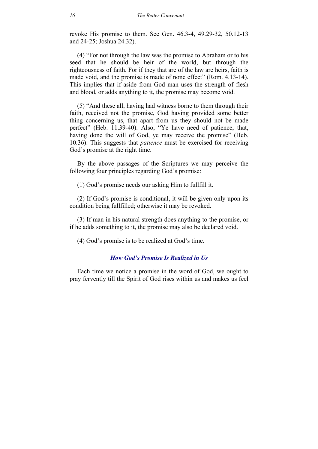revoke His promise to them. See Gen. 46.3-4, 49.29-32, 50.12-13 and 24-25; Joshua 24.32).

(4) "For not through the law was the promise to Abraham or to his seed that he should be heir of the world, but through the righteousness of faith. For if they that are of the law are heirs, faith is made void, and the promise is made of none effect" (Rom. 4.13-14). This implies that if aside from God man uses the strength of flesh and blood, or adds anything to it, the promise may become void.

(5) "And these all, having had witness borne to them through their faith, received not the promise, God having provided some better thing concerning us, that apart from us they should not be made perfect" (Heb. 11.39-40). Also, "Ye have need of patience, that, having done the will of God, ye may receive the promise" (Heb. 10.36). This suggests that *patience* must be exercised for receiving God's promise at the right time.

By the above passages of the Scriptures we may perceive the following four principles regarding God's promise:

(1) God's promise needs our asking Him to fullfill it.

(2) If God's promise is conditional, it will be given only upon its condition being fullfilled; otherwise it may be revoked.

(3) If man in his natural strength does anything to the promise, or if he adds something to it, the promise may also be declared void.

(4) God's promise is to be realized at God's time.

#### *How God's Promise Is Realized in Us*

Each time we notice a promise in the word of God, we ought to pray fervently till the Spirit of God rises within us and makes us feel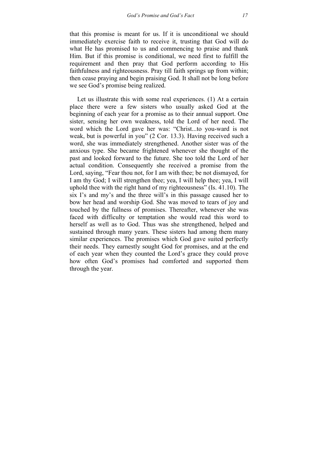that this promise is meant for us. If it is unconditional we should immediately exercise faith to receive it, trusting that God will do what He has promised to us and commencing to praise and thank Him. But if this promise is conditional, we need first to fulfill the requirement and then pray that God perform according to His faithfulness and righteousness. Pray till faith springs up from within; then cease praying and begin praising God. It shall not be long before we see God's promise being realized.

Let us illustrate this with some real experiences. (1) At a certain place there were a few sisters who usually asked God at the beginning of each year for a promise as to their annual support. One sister, sensing her own weakness, told the Lord of her need. The word which the Lord gave her was: "Christ...to you-ward is not weak, but is powerful in you" (2 Cor. 13.3). Having received such a word, she was immediately strengthened. Another sister was of the anxious type. She became frightened whenever she thought of the past and looked forward to the future. She too told the Lord of her actual condition. Consequently she received a promise from the Lord, saying, "Fear thou not, for I am with thee; be not dismayed, for I am thy God; I will strengthen thee; yea, I will help thee; yea, I will uphold thee with the right hand of my righteousness" (Is. 41.10). The six I's and my's and the three will's in this passage caused her to bow her head and worship God. She was moved to tears of joy and touched by the fullness of promises. Thereafter, whenever she was faced with difficulty or temptation she would read this word to herself as well as to God. Thus was she strengthened, helped and sustained through many years. These sisters had among them many similar experiences. The promises which God gave suited perfectly their needs. They earnestly sought God for promises, and at the end of each year when they counted the Lord's grace they could prove how often God's promises had comforted and supported them through the year.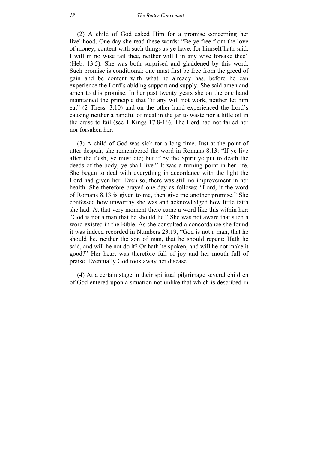(2) A child of God asked Him for a promise concerning her livelihood. One day she read these words: "Be ye free from the love of money; content with such things as ye have: for himself hath said, I will in no wise fail thee, neither will I in any wise forsake thee" (Heb. 13.5). She was both surprised and gladdened by this word. Such promise is conditional: one must first be free from the greed of gain and be content with what he already has, before he can experience the Lord's abiding support and supply. She said amen and amen to this promise. In her past twenty years she on the one hand maintained the principle that "if any will not work, neither let him eat" (2 Thess. 3.10) and on the other hand experienced the Lord's causing neither a handful of meal in the jar to waste nor a little oil in the cruse to fail (see 1 Kings 17.8-16). The Lord had not failed her nor forsaken her.

(3) A child of God was sick for a long time. Just at the point of utter despair, she remembered the word in Romans 8.13: "If ye live after the flesh, ye must die; but if by the Spirit ye put to death the deeds of the body, ye shall live." It was a turning point in her life. She began to deal with everything in accordance with the light the Lord had given her. Even so, there was still no improvement in her health. She therefore prayed one day as follows: "Lord, if the word of Romans 8.13 is given to me, then give me another promise." She confessed how unworthy she was and acknowledged how little faith she had. At that very moment there came a word like this within her: "God is not a man that he should lie." She was not aware that such a word existed in the Bible. As she consulted a concordance she found it was indeed recorded in Numbers 23.19, "God is not a man, that he should lie, neither the son of man, that he should repent: Hath he said, and will he not do it? Or hath he spoken, and will he not make it good?" Her heart was therefore full of joy and her mouth full of praise. Eventually God took away her disease.

(4) At a certain stage in their spiritual pilgrimage several children of God entered upon a situation not unlike that which is described in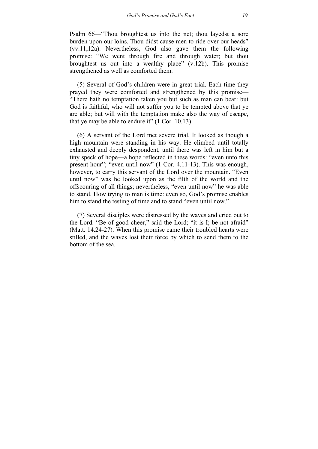Psalm 66—"Thou broughtest us into the net; thou layedst a sore burden upon our loins. Thou didst cause men to ride over our heads" (vv.11,12a). Nevertheless, God also gave them the following promise: "We went through fire and through water; but thou broughtest us out into a wealthy place" (v.12b). This promise strengthened as well as comforted them.

(5) Several of God's children were in great trial. Each time they prayed they were comforted and strengthened by this promise— "There hath no temptation taken you but such as man can bear: but God is faithful, who will not suffer you to be tempted above that ye are able; but will with the temptation make also the way of escape, that ye may be able to endure it" (1 Cor. 10.13).

(6) A servant of the Lord met severe trial. It looked as though a high mountain were standing in his way. He climbed until totally exhausted and deeply despondent, until there was left in him but a tiny speck of hope—a hope reflected in these words: "even unto this present hour"; "even until now" (1 Cor. 4.11-13). This was enough, however, to carry this servant of the Lord over the mountain. "Even until now" was he looked upon as the filth of the world and the offscouring of all things; nevertheless, "even until now" he was able to stand. How trying to man is time: even so, God's promise enables him to stand the testing of time and to stand "even until now."

(7) Several disciples were distressed by the waves and cried out to the Lord. "Be of good cheer," said the Lord; "it is I; be not afraid" (Matt. 14.24-27). When this promise came their troubled hearts were stilled, and the waves lost their force by which to send them to the bottom of the sea.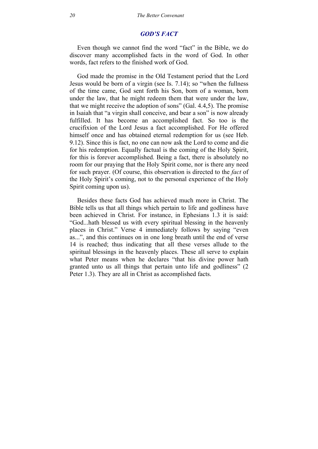#### *GOD'S FACT*

Even though we cannot find the word "fact" in the Bible, we do discover many accomplished facts in the word of God. In other words, fact refers to the finished work of God.

God made the promise in the Old Testament period that the Lord Jesus would be born of a virgin (see Is. 7.14); so "when the fullness of the time came, God sent forth his Son, born of a woman, born under the law, that he might redeem them that were under the law, that we might receive the adoption of sons" (Gal. 4.4,5). The promise in Isaiah that "a virgin shall conceive, and bear a son" is now already fulfilled. It has become an accomplished fact. So too is the crucifixion of the Lord Jesus a fact accomplished. For He offered himself once and has obtained eternal redemption for us (see Heb. 9.12). Since this is fact, no one can now ask the Lord to come and die for his redemption. Equally factual is the coming of the Holy Spirit, for this is forever accomplished. Being a fact, there is absolutely no room for our praying that the Holy Spirit come, nor is there any need for such prayer. (Of course, this observation is directed to the *fact* of the Holy Spirit's coming, not to the personal experience of the Holy Spirit coming upon us).

Besides these facts God has achieved much more in Christ. The Bible tells us that all things which pertain to life and godliness have been achieved in Christ. For instance, in Ephesians 1.3 it is said: "God...hath blessed us with every spiritual blessing in the heavenly places in Christ." Verse 4 immediately follows by saying "even as...", and this continues on in one long breath until the end of verse 14 is reached; thus indicating that all these verses allude to the spiritual blessings in the heavenly places. These all serve to explain what Peter means when he declares "that his divine power hath granted unto us all things that pertain unto life and godliness" (2 Peter 1.3). They are all in Christ as accomplished facts.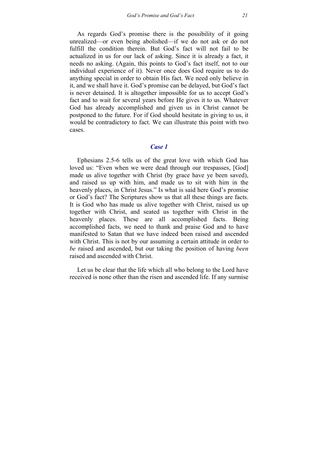As regards God's promise there is the possibility of it going unrealized—or even being abolished—if we do not ask or do not fulfill the condition therein. But God's fact will not fail to be actualized in us for our lack of asking. Since it is already a fact, it needs no asking. (Again, this points to God's fact itself, not to our individual experience of it). Never once does God require us to do anything special in order to obtain His fact. We need only believe in it, and we shall have it. God's promise can be delayed, but God's fact is never detained. It is altogether impossible for us to accept God's fact and to wait for several years before He gives it to us. Whatever God has already accomplished and given us in Christ cannot be postponed to the future. For if God should hesitate in giving to us, it would be contradictory to fact. We can illustrate this point with two cases.

#### *Case 1*

Ephesians 2.5-6 tells us of the great love with which God has loved us: "Even when we were dead through our trespasses, [God] made us alive together with Christ (by grace have ye been saved), and raised us up with him, and made us to sit with him in the heavenly places, in Christ Jesus." Is what is said here God's promise or God's fact? The Scriptures show us that all these things are facts. It is God who has made us alive together with Christ, raised us up together with Christ, and seated us together with Christ in the heavenly places. These are all accomplished facts. Being accomplished facts, we need to thank and praise God and to have manifested to Satan that we have indeed been raised and ascended with Christ. This is not by our assuming a certain attitude in order to *be* raised and ascended, but our taking the position of having *been* raised and ascended with Christ.

Let us be clear that the life which all who belong to the Lord have received is none other than the risen and ascended life. If any surmise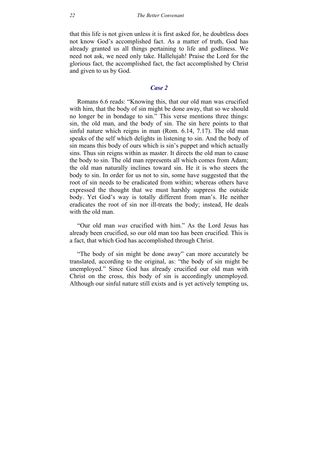that this life is not given unless it is first asked for, he doubtless does not know God's accomplished fact. As a matter of truth, God has already granted us all things pertaining to life and godliness. We need not ask, we need only take. Hallelujah! Praise the Lord for the glorious fact, the accomplished fact, the fact accomplished by Christ and given to us by God.

#### *Case 2*

Romans 6.6 reads: "Knowing this, that our old man was crucified with him, that the body of sin might be done away, that so we should no longer be in bondage to sin." This verse mentions three things: sin, the old man, and the body of sin. The sin here points to that sinful nature which reigns in man (Rom. 6.14, 7.17). The old man speaks of the self which delights in listening to sin. And the body of sin means this body of ours which is sin's puppet and which actually sins. Thus sin reigns within as master. It directs the old man to cause the body to sin. The old man represents all which comes from Adam; the old man naturally inclines toward sin. He it is who steers the body to sin. In order for us not to sin, some have suggested that the root of sin needs to be eradicated from within; whereas others have expressed the thought that we must harshly suppress the outside body. Yet God's way is totally different from man's. He neither eradicates the root of sin nor ill-treats the body; instead, He deals with the old man.

"Our old man *was* crucified with him." As the Lord Jesus has already been crucified, so our old man too has been crucified. This is a fact, that which God has accomplished through Christ.

"The body of sin might be done away" can more accurately be translated, according to the original, as: "the body of sin might be unemployed." Since God has already crucified our old man with Christ on the cross, this body of sin is accordingly unemployed. Although our sinful nature still exists and is yet actively tempting us,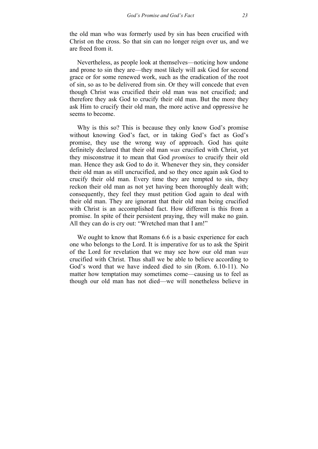the old man who was formerly used by sin has been crucified with Christ on the cross. So that sin can no longer reign over us, and we are freed from it.

Nevertheless, as people look at themselves—noticing how undone and prone to sin they are—they most likely will ask God for second grace or for some renewed work, such as the eradication of the root of sin, so as to be delivered from sin. Or they will concede that even though Christ was crucified their old man was not crucified; and therefore they ask God to crucify their old man. But the more they ask Him to crucify their old man, the more active and oppressive he seems to become.

Why is this so? This is because they only know God's promise without knowing God's fact, or in taking God's fact as God's promise, they use the wrong way of approach. God has quite definitely declared that their old man *was* crucified with Christ, yet they misconstrue it to mean that God *promises* to crucify their old man. Hence they ask God to do it. Whenever they sin, they consider their old man as still uncrucified, and so they once again ask God to crucify their old man. Every time they are tempted to sin, they reckon their old man as not yet having been thoroughly dealt with; consequently, they feel they must petition God again to deal with their old man. They are ignorant that their old man being crucified with Christ is an accomplished fact. How different is this from a promise. In spite of their persistent praying, they will make no gain. All they can do is cry out: "Wretched man that I am!"

We ought to know that Romans 6.6 is a basic experience for each one who belongs to the Lord. It is imperative for us to ask the Spirit of the Lord for revelation that we may see how our old man *was* crucified with Christ. Thus shall we be able to believe according to God's word that we have indeed died to sin (Rom. 6.10-11). No matter how temptation may sometimes come—causing us to feel as though our old man has not died—we will nonetheless believe in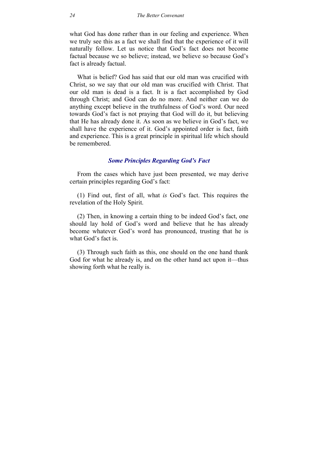what God has done rather than in our feeling and experience. When we truly see this as a fact we shall find that the experience of it will naturally follow. Let us notice that God's fact does not become factual because we so believe; instead, we believe so because God's fact is already factual.

What is belief? God has said that our old man was crucified with Christ, so we say that our old man was crucified with Christ. That our old man is dead is a fact. It is a fact accomplished by God through Christ; and God can do no more. And neither can we do anything except believe in the truthfulness of God's word. Our need towards God's fact is not praying that God will do it, but believing that He has already done it. As soon as we believe in God's fact, we shall have the experience of it. God's appointed order is fact, faith and experience. This is a great principle in spiritual life which should be remembered.

### *Some Principles Regarding God's Fact*

From the cases which have just been presented, we may derive certain principles regarding God's fact:

(1) Find out, first of all, what *is* God's fact. This requires the revelation of the Holy Spirit.

(2) Then, in knowing a certain thing to be indeed God's fact, one should lay hold of God's word and believe that he has already become whatever God's word has pronounced, trusting that he is what God's fact is.

(3) Through such faith as this, one should on the one hand thank God for what he already is, and on the other hand act upon it—thus showing forth what he really is.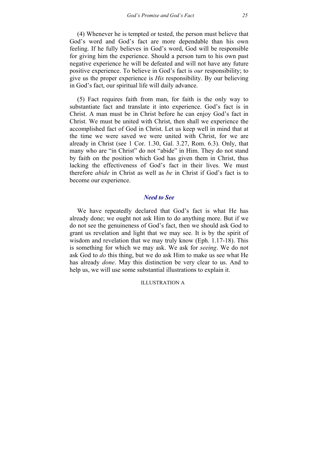(4) Whenever he is tempted or tested, the person must believe that God's word and God's fact are more dependable than his own feeling. If he fully believes in God's word, God will be responsible for giving him the experience. Should a person turn to his own past negative experience he will be defeated and will not have any future positive experience. To believe in God's fact is *our* responsibility; to give us the proper experience is *His* responsibility. By our believing in God's fact, our spiritual life will daily advance.

(5) Fact requires faith from man, for faith is the only way to substantiate fact and translate it into experience. God's fact is in Christ. A man must be in Christ before he can enjoy God's fact in Christ. We must be united with Christ, then shall we experience the accomplished fact of God in Christ. Let us keep well in mind that at the time we were saved we were united with Christ, for we are already in Christ (see 1 Cor. 1.30, Gal. 3.27, Rom. 6.3). Only, that many who are "in Christ" do not "abide" in Him. They do not stand by faith on the position which God has given them in Christ, thus lacking the effectiveness of God's fact in their lives. We must therefore *abide* in Christ as well as *be* in Christ if God's fact is to become our experience.

#### *Need to See*

We have repeatedly declared that God's fact is what He has already done; we ought not ask Him to do anything more. But if we do not see the genuineness of God's fact, then we should ask God to grant us revelation and light that we may see. It is by the spirit of wisdom and revelation that we may truly know (Eph. 1.17-18). This is something for which we may ask. We ask for *seeing*. We do not ask God to *do* this thing, but we do ask Him to make us see what He has already *done*. May this distinction be very clear to us. And to help us, we will use some substantial illustrations to explain it.

#### ILLUSTRATION A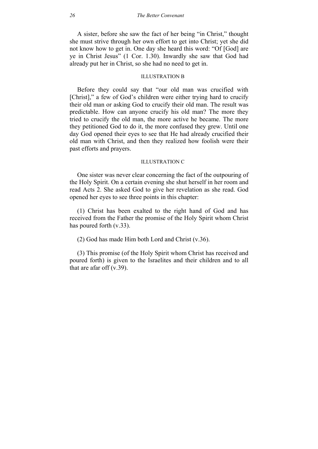A sister, before she saw the fact of her being "in Christ," thought she must strive through her own effort to get into Christ; yet she did not know how to get in. One day she heard this word: "Of [God] are ye in Christ Jesus" (1 Cor. 1.30). Inwardly she saw that God had already put her in Christ, so she had no need to get in.

#### ILLUSTRATION B

Before they could say that "our old man was crucified with [Christ]," a few of God's children were either trying hard to crucify their old man or asking God to crucify their old man. The result was predictable. How can anyone crucify his old man? The more they tried to crucify the old man, the more active he became. The more they petitioned God to do it, the more confused they grew. Until one day God opened their eyes to see that He had already crucified their old man with Christ, and then they realized how foolish were their past efforts and prayers.

#### ILLUSTRATION C

One sister was never clear concerning the fact of the outpouring of the Holy Spirit. On a certain evening she shut herself in her room and read Acts 2. She asked God to give her revelation as she read. God opened her eyes to see three points in this chapter:

(1) Christ has been exalted to the right hand of God and has received from the Father the promise of the Holy Spirit whom Christ has poured forth (v.33).

(2) God has made Him both Lord and Christ (v.36).

(3) This promise (of the Holy Spirit whom Christ has received and poured forth) is given to the Israelites and their children and to all that are afar off (v.39).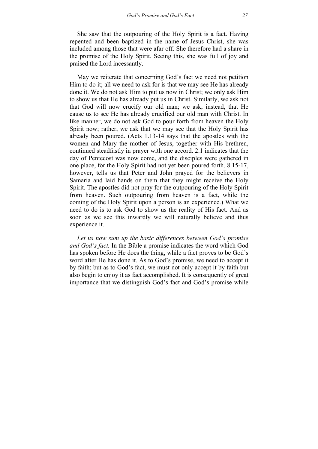She saw that the outpouring of the Holy Spirit is a fact. Having repented and been baptized in the name of Jesus Christ, she was included among those that were afar off. She therefore had a share in the promise of the Holy Spirit. Seeing this, she was full of joy and praised the Lord incessantly.

May we reiterate that concerning God's fact we need not petition Him to do it; all we need to ask for is that we may see He has already done it. We do not ask Him to put us now in Christ; we only ask Him to show us that He has already put us in Christ. Similarly, we ask not that God will now crucify our old man; we ask, instead, that He cause us to see He has already crucified our old man with Christ. In like manner, we do not ask God to pour forth from heaven the Holy Spirit now; rather, we ask that we may see that the Holy Spirit has already been poured. (Acts 1.13-14 says that the apostles with the women and Mary the mother of Jesus, together with His brethren, continued steadfastly in prayer with one accord. 2.1 indicates that the day of Pentecost was now come, and the disciples were gathered in one place, for the Holy Spirit had not yet been poured forth. 8.15-17, however, tells us that Peter and John prayed for the believers in Samaria and laid hands on them that they might receive the Holy Spirit. The apostles did not pray for the outpouring of the Holy Spirit from heaven. Such outpouring from heaven is a fact, while the coming of the Holy Spirit upon a person is an experience.) What we need to do is to ask God to show us the reality of His fact. And as soon as we see this inwardly we will naturally believe and thus experience it.

*Let us now sum up the basic differences between God's promise and God's fact.* In the Bible a promise indicates the word which God has spoken before He does the thing, while a fact proves to be God's word after He has done it. As to God's promise, we need to accept it by faith; but as to God's fact, we must not only accept it by faith but also begin to enjoy it as fact accomplished. It is consequently of great importance that we distinguish God's fact and God's promise while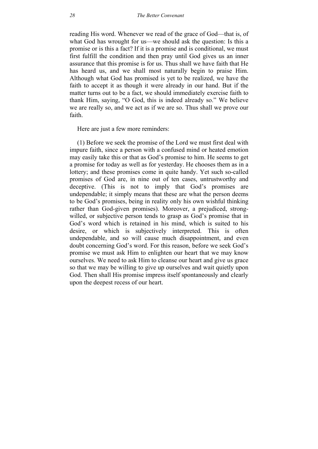reading His word. Whenever we read of the grace of God—that is, of what God has wrought for us—we should ask the question: Is this a promise or is this a fact? If it is a promise and is conditional, we must first fulfill the condition and then pray until God gives us an inner assurance that this promise is for us. Thus shall we have faith that He has heard us, and we shall most naturally begin to praise Him. Although what God has promised is yet to be realized, we have the faith to accept it as though it were already in our hand. But if the matter turns out to be a fact, we should immediately exercise faith to thank Him, saying, "O God, this is indeed already so." We believe we are really so, and we act as if we are so. Thus shall we prove our faith.

Here are just a few more reminders:

(1) Before we seek the promise of the Lord we must first deal with impure faith, since a person with a confused mind or heated emotion may easily take this or that as God's promise to him. He seems to get a promise for today as well as for yesterday. He chooses them as in a lottery; and these promises come in quite handy. Yet such so-called promises of God are, in nine out of ten cases, untrustworthy and deceptive. (This is not to imply that God's promises are undependable; it simply means that these are what the person deems to be God's promises, being in reality only his own wishful thinking rather than God-given promises). Moreover, a prejudiced, strongwilled, or subjective person tends to grasp as God's promise that in God's word which is retained in his mind, which is suited to his desire, or which is subjectively interpreted. This is often undependable, and so will cause much disappointment, and even doubt concerning God's word. For this reason, before we seek God's promise we must ask Him to enlighten our heart that we may know ourselves. We need to ask Him to cleanse our heart and give us grace so that we may be willing to give up ourselves and wait quietly upon God. Then shall His promise impress itself spontaneously and clearly upon the deepest recess of our heart.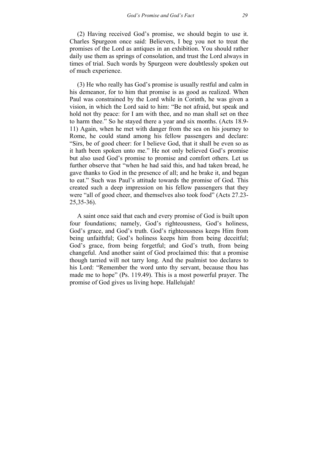(2) Having received God's promise, we should begin to use it. Charles Spurgeon once said: Believers, I beg you not to treat the promises of the Lord as antiques in an exhibition. You should rather daily use them as springs of consolation, and trust the Lord always in times of trial. Such words by Spurgeon were doubtlessly spoken out of much experience.

(3) He who really has God's promise is usually restful and calm in his demeanor, for to him that promise is as good as realized. When Paul was constrained by the Lord while in Corinth, he was given a vision, in which the Lord said to him: "Be not afraid, but speak and hold not thy peace: for I am with thee, and no man shall set on thee to harm thee." So he stayed there a year and six months. (Acts 18.9- 11) Again, when he met with danger from the sea on his journey to Rome, he could stand among his fellow passengers and declare: "Sirs, be of good cheer: for I believe God, that it shall be even so as it hath been spoken unto me." He not only believed God's promise but also used God's promise to promise and comfort others. Let us further observe that "when he had said this, and had taken bread, he gave thanks to God in the presence of all; and he brake it, and began to eat." Such was Paul's attitude towards the promise of God. This created such a deep impression on his fellow passengers that they were "all of good cheer, and themselves also took food" (Acts 27.23- 25,35-36).

A saint once said that each and every promise of God is built upon four foundations; namely, God's righteousness, God's holiness, God's grace, and God's truth. God's righteousness keeps Him from being unfaithful; God's holiness keeps him from being deceitful; God's grace, from being forgetful; and God's truth, from being changeful. And another saint of God proclaimed this: that a promise though tarried will not tarry long. And the psalmist too declares to his Lord: "Remember the word unto thy servant, because thou has made me to hope" (Ps. 119.49). This is a most powerful prayer. The promise of God gives us living hope. Hallelujah!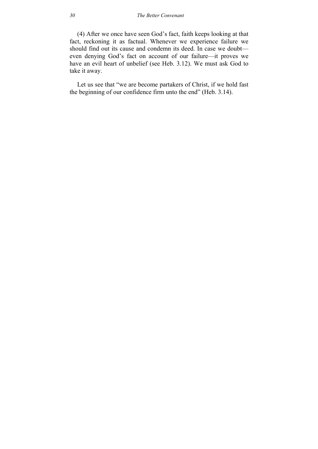(4) After we once have seen God's fact, faith keeps looking at that fact, reckoning it as factual. Whenever we experience failure we should find out its cause and condemn its deed. In case we doubt even denying God's fact on account of our failure—it proves we have an evil heart of unbelief (see Heb. 3.12). We must ask God to take it away.

Let us see that "we are become partakers of Christ, if we hold fast the beginning of our confidence firm unto the end" (Heb. 3.14).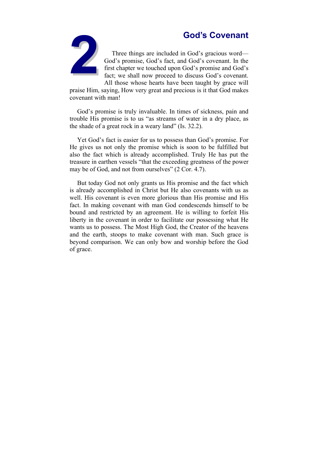<span id="page-30-0"></span>

**2God's Covenant**<br>
2God's promise, God's fact, and God's gracious word—<br>
2God's promise, God's fact, and God's covenant. In the<br>
first chapter we touched upon God's promise and God's<br>
2 fact; we shall now proceed to discus Three things are included in God's gracious word— God's promise, God's fact, and God's covenant. In the first chapter we touched upon God's promise and God's fact; we shall now proceed to discuss God's covenant. All those whose hearts have been taught by grace will

praise Him, saying, How very great and precious is it that God makes covenant with man!

God's promise is truly invaluable. In times of sickness, pain and trouble His promise is to us "as streams of water in a dry place, as the shade of a great rock in a weary land" (Is. 32.2).

Yet God's fact is easier for us to possess than God's promise. For He gives us not only the promise which is soon to be fulfilled but also the fact which is already accomplished. Truly He has put the treasure in earthen vessels "that the exceeding greatness of the power may be of God, and not from ourselves" (2 Cor. 4.7).

But today God not only grants us His promise and the fact which is already accomplished in Christ but He also covenants with us as well. His covenant is even more glorious than His promise and His fact. In making covenant with man God condescends himself to be bound and restricted by an agreement. He is willing to forfeit His liberty in the covenant in order to facilitate our possessing what He wants us to possess. The Most High God, the Creator of the heavens and the earth, stoops to make covenant with man. Such grace is beyond comparison. We can only bow and worship before the God of grace.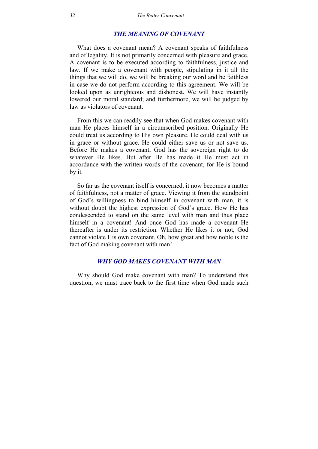#### *THE MEANING OF COVENANT*

What does a covenant mean? A covenant speaks of faithfulness and of legality. It is not primarily concerned with pleasure and grace. A covenant is to be executed according to faithfulness, justice and law. If we make a covenant with people, stipulating in it all the things that we will do, we will be breaking our word and be faithless in case we do not perform according to this agreement. We will be looked upon as unrighteous and dishonest. We will have instantly lowered our moral standard; and furthermore, we will be judged by law as violators of covenant.

From this we can readily see that when God makes covenant with man He places himself in a circumscribed position. Originally He could treat us according to His own pleasure. He could deal with us in grace or without grace. He could either save us or not save us. Before He makes a covenant, God has the sovereign right to do whatever He likes. But after He has made it He must act in accordance with the written words of the covenant, for He is bound by it.

So far as the covenant itself is concerned, it now becomes a matter of faithfulness, not a matter of grace. Viewing it from the standpoint of God's willingness to bind himself in covenant with man, it is without doubt the highest expression of God's grace. How He has condescended to stand on the same level with man and thus place himself in a covenant! And once God has made a covenant He thereafter is under its restriction. Whether He likes it or not, God cannot violate His own covenant. Oh, how great and how noble is the fact of God making covenant with man!

#### *WHY GOD MAKES COVENANT WITH MAN*

Why should God make covenant with man? To understand this question, we must trace back to the first time when God made such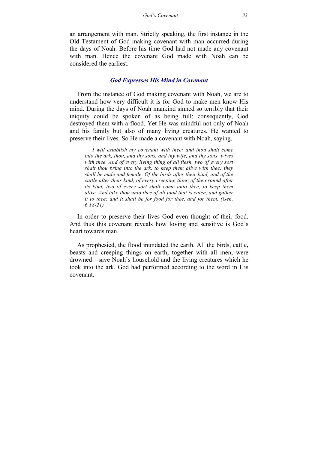an arrangement with man. Strictly speaking, the first instance in the Old Testament of God making covenant with man occurred during the days of Noah. Before his time God had not made any covenant with man. Hence the covenant God made with Noah can be considered the earliest.

#### *God Expresses His Mind in Covenant*

From the instance of God making covenant with Noah, we are to understand how very difficult it is for God to make men know His mind. During the days of Noah mankind sinned so terribly that their iniquity could be spoken of as being full; consequently, God destroyed them with a flood. Yet He was mindful not only of Noah and his family but also of many living creatures. He wanted to preserve their lives. So He made a covenant with Noah, saying,

*I will establish my covenant with thee; and thou shalt come into the ark, thou, and thy sons, and thy wife, and thy sons' wives with thee. And of every living thing of all flesh, two of every sort shalt thou bring into the ark, to keep them alive with thee; they shall be male and female. Of the birds after their kind, and of the cattle after their kind, of every creeping thing of the ground after its kind, two of every sort shall come unto thee, to keep them alive. And take thou unto thee of all food that is eaten, and gather it to thee; and it shall be for food for thee, and for them. (Gen. 6.18-21)* 

In order to preserve their lives God even thought of their food. And thus this covenant reveals how loving and sensitive is God's heart towards man.

As prophesied, the flood inundated the earth. All the birds, cattle, beasts and creeping things on earth, together with all men, were drowned—save Noah's household and the living creatures which he took into the ark. God had performed according to the word in His covenant.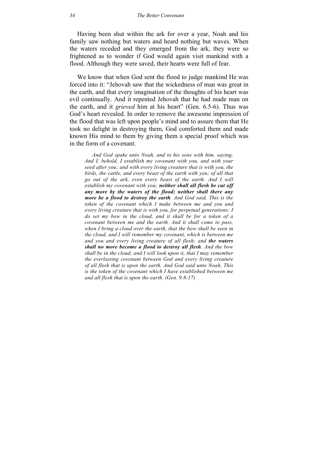Having been shut within the ark for over a year, Noah and his family saw nothing but waters and heard nothing but waves. When the waters receded and they emerged from the ark, they were so frightened as to wonder if God would again visit mankind with a flood. Although they were saved, their hearts were full of fear.

We know that when God sent the flood to judge mankind He was forced into it: "Jehovah saw that the wickedness of man was great in the earth, and that every imagination of the thoughts of his heart was evil continually. And it repented Jehovah that he had made man on the earth, and it *grieved* him at his heart" (Gen. 6.5-6). Thus was God's heart revealed. In order to remove the awesome impression of the flood that was left upon people's mind and to assure them that He took no delight in destroying them, God comforted them and made known His mind to them by giving them a special proof which was in the form of a covenant.

*And God spake unto Noah, and to his sons with him, saying, And I, behold, I establish my covenant with you, and with your seed after you; and with every living creature that is with you, the birds, the cattle, and every beast of the earth with you; of all that go out of the ark, even every beast of the earth. And I will establish my covenant with you; neither shall all flesh be cut off any more by the waters of the flood; neither shall there any more be a flood to destroy the earth. And God said, This is the token of the covenant which I make between me and you and every living creature that is with you, for perpetual generations: I do set my bow in the cloud, and it shall be for a token of a covenant between me and the earth. And it shall come to pass, when I bring a cloud over the earth, that the bow shall be seen in the cloud, and I will remember my covenant, which is between me and you and every living creature of all flesh; and the waters shall no more become a flood to destroy all flesh. And the bow shall be in the cloud; and I will look upon it, that I may remember the everlasting covenant between God and every living creature of all flesh that is upon the earth. And God said unto Noah, This is the token of the covenant which I have established between me and all flesh that is upon the earth. (Gen. 9.8-17)*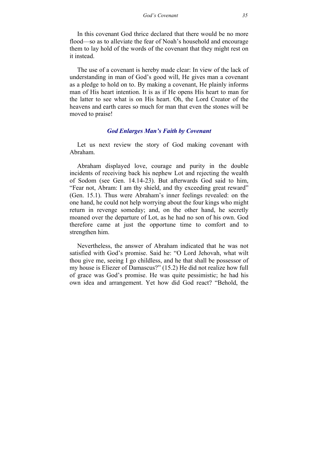In this covenant God thrice declared that there would be no more flood—so as to alleviate the fear of Noah's household and encourage them to lay hold of the words of the covenant that they might rest on it instead.

The use of a covenant is hereby made clear: In view of the lack of understanding in man of God's good will, He gives man a covenant as a pledge to hold on to. By making a covenant, He plainly informs man of His heart intention. It is as if He opens His heart to man for the latter to see what is on His heart. Oh, the Lord Creator of the heavens and earth cares so much for man that even the stones will be moved to praise!

### *God Enlarges Man's Faith by Covenant*

Let us next review the story of God making covenant with Abraham.

Abraham displayed love, courage and purity in the double incidents of receiving back his nephew Lot and rejecting the wealth of Sodom (see Gen. 14.14-23). But afterwards God said to him, "Fear not, Abram: I am thy shield, and thy exceeding great reward" (Gen. 15.1). Thus were Abraham's inner feelings revealed: on the one hand, he could not help worrying about the four kings who might return in revenge someday; and, on the other hand, he secretly moaned over the departure of Lot, as he had no son of his own. God therefore came at just the opportune time to comfort and to strengthen him.

Nevertheless, the answer of Abraham indicated that he was not satisfied with God's promise. Said he: "O Lord Jehovah, what wilt thou give me, seeing I go childless, and he that shall be possessor of my house is Eliezer of Damascus?" (15.2) He did not realize how full of grace was God's promise. He was quite pessimistic; he had his own idea and arrangement. Yet how did God react? "Behold, the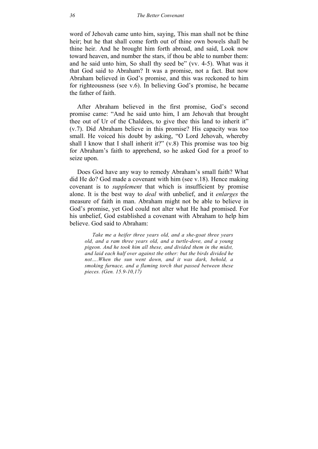word of Jehovah came unto him, saying, This man shall not be thine heir; but he that shall come forth out of thine own bowels shall be thine heir. And he brought him forth abroad, and said, Look now toward heaven, and number the stars, if thou be able to number them: and he said unto him, So shall thy seed be" (vv. 4-5). What was it that God said to Abraham? It was a promise, not a fact. But now Abraham believed in God's promise, and this was reckoned to him for righteousness (see v.6). In believing God's promise, he became the father of faith.

After Abraham believed in the first promise, God's second promise came: "And he said unto him, I am Jehovah that brought thee out of Ur of the Chaldees, to give thee this land to inherit it" (v.7). Did Abraham believe in this promise? His capacity was too small. He voiced his doubt by asking, "O Lord Jehovah, whereby shall I know that I shall inherit it?"  $(v.8)$  This promise was too big for Abraham's faith to apprehend, so he asked God for a proof to seize upon.

Does God have any way to remedy Abraham's small faith? What did He do? God made a covenant with him (see v.18). Hence making covenant is to *supplement* that which is insufficient by promise alone. It is the best way to *deal* with unbelief, and it *enlarges* the measure of faith in man. Abraham might not be able to believe in God's promise, yet God could not alter what He had promised. For his unbelief, God established a covenant with Abraham to help him believe. God said to Abraham:

*Take me a heifer three years old, and a she-goat three years old, and a ram three years old, and a turtle-dove, and a young pigeon. And he took him all these, and divided them in the midst, and laid each half over against the other: but the birds divided he not….When the sun went down, and it was dark, behold, a smoking furnace, and a flaming torch that passed between these pieces. (Gen. 15.9-10,17)*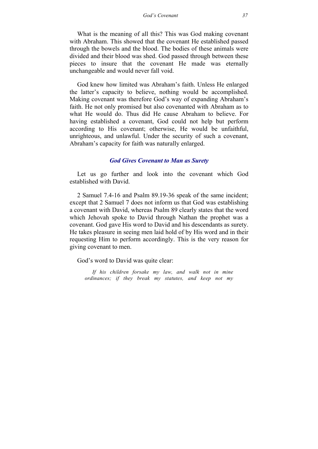What is the meaning of all this? This was God making covenant with Abraham. This showed that the covenant He established passed through the bowels and the blood. The bodies of these animals were divided and their blood was shed. God passed through between these pieces to insure that the covenant He made was eternally unchangeable and would never fall void.

God knew how limited was Abraham's faith. Unless He enlarged the latter's capacity to believe, nothing would be accomplished. Making covenant was therefore God's way of expanding Abraham's faith. He not only promised but also covenanted with Abraham as to what He would do. Thus did He cause Abraham to believe. For having established a covenant, God could not help but perform according to His covenant; otherwise, He would be unfaithful, unrighteous, and unlawful. Under the security of such a covenant, Abraham's capacity for faith was naturally enlarged.

### *God Gives Covenant to Man as Surety*

Let us go further and look into the covenant which God established with David.

2 Samuel 7.4-16 and Psalm 89.19-36 speak of the same incident; except that 2 Samuel 7 does not inform us that God was establishing a covenant with David, whereas Psalm 89 clearly states that the word which Jehovah spoke to David through Nathan the prophet was a covenant. God gave His word to David and his descendants as surety. He takes pleasure in seeing men laid hold of by His word and in their requesting Him to perform accordingly. This is the very reason for giving covenant to men.

God's word to David was quite clear:

*If his children forsake my law, and walk not in mine ordinances; if they break my statutes, and keep not my*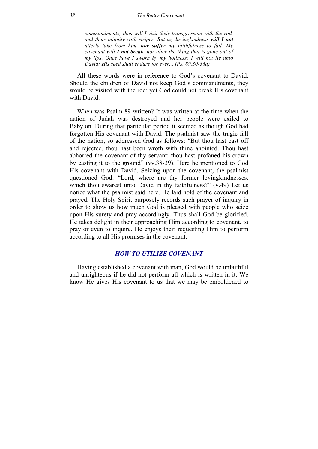*commandments; then will I visit their transgression with the rod, and their iniquity with stripes. But my lovingkindness will I not utterly take from him, nor suffer my faithfulness to fail. My covenant will I not break, nor alter the thing that is gone out of my lips. Once have I sworn by my holiness: I will not lie unto David: His seed shall endure for ever... (Ps. 89.30-36a)* 

All these words were in reference to God's covenant to David. Should the children of David not keep God's commandments, they would be visited with the rod; yet God could not break His covenant with David.

When was Psalm 89 written? It was written at the time when the nation of Judah was destroyed and her people were exiled to Babylon. During that particular period it seemed as though God had forgotten His covenant with David. The psalmist saw the tragic fall of the nation, so addressed God as follows: "But thou hast cast off and rejected, thou hast been wroth with thine anointed. Thou hast abhorred the covenant of thy servant: thou hast profaned his crown by casting it to the ground" (vv.38-39). Here he mentioned to God His covenant with David. Seizing upon the covenant, the psalmist questioned God: "Lord, where are thy former lovingkindnesses, which thou swarest unto David in thy faithfulness?" (v.49) Let us notice what the psalmist said here. He laid hold of the covenant and prayed. The Holy Spirit purposely records such prayer of inquiry in order to show us how much God is pleased with people who seize upon His surety and pray accordingly. Thus shall God be glorified. He takes delight in their approaching Him according to covenant, to pray or even to inquire. He enjoys their requesting Him to perform according to all His promises in the covenant.

#### *HOW TO UTILIZE COVENANT*

Having established a covenant with man, God would be unfaithful and unrighteous if he did not perform all which is written in it. We know He gives His covenant to us that we may be emboldened to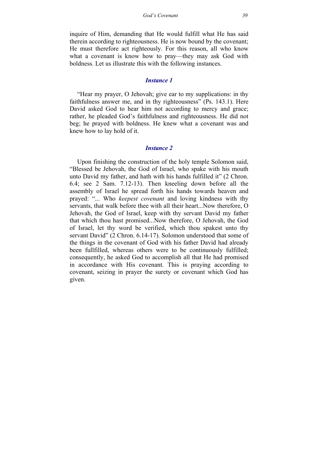inquire of Him, demanding that He would fulfill what He has said therein according to righteousness. He is now bound by the covenant; He must therefore act righteously. For this reason, all who know what a covenant is know how to pray—they may ask God with boldness. Let us illustrate this with the following instances.

#### *Instance 1*

"Hear my prayer, O Jehovah; give ear to my supplications: in thy faithfulness answer me, and in thy righteousness" (Ps. 143.1). Here David asked God to hear him not according to mercy and grace; rather, he pleaded God's faithfulness and righteousness. He did not beg; he prayed with boldness. He knew what a covenant was and knew how to lay hold of it.

#### *Instance 2*

Upon finishing the construction of the holy temple Solomon said, "Blessed be Jehovah, the God of Israel, who spake with his mouth unto David my father, and hath with his hands fulfilled it" (2 Chron. 6.4; see 2 Sam. 7.12-13). Then kneeling down before all the assembly of Israel he spread forth his hands towards heaven and prayed: "... Who *keepest covenant* and loving kindness with thy servants, that walk before thee with all their heart...Now therefore, O Jehovah, the God of Israel, keep with thy servant David my father that which thou hast promised...Now therefore, O Jehovah, the God of Israel, let thy word be verified, which thou spakest unto thy servant David" (2 Chron. 6.14-17). Solomon understood that some of the things in the covenant of God with his father David had already been fullfilled, whereas others were to be continuously fulfilled; consequently, he asked God to accomplish all that He had promised in accordance with His covenant. This is praying according to covenant, seizing in prayer the surety or covenant which God has given.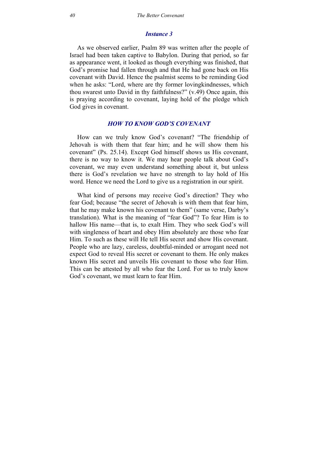#### *Instance 3*

As we observed earlier, Psalm 89 was written after the people of Israel had been taken captive to Babylon. During that period, so far as appearance went, it looked as though everything was finished, that God's promise had fallen through and that He had gone back on His covenant with David. Hence the psalmist seems to be reminding God when he asks: "Lord, where are thy former lovingkindnesses, which thou swarest unto David in thy faithfulness?" (v.49) Once again, this is praying according to covenant, laying hold of the pledge which God gives in covenant.

#### *HOW TO KNOW GOD'S COVENANT*

How can we truly know God's covenant? "The friendship of Jehovah is with them that fear him; and he will show them his covenant" (Ps. 25.14). Except God himself shows us His covenant, there is no way to know it. We may hear people talk about God's covenant, we may even understand something about it, but unless there is God's revelation we have no strength to lay hold of His word. Hence we need the Lord to give us a registration in our spirit.

What kind of persons may receive God's direction? They who fear God; because "the secret of Jehovah is with them that fear him, that he may make known his covenant to them" (same verse, Darby's translation). What is the meaning of "fear God"? To fear Him is to hallow His name—that is, to exalt Him. They who seek God's will with singleness of heart and obey Him absolutely are those who fear Him. To such as these will He tell His secret and show His covenant. People who are lazy, careless, doubtful-minded or arrogant need not expect God to reveal His secret or covenant to them. He only makes known His secret and unveils His covenant to those who fear Him. This can be attested by all who fear the Lord. For us to truly know God's covenant, we must learn to fear Him.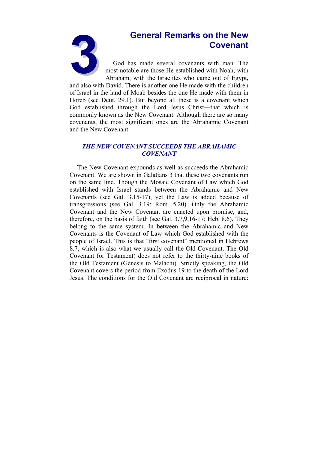

# **Covenant**

**3General Remarks on the New Covenant**<br> **3General Covenants with man**. The most notable are those He established with Noah, with Abraham, with the Israelites who came out of Egypt, God has made several covenants with man. The most notable are those He established with Noah, with Abraham, with the Israelites who came out of Egypt,

and also with David. There is another one He made with the children of Israel in the land of Moab besides the one He made with them in Horeb (see Deut. 29.1). But beyond all these is a covenant which God established through the Lord Jesus Christ—that which is commonly known as the New Covenant. Although there are so many covenants, the most significant ones are the Abrahamic Covenant and the New Covenant.

# *THE NEW COVENANT SUCCEEDS THE ABRAHAMIC COVENANT*

The New Covenant expounds as well as succeeds the Abrahamic Covenant. We are shown in Galatians 3 that these two covenants run on the same line. Though the Mosaic Covenant of Law which God established with Israel stands between the Abrahamic and New Covenants (see Gal. 3.15-17), yet the Law is added because of transgressions (see Gal. 3.19; Rom. 5.20). Only the Abrahamic Covenant and the New Covenant are enacted upon promise, and, therefore, on the basis of faith (see Gal. 3.7,9,16-17; Heb. 8.6). They belong to the same system. In between the Abrahamic and New Covenants is the Covenant of Law which God established with the people of Israel. This is that "first covenant" mentioned in Hebrews 8.7, which is also what we usually call the Old Covenant. The Old Covenant (or Testament) does not refer to the thirty-nine books of the Old Testament (Genesis to Malachi). Strictly speaking, the Old Covenant covers the period from Exodus 19 to the death of the Lord Jesus. The conditions for the Old Covenant are reciprocal in nature: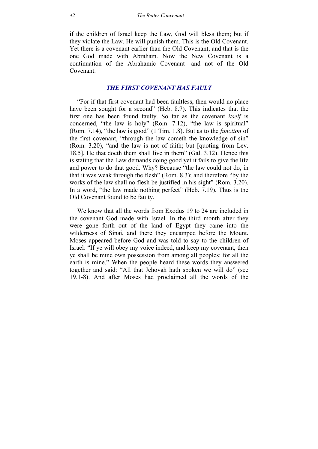if the children of Israel keep the Law, God will bless them; but if they violate the Law, He will punish them. This is the Old Covenant. Yet there is a covenant earlier than the Old Covenant, and that is the one God made with Abraham. Now the New Covenant is a continuation of the Abrahamic Covenant—and not of the Old Covenant.

#### *THE FIRST COVENANT HAS FAULT*

"For if that first covenant had been faultless, then would no place have been sought for a second" (Heb. 8.7). This indicates that the first one has been found faulty. So far as the covenant *itself* is concerned, "the law is holy" (Rom. 7.12), "the law is spiritual" (Rom. 7.14), "the law is good" (1 Tim. 1.8). But as to the *function* of the first covenant, "through the law cometh the knowledge of sin" (Rom. 3.20), "and the law is not of faith; but [quoting from Lev. 18.5], He that doeth them shall live in them" (Gal. 3.12). Hence this is stating that the Law demands doing good yet it fails to give the life and power to do that good. Why? Because "the law could not do, in that it was weak through the flesh" (Rom. 8.3); and therefore "by the works of the law shall no flesh be justified in his sight" (Rom. 3.20). In a word, "the law made nothing perfect" (Heb. 7.19). Thus is the Old Covenant found to be faulty.

We know that all the words from Exodus 19 to 24 are included in the covenant God made with Israel. In the third month after they were gone forth out of the land of Egypt they came into the wilderness of Sinai, and there they encamped before the Mount. Moses appeared before God and was told to say to the children of Israel: "If ye will obey my voice indeed, and keep my covenant, then ye shall be mine own possession from among all peoples: for all the earth is mine." When the people heard these words they answered together and said: "All that Jehovah hath spoken we will do" (see 19.1-8). And after Moses had proclaimed all the words of the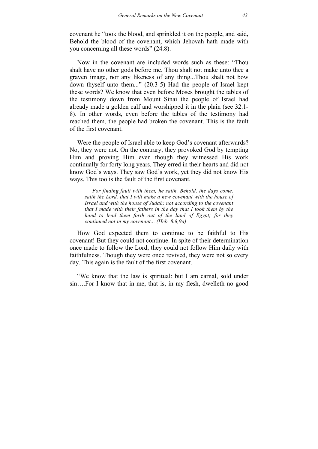covenant he "took the blood, and sprinkled it on the people, and said, Behold the blood of the covenant, which Jehovah hath made with you concerning all these words" (24.8).

Now in the covenant are included words such as these: "Thou shalt have no other gods before me. Thou shalt not make unto thee a graven image, nor any likeness of any thing...Thou shalt not bow down thyself unto them..." (20.3-5) Had the people of Israel kept these words? We know that even before Moses brought the tables of the testimony down from Mount Sinai the people of Israel had already made a golden calf and worshipped it in the plain (see 32.1- 8). In other words, even before the tables of the testimony had reached them, the people had broken the covenant. This is the fault of the first covenant.

Were the people of Israel able to keep God's covenant afterwards? No, they were not. On the contrary, they provoked God by tempting Him and proving Him even though they witnessed His work continually for forty long years. They erred in their hearts and did not know God's ways. They saw God's work, yet they did not know His ways. This too is the fault of the first covenant.

*For finding fault with them, he saith, Behold, the days come, saith the Lord, that I will make a new covenant with the house of Israel and with the house of Judah; not according to the covenant that I made with their fathers in the day that I took them by the hand to lead them forth out of the land of Egypt; for they continued not in my covenant... (Heb. 8.8,9a)* 

How God expected them to continue to be faithful to His covenant! But they could not continue. In spite of their determination once made to follow the Lord, they could not follow Him daily with faithfulness. Though they were once revived, they were not so every day. This again is the fault of the first covenant.

"We know that the law is spiritual: but I am carnal, sold under sin….For I know that in me, that is, in my flesh, dwelleth no good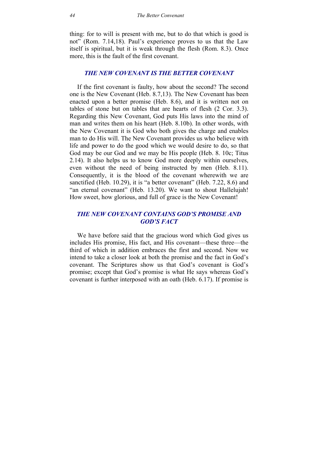thing: for to will is present with me, but to do that which is good is not" (Rom. 7.14,18). Paul's experience proves to us that the Law itself is spiritual, but it is weak through the flesh (Rom. 8.3). Once more, this is the fault of the first covenant.

#### *THE NEW COVENANT IS THE BETTER COVENANT*

If the first covenant is faulty, how about the second? The second one is the New Covenant (Heb. 8.7,13). The New Covenant has been enacted upon a better promise (Heb. 8.6), and it is written not on tables of stone but on tables that are hearts of flesh (2 Cor. 3.3). Regarding this New Covenant, God puts His laws into the mind of man and writes them on his heart (Heb. 8.10b). In other words, with the New Covenant it is God who both gives the charge and enables man to do His will. The New Covenant provides us who believe with life and power to do the good which we would desire to do, so that God may be our God and we may be His people (Heb. 8. 10c; Titus 2.14). It also helps us to know God more deeply within ourselves, even without the need of being instructed by men (Heb. 8.11). Consequently, it is the blood of the covenant wherewith we are sanctified (Heb. 10.29), it is "a better covenant" (Heb. 7.22, 8.6) and "an eternal covenant" (Heb. 13.20). We want to shout Hallelujah! How sweet, how glorious, and full of grace is the New Covenant!

# *THE NEW COVENANT CONTAINS GOD'S PROMISE AND GOD'S FACT*

We have before said that the gracious word which God gives us includes His promise, His fact, and His covenant—these three—the third of which in addition embraces the first and second. Now we intend to take a closer look at both the promise and the fact in God's covenant. The Scriptures show us that God's covenant is God's promise; except that God's promise is what He says whereas God's covenant is further interposed with an oath (Heb. 6.17). If promise is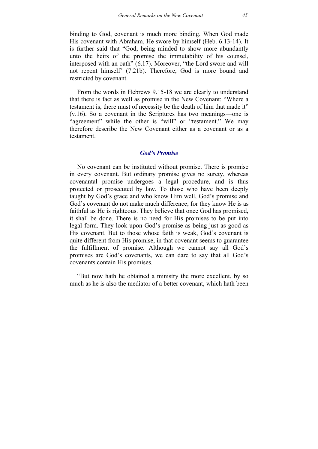binding to God, covenant is much more binding. When God made His covenant with Abraham, He swore by himself (Heb. 6.13-14). It is further said that "God, being minded to show more abundantly unto the heirs of the promise the immutability of his counsel, interposed with an oath" (6.17). Moreover, "the Lord swore and will not repent himself' (7.21b). Therefore, God is more bound and restricted by covenant.

From the words in Hebrews 9.15-18 we are clearly to understand that there is fact as well as promise in the New Covenant: "Where a testament is, there must of necessity be the death of him that made it" (v.16). So a covenant in the Scriptures has two meanings—one is "agreement" while the other is "will" or "testament." We may therefore describe the New Covenant either as a covenant or as a testament.

#### *God's Promise*

No covenant can be instituted without promise. There is promise in every covenant. But ordinary promise gives no surety, whereas covenantal promise undergoes a legal procedure, and is thus protected or prosecuted by law. To those who have been deeply taught by God's grace and who know Him well, God's promise and God's covenant do not make much difference; for they know He is as faithful as He is righteous. They believe that once God has promised, it shall be done. There is no need for His promises to be put into legal form. They look upon God's promise as being just as good as His covenant. But to those whose faith is weak, God's covenant is quite different from His promise, in that covenant seems to guarantee the fulfillment of promise. Although we cannot say all God's promises are God's covenants, we can dare to say that all God's covenants contain His promises.

"But now hath he obtained a ministry the more excellent, by so much as he is also the mediator of a better covenant, which hath been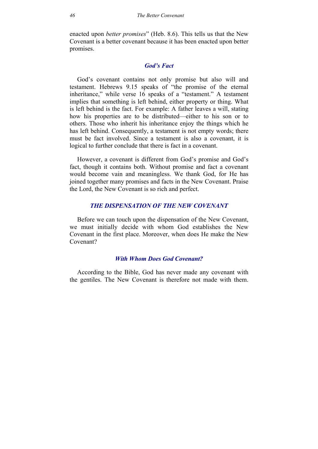enacted upon *better promises*" (Heb. 8.6). This tells us that the New Covenant is a better covenant because it has been enacted upon better promises.

### *God's Fact*

God's covenant contains not only promise but also will and testament. Hebrews 9.15 speaks of "the promise of the eternal inheritance," while verse 16 speaks of a "testament." A testament implies that something is left behind, either property or thing. What is left behind is the fact. For example: A father leaves a will, stating how his properties are to be distributed—either to his son or to others. Those who inherit his inheritance enjoy the things which he has left behind. Consequently, a testament is not empty words; there must be fact involved. Since a testament is also a covenant, it is logical to further conclude that there is fact in a covenant.

However, a covenant is different from God's promise and God's fact, though it contains both. Without promise and fact a covenant would become vain and meaningless. We thank God, for He has joined together many promises and facts in the New Covenant. Praise the Lord, the New Covenant is so rich and perfect.

## *THE DISPENSATION OF THE NEW COVENANT*

Before we can touch upon the dispensation of the New Covenant, we must initially decide with whom God establishes the New Covenant in the first place. Moreover, when does He make the New Covenant?

# *With Whom Does God Covenant?*

According to the Bible, God has never made any covenant with the gentiles. The New Covenant is therefore not made with them.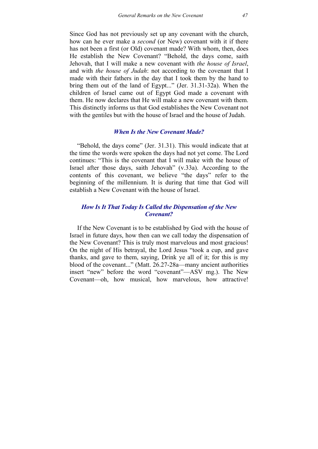Since God has not previously set up any covenant with the church, how can he ever make a *second* (or New) covenant with it if there has not been a first (or Old) covenant made? With whom, then, does He establish the New Covenant? "Behold, the days come, saith Jehovah, that I will make a new covenant with *the house of Israel*, and with *the house of Judah*: not according to the covenant that I made with their fathers in the day that I took them by the hand to bring them out of the land of Egypt..." (Jer. 31.31-32a). When the children of Israel came out of Egypt God made a covenant with them. He now declares that He will make a new covenant with them. This distinctly informs us that God establishes the New Covenant not with the gentiles but with the house of Israel and the house of Judah.

#### *When Is the New Covenant Made?*

"Behold, the days come" (Jer. 31.31). This would indicate that at the time the words were spoken the days had not yet come. The Lord continues: "This is the covenant that I will make with the house of Israel after those days, saith Jehovah" (v.33a). According to the contents of this covenant, we believe "the days" refer to the beginning of the millennium. It is during that time that God will establish a New Covenant with the house of Israel.

# *How Is It That Today Is Called the Dispensation of the New Covenant?*

If the New Covenant is to be established by God with the house of Israel in future days, how then can we call today the dispensation of the New Covenant? This is truly most marvelous and most gracious! On the night of His betrayal, the Lord Jesus "took a cup, and gave thanks, and gave to them, saying, Drink ye all of it; for this is my blood of the covenant..." (Matt. 26.27-28a—many ancient authorities insert "new" before the word "covenant"—ASV mg.). The New Covenant—oh, how musical, how marvelous, how attractive!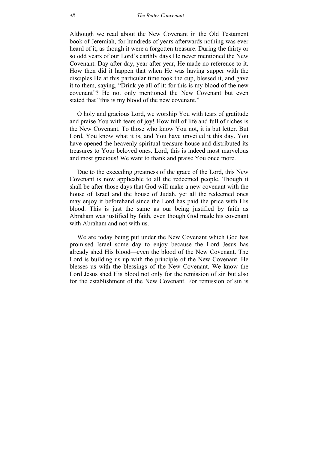Although we read about the New Covenant in the Old Testament book of Jeremiah, for hundreds of years afterwards nothing was ever heard of it, as though it were a forgotten treasure. During the thirty or so odd years of our Lord's earthly days He never mentioned the New Covenant. Day after day, year after year, He made no reference to it. How then did it happen that when He was having supper with the disciples He at this particular time took the cup, blessed it, and gave it to them, saying, "Drink ye all of it; for this is my blood of the new covenant"? He not only mentioned the New Covenant but even stated that "this is my blood of the new covenant."

O holy and gracious Lord, we worship You with tears of gratitude and praise You with tears of joy! How full of life and full of riches is the New Covenant. To those who know You not, it is but letter. But Lord, You know what it is, and You have unveiled it this day. You have opened the heavenly spiritual treasure-house and distributed its treasures to Your beloved ones. Lord, this is indeed most marvelous and most gracious! We want to thank and praise You once more.

Due to the exceeding greatness of the grace of the Lord, this New Covenant is now applicable to all the redeemed people. Though it shall be after those days that God will make a new covenant with the house of Israel and the house of Judah, yet all the redeemed ones may enjoy it beforehand since the Lord has paid the price with His blood. This is just the same as our being justified by faith as Abraham was justified by faith, even though God made his covenant with Abraham and not with us

We are today being put under the New Covenant which God has promised Israel some day to enjoy because the Lord Jesus has already shed His blood—even the blood of the New Covenant. The Lord is building us up with the principle of the New Covenant. He blesses us with the blessings of the New Covenant. We know the Lord Jesus shed His blood not only for the remission of sin but also for the establishment of the New Covenant. For remission of sin is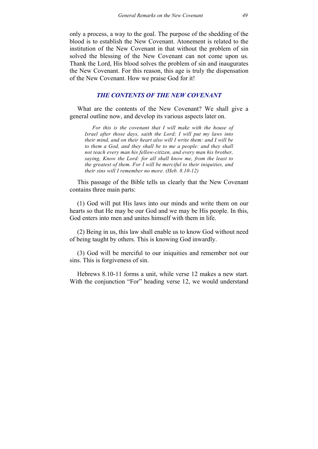only a process, a way to the goal. The purpose of the shedding of the blood is to establish the New Covenant. Atonement is related to the institution of the New Covenant in that without the problem of sin solved the blessing of the New Covenant can not come upon us. Thank the Lord, His blood solves the problem of sin and inaugurates the New Covenant. For this reason, this age is truly the dispensation of the New Covenant. How we praise God for it!

# *THE CONTENTS OF THE NEW COVENANT*

What are the contents of the New Covenant? We shall give a general outline now, and develop its various aspects later on.

*For this is the covenant that I will make with the house of Israel after those days, saith the Lord; I will put my laws into their mind, and on their heart also will I write them: and I will be to them a God, and they shall be to me a people: and they shall not teach every man his fellow-citizen, and every man his brother, saying, Know the Lord: for all shall know me, from the least to the greatest of them. For I will be merciful to their iniquities, and their sins will I remember no more. (Heb. 8.10-12)* 

This passage of the Bible tells us clearly that the New Covenant contains three main parts:

(1) God will put His laws into our minds and write them on our hearts so that He may be our God and we may be His people. In this, God enters into men and unites himself with them in life.

(2) Being in us, this law shall enable us to know God without need of being taught by others. This is knowing God inwardly.

(3) God will be merciful to our iniquities and remember not our sins. This is forgiveness of sin.

Hebrews 8.10-11 forms a unit, while verse 12 makes a new start. With the conjunction "For" heading verse 12, we would understand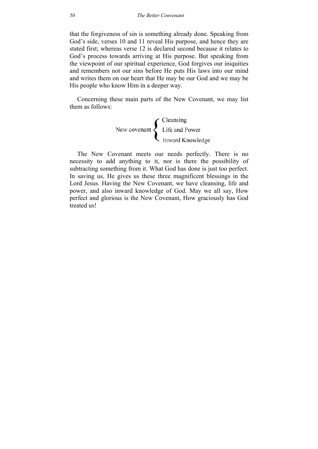that the forgiveness of sin is something already done. Speaking from God's side, verses 10 and 11 reveal His purpose, and hence they are stated first; whereas verse 12 is declared second because it relates to God's process towards arriving at His purpose. But speaking from the viewpoint of our spiritual experience, God forgives our iniquities and remembers not our sins before He puts His laws into our mind and writes them on our heart that He may be our God and we may be His people who know Him in a deeper way.

Concerning these main parts of the New Covenant, we may list them as follows:



The New Covenant meets our needs perfectly. There is no necessity to add anything to it, nor is there the possibility of subtracting something from it. What God has done is just too perfect. In saving us, He gives us these three magnificent blessings in the Lord Jesus. Having the New Covenant, we have cleansing, life and power, and also inward knowledge of God. May we all say, How perfect and glorious is the New Covenant, How graciously has God treated us!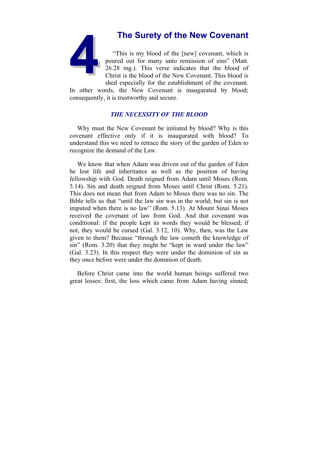**4This is my blood of the New Covenant**<br> **4This is my blood of the [new] covenant, which is<br>
poured out for many unto remission of sins" (Matt.<br>
26.28 mg.). This verse indicates that the blood of<br>
Christ is the blood of th** "This is my blood of the [new] covenant, which is poured out for many unto remission of sins" (Matt. 26.28 mg.). This verse indicates that the blood of Christ is the blood of the New Covenant. This blood is shed especially for the establishment of the covenant.

In other words, the New Covenant is inaugurated by blood; consequently, it is trustworthy and secure.

### *THE NECESSITY OF THE BLOOD*

Why must the New Covenant be initiated by blood? Why is this covenant effective only if it is inaugurated with blood? To understand this we need to retrace the story of the garden of Eden to recognize the demand of the Law.

We know that when Adam was driven out of the garden of Eden he lost life and inheritance as well as the position of having fellowship with God. Death reigned from Adam until Moses (Rom. 5.14). Sin and death reigned from Moses until Christ (Rom. 5.21). This does not mean that from Adam to Moses there was no sin. The Bible tells us that "until the law sin was in the world; but sin is not imputed when there is no law" (Rom. 5.13). At Mount Sinai Moses received the covenant of law from God. And that covenant was conditional: if the people kept its words they would be blessed; if not, they would be cursed (Gal. 3.12, 10). Why, then, was the Law given to them? Because "through the law cometh the knowledge of sin" (Rom. 3.20) that they might be "kept in ward under the law" (Gal. 3.23). In this respect they were under the dominion of sin as they once before were under the dominion of death.

Before Christ came into the world human beings suffered two great losses: first, the loss which came from Adam having sinned;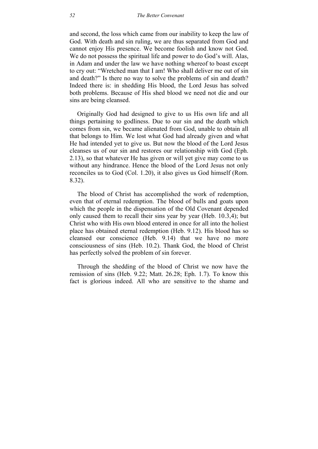and second, the loss which came from our inability to keep the law of God. With death and sin ruling, we are thus separated from God and cannot enjoy His presence. We become foolish and know not God. We do not possess the spiritual life and power to do God's will. Alas, in Adam and under the law we have nothing whereof to boast except to cry out: "Wretched man that I am! Who shall deliver me out of sin and death?" Is there no way to solve the problems of sin and death? Indeed there is: in shedding His blood, the Lord Jesus has solved both problems. Because of His shed blood we need not die and our sins are being cleansed.

Originally God had designed to give to us His own life and all things pertaining to godliness. Due to our sin and the death which comes from sin, we became alienated from God, unable to obtain all that belongs to Him. We lost what God had already given and what He had intended yet to give us. But now the blood of the Lord Jesus cleanses us of our sin and restores our relationship with God (Eph. 2.13), so that whatever He has given or will yet give may come to us without any hindrance. Hence the blood of the Lord Jesus not only reconciles us to God (Col. 1.20), it also gives us God himself (Rom. 8.32).

The blood of Christ has accomplished the work of redemption, even that of eternal redemption. The blood of bulls and goats upon which the people in the dispensation of the Old Covenant depended only caused them to recall their sins year by year (Heb. 10.3,4); but Christ who with His own blood entered in once for all into the holiest place has obtained eternal redemption (Heb. 9.12). His blood has so cleansed our conscience (Heb. 9.14) that we have no more consciousness of sins (Heb. 10.2). Thank God, the blood of Christ has perfectly solved the problem of sin forever.

Through the shedding of the blood of Christ we now have the remission of sins (Heb. 9.22; Matt. 26.28; Eph. 1.7). To know this fact is glorious indeed. All who are sensitive to the shame and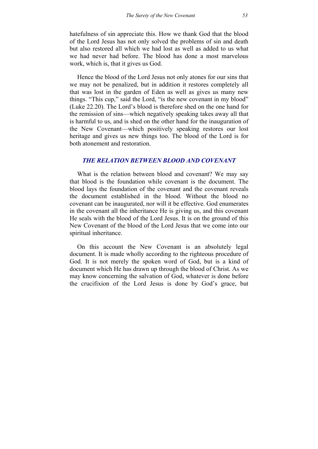hatefulness of sin appreciate this. How we thank God that the blood of the Lord Jesus has not only solved the problems of sin and death but also restored all which we had lost as well as added to us what we had never had before. The blood has done a most marvelous work, which is, that it gives us God.

Hence the blood of the Lord Jesus not only atones for our sins that we may not be penalized, but in addition it restores completely all that was lost in the garden of Eden as well as gives us many new things. "This cup," said the Lord, "is the new covenant in my blood" (Luke 22.20). The Lord's blood is therefore shed on the one hand for the remission of sins—which negatively speaking takes away all that is harmful to us, and is shed on the other hand for the inauguration of the New Covenant—which positively speaking restores our lost heritage and gives us new things too. The blood of the Lord is for both atonement and restoration.

# *THE RELATION BETWEEN BLOOD AND COVENANT*

What is the relation between blood and covenant? We may say that blood is the foundation while covenant is the document. The blood lays the foundation of the covenant and the covenant reveals the document established in the blood. Without the blood no covenant can be inaugurated, nor will it be effective. God enumerates in the covenant all the inheritance He is giving us, and this covenant He seals with the blood of the Lord Jesus. It is on the ground of this New Covenant of the blood of the Lord Jesus that we come into our spiritual inheritance.

On this account the New Covenant is an absolutely legal document. It is made wholly according to the righteous procedure of God. It is not merely the spoken word of God, but is a kind of document which He has drawn up through the blood of Christ. As we may know concerning the salvation of God, whatever is done before the crucifixion of the Lord Jesus is done by God's grace, but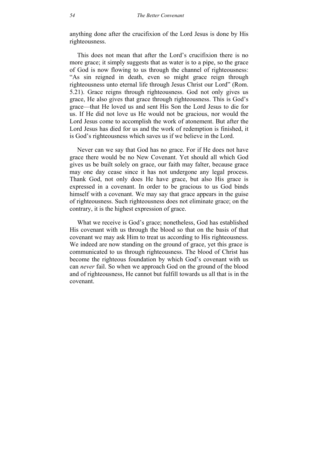anything done after the crucifixion of the Lord Jesus is done by His righteousness.

This does not mean that after the Lord's crucifixion there is no more grace; it simply suggests that as water is to a pipe, so the grace of God is now flowing to us through the channel of righteousness: "As sin reigned in death, even so might grace reign through righteousness unto eternal life through Jesus Christ our Lord" (Rom. 5.21). Grace reigns through righteousness. God not only gives us grace, He also gives that grace through righteousness. This is God's grace—that He loved us and sent His Son the Lord Jesus to die for us. If He did not love us He would not be gracious, nor would the Lord Jesus come to accomplish the work of atonement. But after the Lord Jesus has died for us and the work of redemption is finished, it is God's righteousness which saves us if we believe in the Lord.

Never can we say that God has no grace. For if He does not have grace there would be no New Covenant. Yet should all which God gives us be built solely on grace, our faith may falter, because grace may one day cease since it has not undergone any legal process. Thank God, not only does He have grace, but also His grace is expressed in a covenant. In order to be gracious to us God binds himself with a covenant. We may say that grace appears in the guise of righteousness. Such righteousness does not eliminate grace; on the contrary, it is the highest expression of grace.

What we receive is God's grace; nonetheless, God has established His covenant with us through the blood so that on the basis of that covenant we may ask Him to treat us according to His righteousness. We indeed are now standing on the ground of grace, yet this grace is communicated to us through righteousness. The blood of Christ has become the righteous foundation by which God's covenant with us can *never* fail. So when we approach God on the ground of the blood and of righteousness, He cannot but fulfill towards us all that is in the covenant.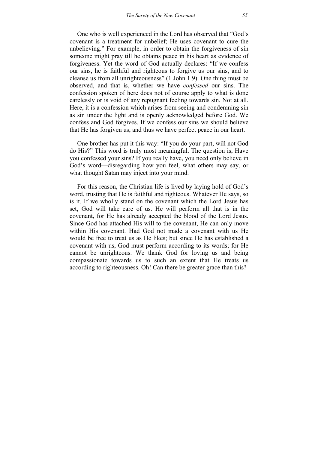One who is well experienced in the Lord has observed that "God's covenant is a treatment for unbelief; He uses covenant to cure the unbelieving." For example, in order to obtain the forgiveness of sin someone might pray till he obtains peace in his heart as evidence of forgiveness. Yet the word of God actually declares: "If we confess our sins, he is faithful and righteous to forgive us our sins, and to cleanse us from all unrighteousness" (1 John 1.9). One thing must be observed, and that is, whether we have *confessed* our sins. The confession spoken of here does not of course apply to what is done carelessly or is void of any repugnant feeling towards sin. Not at all. Here, it is a confession which arises from seeing and condemning sin as sin under the light and is openly acknowledged before God. We confess and God forgives. If we confess our sins we should believe that He has forgiven us, and thus we have perfect peace in our heart.

One brother has put it this way: "If you do your part, will not God do His?" This word is truly most meaningful. The question is, Have you confessed your sins? If you really have, you need only believe in God's word—disregarding how you feel, what others may say, or what thought Satan may inject into your mind.

For this reason, the Christian life is lived by laying hold of God's word, trusting that He is faithful and righteous. Whatever He says, so is it. If we wholly stand on the covenant which the Lord Jesus has set, God will take care of us. He will perform all that is in the covenant, for He has already accepted the blood of the Lord Jesus. Since God has attached His will to the covenant, He can only move within His covenant. Had God not made a covenant with us He would be free to treat us as He likes; but since He has established a covenant with us, God must perform according to its words; for He cannot be unrighteous. We thank God for loving us and being compassionate towards us to such an extent that He treats us according to righteousness. Oh! Can there be greater grace than this?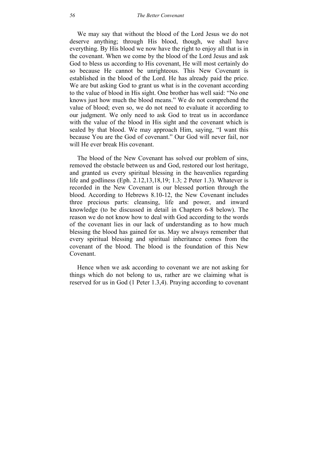We may say that without the blood of the Lord Jesus we do not deserve anything; through His blood, though, we shall have everything. By His blood we now have the right to enjoy all that is in the covenant. When we come by the blood of the Lord Jesus and ask God to bless us according to His covenant, He will most certainly do so because He cannot be unrighteous. This New Covenant is established in the blood of the Lord. He has already paid the price. We are but asking God to grant us what is in the covenant according to the value of blood in His sight. One brother has well said: "No one knows just how much the blood means." We do not comprehend the value of blood; even so, we do not need to evaluate it according to our judgment. We only need to ask God to treat us in accordance with the value of the blood in His sight and the covenant which is sealed by that blood. We may approach Him, saying, "I want this because You are the God of covenant." Our God will never fail, nor will He ever break His covenant.

The blood of the New Covenant has solved our problem of sins, removed the obstacle between us and God, restored our lost heritage, and granted us every spiritual blessing in the heavenlies regarding life and godliness (Eph. 2.12,13,18,19; 1.3; 2 Peter 1.3). Whatever is recorded in the New Covenant is our blessed portion through the blood. According to Hebrews 8.10-12, the New Covenant includes three precious parts: cleansing, life and power, and inward knowledge (to be discussed in detail in Chapters 6-8 below). The reason we do not know how to deal with God according to the words of the covenant lies in our lack of understanding as to how much blessing the blood has gained for us. May we always remember that every spiritual blessing and spiritual inheritance comes from the covenant of the blood. The blood is the foundation of this New Covenant.

Hence when we ask according to covenant we are not asking for things which do not belong to us, rather are we claiming what is reserved for us in God (1 Peter 1.3,4). Praying according to covenant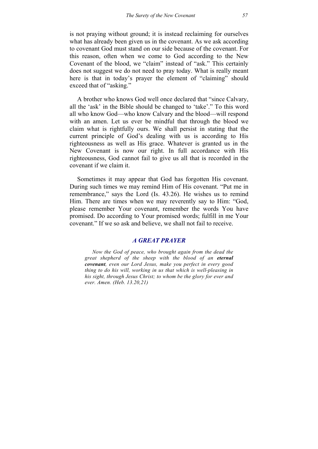is not praying without ground; it is instead reclaiming for ourselves what has already been given us in the covenant. As we ask according to covenant God must stand on our side because of the covenant. For this reason, often when we come to God according to the New Covenant of the blood, we "claim" instead of "ask." This certainly does not suggest we do not need to pray today. What is really meant here is that in today's prayer the element of "claiming" should exceed that of "asking."

A brother who knows God well once declared that "since Calvary, all the 'ask' in the Bible should be changed to 'take'." To this word all who know God—who know Calvary and the blood—will respond with an amen. Let us ever be mindful that through the blood we claim what is rightfully ours. We shall persist in stating that the current principle of God's dealing with us is according to His righteousness as well as His grace. Whatever is granted us in the New Covenant is now our right. In full accordance with His righteousness, God cannot fail to give us all that is recorded in the covenant if we claim it.

Sometimes it may appear that God has forgotten His covenant. During such times we may remind Him of His covenant. "Put me in remembrance," says the Lord (Is. 43.26). He wishes us to remind Him. There are times when we may reverently say to Him: "God, please remember Your covenant, remember the words You have promised. Do according to Your promised words; fulfill in me Your covenant." If we so ask and believe, we shall not fail to receive.

#### *A GREAT PRAYER*

*Now the God of peace, who brought again from the dead the great shepherd of the sheep with the blood of an eternal covenant, even our Lord Jesus, make you perfect in every good thing to do his will, working in us that which is well-pleasing in his sight, through Jesus Christ; to whom be the glory for ever and ever. Amen. (Heb. 13.20,21)*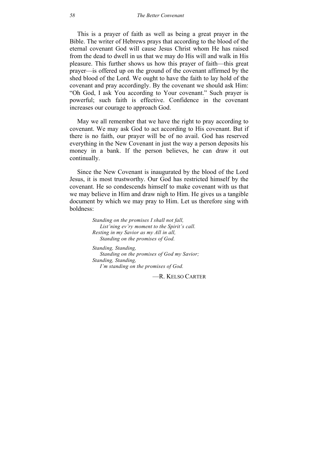This is a prayer of faith as well as being a great prayer in the Bible. The writer of Hebrews prays that according to the blood of the eternal covenant God will cause Jesus Christ whom He has raised from the dead to dwell in us that we may do His will and walk in His pleasure. This further shows us how this prayer of faith—this great prayer—is offered up on the ground of the covenant affirmed by the shed blood of the Lord. We ought to have the faith to lay hold of the covenant and pray accordingly. By the covenant we should ask Him: "Oh God, I ask You according to Your covenant." Such prayer is powerful; such faith is effective. Confidence in the covenant increases our courage to approach God.

May we all remember that we have the right to pray according to covenant. We may ask God to act according to His covenant. But if there is no faith, our prayer will be of no avail. God has reserved everything in the New Covenant in just the way a person deposits his money in a bank. If the person believes, he can draw it out continually.

Since the New Covenant is inaugurated by the blood of the Lord Jesus, it is most trustworthy. Our God has restricted himself by the covenant. He so condescends himself to make covenant with us that we may believe in Him and draw nigh to Him. He gives us a tangible document by which we may pray to Him. Let us therefore sing with boldness:

> *Standing on the promises I shall not fall, List'ning ev'ry moment to the Spirit's call. Resting in my Savior as my All in all, Standing on the promises of God.*

*Standing, Standing, Standing on the promises of God my Savior; Standing, Standing, I'm standing on the promises of God.* 

—R. KELSO CARTER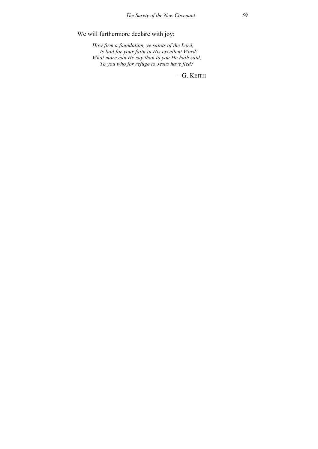# We will furthermore declare with joy:

*How firm a foundation, ye saints of the Lord, Is laid for your faith in His excellent Word! What more can He say than to you He hath said, To you who for refuge to Jesus have fled?* 

—G. KEITH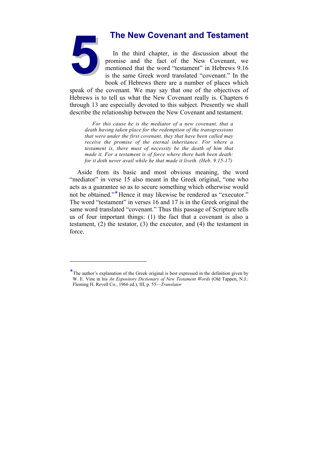

 $\overline{\phantom{a}}$ 

**5The New Covenant and Testament**<br>
In the third chapter, in the discussion about the<br>
promise and the fact of the New Covenant, we<br>
mentioned that the word "testament" in Hebrews 9.16<br>
is the same Greek word translated "co In the third chapter, in the discussion about the promise and the fact of the New Covenant, we mentioned that the word "testament" in Hebrews 9.16 is the same Greek word translated "covenant." In the book of Hebrews there are a number of places which

speak of the covenant. We may say that one of the objectives of Hebrews is to tell us what the New Covenant really is. Chapters 6 through 13 are especially devoted to this subject. Presently we shall describe the relationship between the New Covenant and testament.

*For this cause he is the mediator of a new covenant, that a death having taken place for the redemption of the transgressions that were under the first covenant, they that have been called may receive the promise of the eternal inheritance. For where a testament is, there must of necessity be the death of him that made it. For a testament is of force where there hath been death: for it doth never avail while he that made it liveth. (Heb. 9.15-17)*

Aside from its basic and most obvious meaning, the word "mediator" in verse 15 also meant in the Greek original, "one who acts as a guarantee so as to secure something which otherwise would not be obtained."<sup>∗</sup> Hence it may likewise be rendered as "executor." The word "testament" in verses 16 and 17 is in the Greek original the same word translated "covenant." Thus this passage of Scripture tells us of four important things: (1) the fact that a covenant is also a testament, (2) the testator, (3) the executor, and (4) the testament in force.

<sup>∗</sup> The author's explanation of the Greek original is best expressed in the definition given by W. E. Vine in his *An Expository Dictionary of New Testament Words* (Old Tappen, N.J.: Fleming H. Revell Co., 1966 ed.), III, p. 55—*Translator*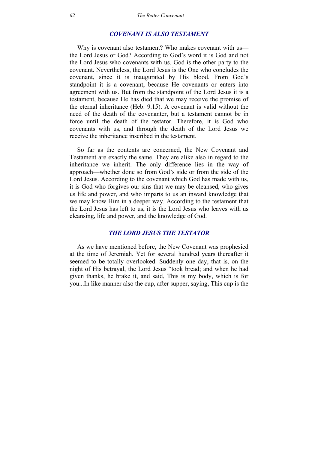#### *COVENANT IS ALSO TESTAMENT*

Why is covenant also testament? Who makes covenant with usthe Lord Jesus or God? According to God's word it is God and not the Lord Jesus who covenants with us. God is the other party to the covenant. Nevertheless, the Lord Jesus is the One who concludes the covenant, since it is inaugurated by His blood. From God's standpoint it is a covenant, because He covenants or enters into agreement with us. But from the standpoint of the Lord Jesus it is a testament, because He has died that we may receive the promise of the eternal inheritance (Heb. 9.15). A covenant is valid without the need of the death of the covenanter, but a testament cannot be in force until the death of the testator. Therefore, it is God who covenants with us, and through the death of the Lord Jesus we receive the inheritance inscribed in the testament.

So far as the contents are concerned, the New Covenant and Testament are exactly the same. They are alike also in regard to the inheritance we inherit. The only difference lies in the way of approach—whether done so from God's side or from the side of the Lord Jesus. According to the covenant which God has made with us, it is God who forgives our sins that we may be cleansed, who gives us life and power, and who imparts to us an inward knowledge that we may know Him in a deeper way. According to the testament that the Lord Jesus has left to us, it is the Lord Jesus who leaves with us cleansing, life and power, and the knowledge of God.

#### *THE LORD JESUS THE TESTATOR*

As we have mentioned before, the New Covenant was prophesied at the time of Jeremiah. Yet for several hundred years thereafter it seemed to be totally overlooked. Suddenly one day, that is, on the night of His betrayal, the Lord Jesus "took bread; and when he had given thanks, he brake it, and said, This is my body, which is for you...In like manner also the cup, after supper, saying, This cup is the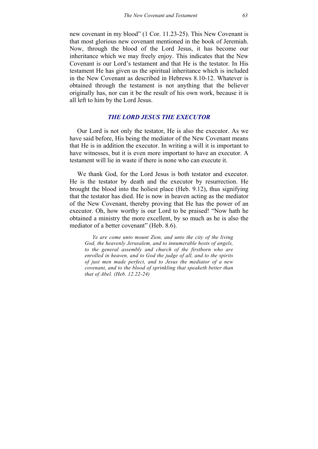new covenant in my blood" (1 Cor. 11.23-25). This New Covenant is that most glorious new covenant mentioned in the book of Jeremiah. Now, through the blood of the Lord Jesus, it has become our inheritance which we may freely enjoy. This indicates that the New Covenant is our Lord's testament and that He is the testator. In His testament He has given us the spiritual inheritance which is included in the New Covenant as described in Hebrews 8.10-12. Whatever is obtained through the testament is not anything that the believer originally has, nor can it be the result of his own work, because it is all left to him by the Lord Jesus.

# *THE LORD JESUS THE EXECUTOR*

Our Lord is not only the testator, He is also the executor. As we have said before, His being the mediator of the New Covenant means that He is in addition the executor. In writing a will it is important to have witnesses, but it is even more important to have an executor. A testament will lie in waste if there is none who can execute it.

We thank God, for the Lord Jesus is both testator and executor. He is the testator by death and the executor by resurrection. He brought the blood into the holiest place (Heb. 9.12), thus signifying that the testator has died. He is now in heaven acting as the mediator of the New Covenant, thereby proving that He has the power of an executor. Oh, how worthy is our Lord to be praised! "Now hath he obtained a ministry the more excellent, by so much as he is also the mediator of a better covenant" (Heb. 8.6).

*Ye are come unto mount Zion, and unto the city of the living God, the heavenly Jerusalem, and to innumerable hosts of angels, to the general assembly and church of the firstborn who are enrolled in heaven, and to God the judge of all, and to the spirits of just men made perfect, and to Jesus the mediator of a new covenant, and to the blood of sprinkling that speaketh better than that of Abel. (Heb. 12.22-24)*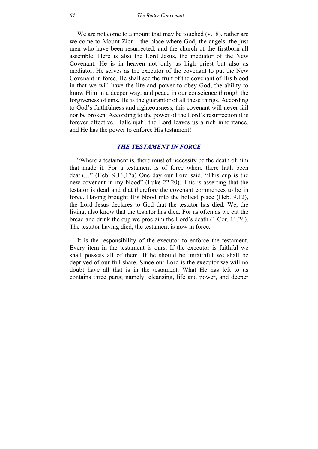We are not come to a mount that may be touched  $(v.18)$ , rather are we come to Mount Zion—the place where God, the angels, the just men who have been resurrected, and the church of the firstborn all assemble. Here is also the Lord Jesus, the mediator of the New Covenant. He is in heaven not only as high priest but also as mediator. He serves as the executor of the covenant to put the New Covenant in force. He shall see the fruit of the covenant of His blood in that we will have the life and power to obey God, the ability to know Him in a deeper way, and peace in our conscience through the forgiveness of sins. He is the guarantor of all these things. According to God's faithfulness and righteousness, this covenant will never fail nor be broken. According to the power of the Lord's resurrection it is forever effective. Hallelujah! the Lord leaves us a rich inheritance, and He has the power to enforce His testament!

#### *THE TESTAMENT IN FORCE*

"Where a testament is, there must of necessity be the death of him that made it. For a testament is of force where there hath been death…" (Heb. 9.16,17a) One day our Lord said, "This cup is the new covenant in my blood" (Luke 22.20). This is asserting that the testator is dead and that therefore the covenant commences to be in force. Having brought His blood into the holiest place (Heb. 9.12), the Lord Jesus declares to God that the testator has died. We, the living, also know that the testator has died. For as often as we eat the bread and drink the cup we proclaim the Lord's death (1 Cor. 11.26). The testator having died, the testament is now in force.

It is the responsibility of the executor to enforce the testament. Every item in the testament is ours. If the executor is faithful we shall possess all of them. If he should be unfaithful we shall be deprived of our full share. Since our Lord is the executor we will no doubt have all that is in the testament. What He has left to us contains three parts; namely, cleansing, life and power, and deeper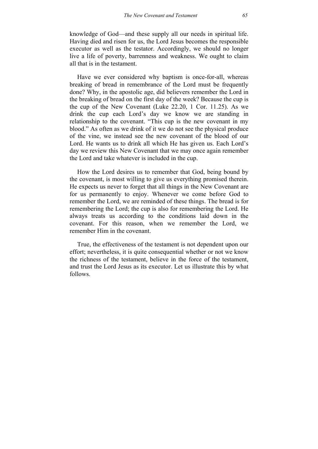knowledge of God—and these supply all our needs in spiritual life. Having died and risen for us, the Lord Jesus becomes the responsible executor as well as the testator. Accordingly, we should no longer live a life of poverty, barrenness and weakness. We ought to claim all that is in the testament.

Have we ever considered why baptism is once-for-all, whereas breaking of bread in remembrance of the Lord must be frequently done? Why, in the apostolic age, did believers remember the Lord in the breaking of bread on the first day of the week? Because the cup is the cup of the New Covenant (Luke 22.20, 1 Cor. 11.25). As we drink the cup each Lord's day we know we are standing in relationship to the covenant. "This cup is the new covenant in my blood." As often as we drink of it we do not see the physical produce of the vine, we instead see the new covenant of the blood of our Lord. He wants us to drink all which He has given us. Each Lord's day we review this New Covenant that we may once again remember the Lord and take whatever is included in the cup.

How the Lord desires us to remember that God, being bound by the covenant, is most willing to give us everything promised therein. He expects us never to forget that all things in the New Covenant are for us permanently to enjoy. Whenever we come before God to remember the Lord, we are reminded of these things. The bread is for remembering the Lord; the cup is also for remembering the Lord. He always treats us according to the conditions laid down in the covenant. For this reason, when we remember the Lord, we remember Him in the covenant.

True, the effectiveness of the testament is not dependent upon our effort; nevertheless, it is quite consequential whether or not we know the richness of the testament, believe in the force of the testament, and trust the Lord Jesus as its executor. Let us illustrate this by what follows.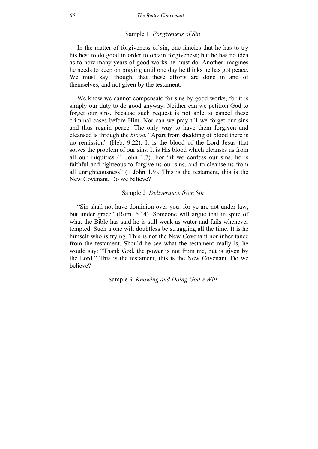### Sample 1 *Forgiveness of Sin*

In the matter of forgiveness of sin, one fancies that he has to try his best to do good in order to obtain forgiveness; but he has no idea as to how many years of good works he must do. Another imagines he needs to keep on praying until one day he thinks he has got peace. We must say, though, that these efforts are done in and of themselves, and not given by the testament.

We know we cannot compensate for sins by good works, for it is simply our duty to do good anyway. Neither can we petition God to forget our sins, because such request is not able to cancel these criminal cases before Him. Nor can we pray till we forget our sins and thus regain peace. The only way to have them forgiven and cleansed is through the *blood*. "Apart from shedding of blood there is no remission" (Heb. 9.22). It is the blood of the Lord Jesus that solves the problem of our sins. It is His blood which cleanses us from all our iniquities (1 John 1.7). For "if we confess our sins, he is faithful and righteous to forgive us our sins, and to cleanse us from all unrighteousness" (1 John 1.9). This is the testament, this is the New Covenant. Do we believe?

### Sample 2 *Deliverance from Sin*

"Sin shall not have dominion over you: for ye are not under law, but under grace" (Rom. 6.14). Someone will argue that in spite of what the Bible has said he is still weak as water and fails whenever tempted. Such a one will doubtless be struggling all the time. It is he himself who is trying. This is not the New Covenant nor inheritance from the testament. Should he see what the testament really is, he would say: "Thank God, the power is not from me, but is given by the Lord." This is the testament, this is the New Covenant. Do we believe?

# Sample 3 *Knowing and Doing God's Will*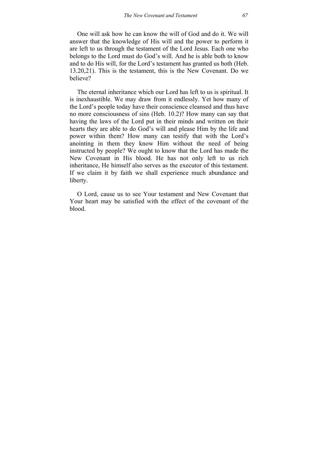One will ask how he can know the will of God and do it. We will answer that the knowledge of His will and the power to perform it are left to us through the testament of the Lord Jesus. Each one who belongs to the Lord must do God's will. And he is able both to know and to do His will, for the Lord's testament has granted us both (Heb. 13.20,21). This is the testament, this is the New Covenant. Do we believe?

The eternal inheritance which our Lord has left to us is spiritual. It is inexhaustible. We may draw from it endlessly. Yet how many of the Lord's people today have their conscience cleansed and thus have no more consciousness of sins (Heb. 10.2)? How many can say that having the laws of the Lord put in their minds and written on their hearts they are able to do God's will and please Him by the life and power within them? How many can testify that with the Lord's anointing in them they know Him without the need of being instructed by people? We ought to know that the Lord has made the New Covenant in His blood. He has not only left to us rich inheritance, He himself also serves as the executor of this testament. If we claim it by faith we shall experience much abundance and liberty.

O Lord, cause us to see Your testament and New Covenant that Your heart may be satisfied with the effect of the covenant of the blood.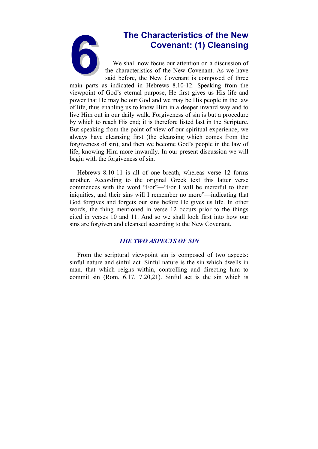

# **Covenant: (1) Cleansing**

**6The Characteristics of the New Covenant: (1) Cleansing**<br>We shall now focus our attention on a discussion of<br>the characteristics of the New Covenant. As we have<br>said before, the New Covenant is composed of three We shall now focus our attention on a discussion of the characteristics of the New Covenant. As we have said before, the New Covenant is composed of three

main parts as indicated in Hebrews 8.10-12. Speaking from the viewpoint of God's eternal purpose, He first gives us His life and power that He may be our God and we may be His people in the law of life, thus enabling us to know Him in a deeper inward way and to live Him out in our daily walk. Forgiveness of sin is but a procedure by which to reach His end; it is therefore listed last in the Scripture. But speaking from the point of view of our spiritual experience, we always have cleansing first (the cleansing which comes from the forgiveness of sin), and then we become God's people in the law of life, knowing Him more inwardly. In our present discussion we will begin with the forgiveness of sin.

Hebrews 8.10-11 is all of one breath, whereas verse 12 forms another. According to the original Greek text this latter verse commences with the word "For"—"For I will be merciful to their iniquities, and their sins will I remember no more"—indicating that God forgives and forgets our sins before He gives us life. In other words, the thing mentioned in verse 12 occurs prior to the things cited in verses 10 and 11. And so we shall look first into how our sins are forgiven and cleansed according to the New Covenant.

# *THE TWO ASPECTS OF SIN*

From the scriptural viewpoint sin is composed of two aspects: sinful nature and sinful act. Sinful nature is the sin which dwells in man, that which reigns within, controlling and directing him to commit sin (Rom. 6.17, 7.20,21). Sinful act is the sin which is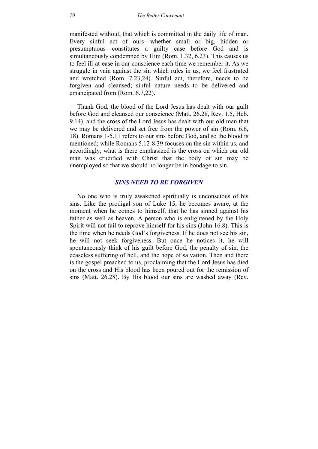manifested without, that which is committed in the daily life of man. Every sinful act of ours—whether small or big, hidden or presumptuous—constitutes a guilty case before God and is simultaneously condemned by Him (Rom. 1.32, 6.23). This causes us to feel ill-at-ease in our conscience each time we remember it. As we struggle in vain against the sin which rules in us, we feel frustrated and wretched (Rom. 7.23,24). Sinful act, therefore, needs to be forgiven and cleansed; sinful nature needs to be delivered and emancipated from (Rom. 6.7,22).

Thank God, the blood of the Lord Jesus has dealt with our guilt before God and cleansed our conscience (Matt. 26.28, Rev. 1.5, Heb. 9.14), and the cross of the Lord Jesus has dealt with our old man that we may be delivered and set free from the power of sin (Rom. 6.6, 18). Romans 1-5.11 refers to our sins before God, and so the blood is mentioned; while Romans 5.12-8.39 focuses on the sin within us, and accordingly, what is there emphasized is the cross on which our old man was crucified with Christ that the body of sin may be unemployed so that we should no longer be in bondage to sin.

#### *SINS NEED TO BE FORGIVEN*

No one who is truly awakened spiritually is unconscious of his sins. Like the prodigal son of Luke 15, he becomes aware, at the moment when he comes to himself, that he has sinned against his father as well as heaven. A person who is enlightened by the Holy Spirit will not fail to reprove himself for his sins (John 16.8). This is the time when he needs God's forgiveness. If he does not see his sin, he will not seek forgiveness. But once he notices it, he will spontaneously think of his guilt before God, the penalty of sin, the ceaseless suffering of hell, and the hope of salvation. Then and there is the gospel preached to us, proclaiming that the Lord Jesus has died on the cross and His blood has been poured out for the remission of sins (Matt. 26.28). By His blood our sins are washed away (Rev.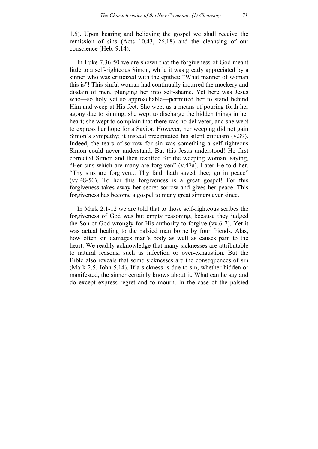1.5). Upon hearing and believing the gospel we shall receive the remission of sins (Acts 10.43, 26.18) and the cleansing of our conscience (Heb. 9.14).

In Luke 7.36-50 we are shown that the forgiveness of God meant little to a self-righteous Simon, while it was greatly appreciated by a sinner who was criticized with the epithet: "What manner of woman this is"! This sinful woman had continually incurred the mockery and disdain of men, plunging her into self-shame. Yet here was Jesus who—so holy yet so approachable—permitted her to stand behind Him and weep at His feet. She wept as a means of pouring forth her agony due to sinning; she wept to discharge the hidden things in her heart; she wept to complain that there was no deliverer; and she wept to express her hope for a Savior. However, her weeping did not gain Simon's sympathy; it instead precipitated his silent criticism (v.39). Indeed, the tears of sorrow for sin was something a self-righteous Simon could never understand. But this Jesus understood! He first corrected Simon and then testified for the weeping woman, saying, "Her sins which are many are forgiven" (v.47a). Later He told her, "Thy sins are forgiven... Thy faith hath saved thee; go in peace" (vv.48-50). To her this forgiveness is a great gospel! For this forgiveness takes away her secret sorrow and gives her peace. This forgiveness has become a gospel to many great sinners ever since.

In Mark 2.1-12 we are told that to those self-righteous scribes the forgiveness of God was but empty reasoning, because they judged the Son of God wrongly for His authority to forgive (vv.6-7). Yet it was actual healing to the palsied man borne by four friends. Alas, how often sin damages man's body as well as causes pain to the heart. We readily acknowledge that many sicknesses are attributable to natural reasons, such as infection or over-exhaustion. But the Bible also reveals that some sicknesses are the consequences of sin (Mark 2.5, John 5.14). If a sickness is due to sin, whether hidden or manifested, the sinner certainly knows about it. What can he say and do except express regret and to mourn. In the case of the palsied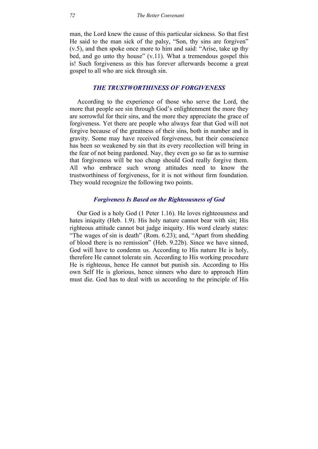man, the Lord knew the cause of this particular sickness. So that first He said to the man sick of the palsy, "Son, thy sins are forgiven" (v.5), and then spoke once more to him and said: "Arise, take up thy bed, and go unto thy house" (v.11). What a tremendous gospel this is! Such forgiveness as this has forever afterwards become a great gospel to all who are sick through sin.

#### *THE TRUSTWORTHINESS OF FORGIVENESS*

According to the experience of those who serve the Lord, the more that people see sin through God's enlightenment the more they are sorrowful for their sins, and the more they appreciate the grace of forgiveness. Yet there are people who always fear that God will not forgive because of the greatness of their sins, both in number and in gravity. Some may have received forgiveness, but their conscience has been so weakened by sin that its every recollection will bring in the fear of not being pardoned. Nay, they even go so far as to surmise that forgiveness will be too cheap should God really forgive them. All who embrace such wrong attitudes need to know the trustworthiness of forgiveness, for it is not without firm foundation. They would recognize the following two points.

#### *Forgiveness Is Based on the Righteousness of God*

Our God is a holy God (1 Peter 1.16). He loves righteousness and hates iniquity (Heb. 1.9). His holy nature cannot bear with sin; His righteous attitude cannot but judge iniquity. His word clearly states: "The wages of sin is death" (Rom. 6.23); and, "Apart from shedding of blood there is no remission" (Heb. 9.22b). Since we have sinned, God will have to condemn us. According to His nature He is holy, therefore He cannot tolerate sin. According to His working procedure He is righteous, hence He cannot but punish sin. According to His own Self He is glorious, hence sinners who dare to approach Him must die. God has to deal with us according to the principle of His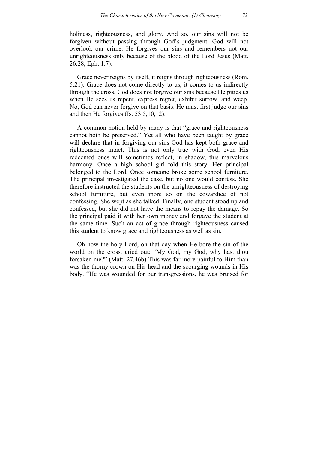holiness, righteousness, and glory. And so, our sins will not be forgiven without passing through God's judgment. God will not overlook our crime. He forgives our sins and remembers not our unrighteousness only because of the blood of the Lord Jesus (Matt. 26.28, Eph. 1.7).

Grace never reigns by itself, it reigns through righteousness (Rom. 5.21). Grace does not come directly to us, it comes to us indirectly through the cross. God does not forgive our sins because He pities us when He sees us repent, express regret, exhibit sorrow, and weep. No, God can never forgive on that basis. He must first judge our sins and then He forgives (Is. 53.5,10,12).

A common notion held by many is that "grace and righteousness cannot both be preserved." Yet all who have been taught by grace will declare that in forgiving our sins God has kept both grace and righteousness intact. This is not only true with God, even His redeemed ones will sometimes reflect, in shadow, this marvelous harmony. Once a high school girl told this story: Her principal belonged to the Lord. Once someone broke some school furniture. The principal investigated the case, but no one would confess. She therefore instructed the students on the unrighteousness of destroying school furniture, but even more so on the cowardice of not confessing. She wept as she talked. Finally, one student stood up and confessed, but she did not have the means to repay the damage. So the principal paid it with her own money and forgave the student at the same time. Such an act of grace through righteousness caused this student to know grace and righteousness as well as sin.

Oh how the holy Lord, on that day when He bore the sin of the world on the cross, cried out: "My God, my God, why hast thou forsaken me?" (Matt. 27.46b) This was far more painful to Him than was the thorny crown on His head and the scourging wounds in His body. "He was wounded for our transgressions, he was bruised for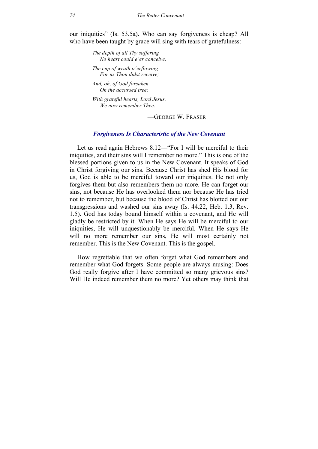our iniquities" (Is. 53.5a). Who can say forgiveness is cheap? All who have been taught by grace will sing with tears of gratefulness:

> *The depth of all Thy suffering No heart could e'er conceive,*

*The cup of wrath o'erflowing For us Thou didst receive;* 

*And, oh, of God forsaken On the accursed tree;* 

*With grateful hearts, Lord Jesus, We now remember Thee.* 

—GEORGE W. FRASER

## *Forgiveness Is Characteristic of the New Covenant*

Let us read again Hebrews 8.12—"For I will be merciful to their iniquities, and their sins will I remember no more." This is one of the blessed portions given to us in the New Covenant. It speaks of God in Christ forgiving our sins. Because Christ has shed His blood for us, God is able to be merciful toward our iniquities. He not only forgives them but also remembers them no more. He can forget our sins, not because He has overlooked them nor because He has tried not to remember, but because the blood of Christ has blotted out our transgressions and washed our sins away (Is. 44.22, Heb. 1.3, Rev. 1.5). God has today bound himself within a covenant, and He will gladly be restricted by it. When He says He will be merciful to our iniquities, He will unquestionably be merciful. When He says He will no more remember our sins, He will most certainly not remember. This is the New Covenant. This is the gospel.

How regrettable that we often forget what God remembers and remember what God forgets. Some people are always musing: Does God really forgive after I have committed so many grievous sins? Will He indeed remember them no more? Yet others may think that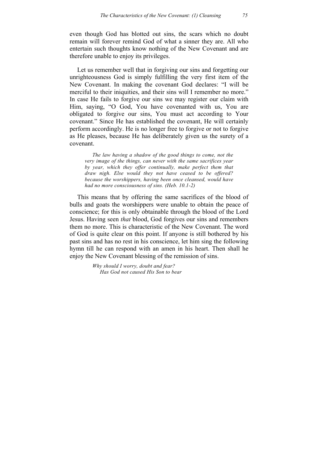even though God has blotted out sins, the scars which no doubt remain will forever remind God of what a sinner they are. All who entertain such thoughts know nothing of the New Covenant and are therefore unable to enjoy its privileges.

Let us remember well that in forgiving our sins and forgetting our unrighteousness God is simply fulfilling the very first item of the New Covenant. In making the covenant God declares: "I will be merciful to their iniquities, and their sins will I remember no more." In case He fails to forgive our sins we may register our claim with Him, saying, "O God, You have covenanted with us, You are obligated to forgive our sins, You must act according to Your covenant." Since He has established the covenant, He will certainly perform accordingly. He is no longer free to forgive or not to forgive as He pleases, because He has deliberately given us the surety of a covenant.

*The law having a shadow of the good things to come, not the very image of the things, can never with the same sacrifices year by year, which they offer continually, make perfect them that draw nigh. Else would they not have ceased to be offered? because the worshippers, having been once cleansed, would have had no more consciousness of sins. (Heb. 10.1-2)* 

This means that by offering the same sacrifices of the blood of bulls and goats the worshippers were unable to obtain the peace of conscience; for this is only obtainable through the blood of the Lord Jesus. Having seen *that* blood, God forgives our sins and remembers them no more. This is characteristic of the New Covenant. The word of God is quite clear on this point. If anyone is still bothered by his past sins and has no rest in his conscience, let him sing the following hymn till he can respond with an amen in his heart. Then shall he enjoy the New Covenant blessing of the remission of sins.

> *Why should I worry, doubt and fear? Has God not caused His Son to bear*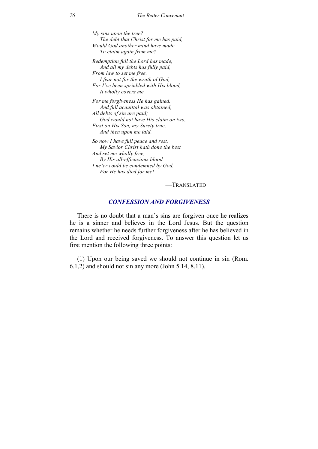*My sins upon the tree? The debt that Christ for me has paid, Would God another mind have made To claim again from me? Redemption full the Lord has made, And all my debts has fully paid, From law to set me free. I fear not for the wrath of God, For I've been sprinkled with His blood, It wholly covers me. For me forgiveness He has gained, And full acquittal was obtained, All debts of sin are paid; God would not have His claim on two, First on His Son, my Surety true, And then upon me laid. So now I have full peace and rest,* 

*My Savior Christ hath done the best And set me wholly free; By His all-efficacious blood I ne'er could be condemned by God, For He has died for me!* 

—TRANSLATED

#### *CONFESSION AND FORGIVENESS*

There is no doubt that a man's sins are forgiven once he realizes he is a sinner and believes in the Lord Jesus. But the question remains whether he needs further forgiveness after he has believed in the Lord and received forgiveness. To answer this question let us first mention the following three points:

(1) Upon our being saved we should not continue in sin (Rom. 6.1,2) and should not sin any more (John 5.14, 8.11).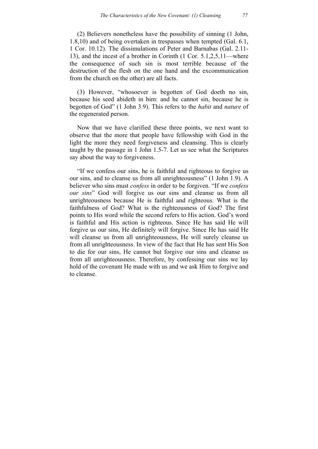(2) Believers nonetheless have the possibility of sinning (1 John, 1.8,10) and of being overtaken in trespasses when tempted (Gal. 6.1, 1 Cor. 10.12). The dissimulations of Peter and Barnabas (Gal. 2.11- 13), and the incest of a brother in Corinth (1 Cor. 5.1,2,5,11—where the consequence of such sin is most terrible because of the destruction of the flesh on the one hand and the excommunication from the church on the other) are all facts.

(3) However, "whosoever is begotten of God doeth no sin, because his seed abideth in him: and he cannot sin, because he is begotten of God" (1 John 3.9). This refers to the *habit* and *nature* of the regenerated person.

Now that we have clarified these three points, we next want to observe that the more that people have fellowship with God in the light the more they need forgiveness and cleansing. This is clearly taught by the passage in 1 John 1.5-7. Let us see what the Scriptures say about the way to forgiveness.

"If we confess our sins, he is faithful and righteous to forgive us our sins, and to cleanse us from all unrighteousness" (1 John 1.9). A believer who sins must *confess* in order to be forgiven. "If we *confess our sins*" God will forgive us our sins and cleanse us from all unrighteousness because He is faithful and righteous. What is the faithfulness of God? What is the righteousness of God? The first points to His word while the second refers to His action. God's word is faithful and His action is righteous. Since He has said He will forgive us our sins, He definitely will forgive. Since He has said He will cleanse us from all unrighteousness, He will surely cleanse us from all unrighteousness. In view of the fact that He has sent His Son to die for our sins, He cannot but forgive our sins and cleanse us from all unrighteousness. Therefore, by confessing our sins we lay hold of the covenant He made with us and we ask Him to forgive and to cleanse.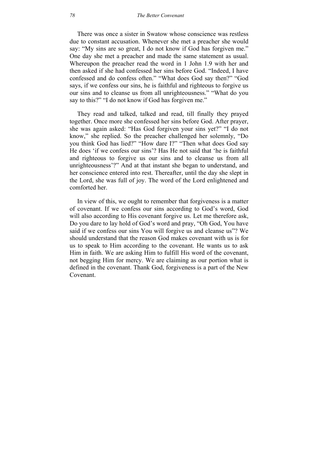There was once a sister in Swatow whose conscience was restless due to constant accusation. Whenever she met a preacher she would say: "My sins are so great, I do not know if God has forgiven me." One day she met a preacher and made the same statement as usual. Whereupon the preacher read the word in 1 John 1.9 with her and then asked if she had confessed her sins before God. "Indeed, I have confessed and do confess often." "What does God say then?" "God says, if we confess our sins, he is faithful and righteous to forgive us our sins and to cleanse us from all unrighteousness." "What do you say to this?" "I do not know if God has forgiven me."

They read and talked, talked and read, till finally they prayed together. Once more she confessed her sins before God. After prayer, she was again asked: "Has God forgiven your sins yet?" "I do not know," she replied. So the preacher challenged her solemnly, "Do you think God has lied?" "How dare I?" "Then what does God say He does 'if we confess our sins'? Has He not said that 'he is faithful and righteous to forgive us our sins and to cleanse us from all unrighteousness'?" And at that instant she began to understand, and her conscience entered into rest. Thereafter, until the day she slept in the Lord, she was full of joy. The word of the Lord enlightened and comforted her.

In view of this, we ought to remember that forgiveness is a matter of covenant. If we confess our sins according to God's word, God will also according to His covenant forgive us. Let me therefore ask, Do you dare to lay hold of God's word and pray, "Oh God, You have said if we confess our sins You will forgive us and cleanse us"? We should understand that the reason God makes covenant with us is for us to speak to Him according to the covenant. He wants us to ask Him in faith. We are asking Him to fulfill His word of the covenant, not begging Him for mercy. We are claiming as our portion what is defined in the covenant. Thank God, forgiveness is a part of the New Covenant.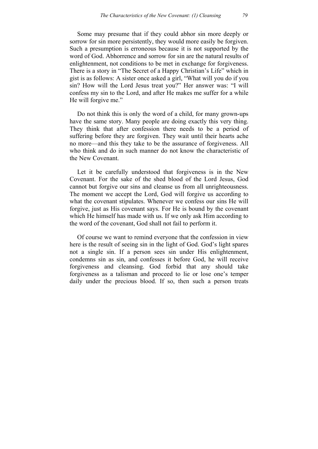Some may presume that if they could abhor sin more deeply or sorrow for sin more persistently, they would more easily be forgiven. Such a presumption is erroneous because it is not supported by the word of God. Abhorrence and sorrow for sin are the natural results of enlightenment, not conditions to be met in exchange for forgiveness. There is a story in "The Secret of a Happy Christian's Life" which in gist is as follows: A sister once asked a girl, "What will you do if you sin? How will the Lord Jesus treat you?" Her answer was: "I will confess my sin to the Lord, and after He makes me suffer for a while He will forgive me."

Do not think this is only the word of a child, for many grown-ups have the same story. Many people are doing exactly this very thing. They think that after confession there needs to be a period of suffering before they are forgiven. They wait until their hearts ache no more—and this they take to be the assurance of forgiveness. All who think and do in such manner do not know the characteristic of the New Covenant.

Let it be carefully understood that forgiveness is in the New Covenant. For the sake of the shed blood of the Lord Jesus, God cannot but forgive our sins and cleanse us from all unrighteousness. The moment we accept the Lord, God will forgive us according to what the covenant stipulates. Whenever we confess our sins He will forgive, just as His covenant says. For He is bound by the covenant which He himself has made with us. If we only ask Him according to the word of the covenant, God shall not fail to perform it.

Of course we want to remind everyone that the confession in view here is the result of seeing sin in the light of God. God's light spares not a single sin. If a person sees sin under His enlightenment, condemns sin as sin, and confesses it before God, he will receive forgiveness and cleansing. God forbid that any should take forgiveness as a talisman and proceed to lie or lose one's temper daily under the precious blood. If so, then such a person treats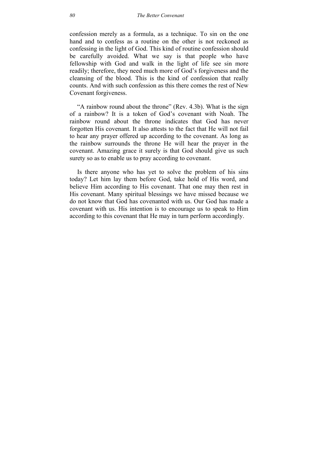confession merely as a formula, as a technique. To sin on the one hand and to confess as a routine on the other is not reckoned as confessing in the light of God. This kind of routine confession should be carefully avoided. What we say is that people who have fellowship with God and walk in the light of life see sin more readily; therefore, they need much more of God's forgiveness and the cleansing of the blood. This is the kind of confession that really counts. And with such confession as this there comes the rest of New Covenant forgiveness.

"A rainbow round about the throne" (Rev. 4.3b). What is the sign of a rainbow? It is a token of God's covenant with Noah. The rainbow round about the throne indicates that God has never forgotten His covenant. It also attests to the fact that He will not fail to hear any prayer offered up according to the covenant. As long as the rainbow surrounds the throne He will hear the prayer in the covenant. Amazing grace it surely is that God should give us such surety so as to enable us to pray according to covenant.

Is there anyone who has yet to solve the problem of his sins today? Let him lay them before God, take hold of His word, and believe Him according to His covenant. That one may then rest in His covenant. Many spiritual blessings we have missed because we do not know that God has covenanted with us. Our God has made a covenant with us. His intention is to encourage us to speak to Him according to this covenant that He may in turn perform accordingly.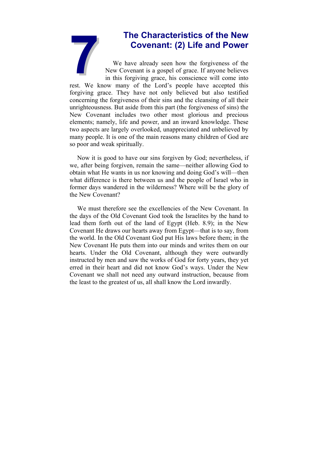# **Covenant: (2) Life and Power**

**7The Characteristics of the New Covenant: (2) Life and Power**<br>We have already seen how the forgiveness of the<br>New Covenant is a gospel of grace. If anyone believes<br>in this forgiving grace, his conscience will come into We have already seen how the forgiveness of the New Covenant is a gospel of grace. If anyone believes in this forgiving grace, his conscience will come into rest. We know many of the Lord's people have accepted this forgiving grace. They have not only believed but also testified concerning the forgiveness of their sins and the cleansing of all their unrighteousness. But aside from this part (the forgiveness of sins) the New Covenant includes two other most glorious and precious elements; namely, life and power, and an inward knowledge. These two aspects are largely overlooked, unappreciated and unbelieved by many people. It is one of the main reasons many children of God are so poor and weak spiritually.

Now it is good to have our sins forgiven by God; nevertheless, if we, after being forgiven, remain the same—neither allowing God to obtain what He wants in us nor knowing and doing God's will—then what difference is there between us and the people of Israel who in former days wandered in the wilderness? Where will be the glory of the New Covenant?

We must therefore see the excellencies of the New Covenant. In the days of the Old Covenant God took the Israelites by the hand to lead them forth out of the land of Egypt (Heb. 8.9); in the New Covenant He draws our hearts away from Egypt—that is to say, from the world. In the Old Covenant God put His laws before them; in the New Covenant He puts them into our minds and writes them on our hearts. Under the Old Covenant, although they were outwardly instructed by men and saw the works of God for forty years, they yet erred in their heart and did not know God's ways. Under the New Covenant we shall not need any outward instruction, because from the least to the greatest of us, all shall know the Lord inwardly.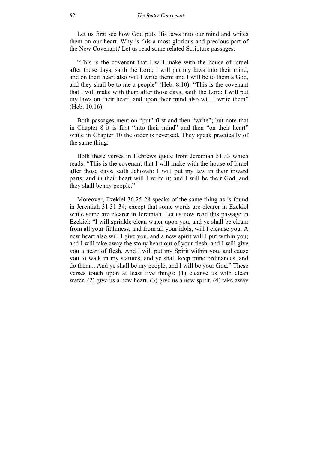Let us first see how God puts His laws into our mind and writes them on our heart. Why is this a most glorious and precious part of the New Covenant? Let us read some related Scripture passages:

"This is the covenant that I will make with the house of Israel after those days, saith the Lord; I will put my laws into their mind, and on their heart also will I write them: and I will be to them a God, and they shall be to me a people" (Heb. 8.10). "This is the covenant that I will make with them after those days, saith the Lord: I will put my laws on their heart, and upon their mind also will I write them" (Heb. 10.16).

Both passages mention "put" first and then "write"; but note that in Chapter 8 it is first "into their mind" and then "on their heart" while in Chapter 10 the order is reversed. They speak practically of the same thing.

Both these verses in Hebrews quote from Jeremiah 31.33 which reads: "This is the covenant that I will make with the house of Israel after those days, saith Jehovah: I will put my law in their inward parts, and in their heart will I write it; and I will be their God, and they shall be my people."

Moreover, Ezekiel 36.25-28 speaks of the same thing as is found in Jeremiah 31.31-34; except that some words are clearer in Ezekiel while some are clearer in Jeremiah. Let us now read this passage in Ezekiel: "I will sprinkle clean water upon you, and ye shall be clean: from all your filthiness, and from all your idols, will I cleanse you. A new heart also will I give you, and a new spirit will I put within you; and I will take away the stony heart out of your flesh, and I will give you a heart of flesh. And I will put my Spirit within you, and cause you to walk in my statutes, and ye shall keep mine ordinances, and do them... And ye shall be my people, and I will be your God." These verses touch upon at least five things: (1) cleanse us with clean water,  $(2)$  give us a new heart,  $(3)$  give us a new spirit,  $(4)$  take away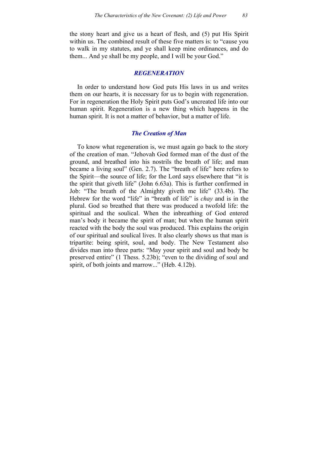the stony heart and give us a heart of flesh, and (5) put His Spirit within us. The combined result of these five matters is: to "cause you to walk in my statutes, and ye shall keep mine ordinances, and do them... And ye shall be my people, and I will be your God."

## *REGENERATION*

In order to understand how God puts His laws in us and writes them on our hearts, it is necessary for us to begin with regeneration. For in regeneration the Holy Spirit puts God's uncreated life into our human spirit. Regeneration is a new thing which happens in the human spirit. It is not a matter of behavior, but a matter of life.

## *The Creation of Man*

To know what regeneration is, we must again go back to the story of the creation of man. "Jehovah God formed man of the dust of the ground, and breathed into his nostrils the breath of life; and man became a living soul" (Gen. 2.7). The "breath of life" here refers to the Spirit—the source of life; for the Lord says elsewhere that "it is the spirit that giveth life" (John 6.63a). This is further confirmed in Job: "The breath of the Almighty giveth me life" (33.4b). The Hebrew for the word "life" in "breath of life" is *chay* and is in the plural. God so breathed that there was produced a twofold life: the spiritual and the soulical. When the inbreathing of God entered man's body it became the spirit of man; but when the human spirit reacted with the body the soul was produced. This explains the origin of our spiritual and soulical lives. It also clearly shows us that man is tripartite: being spirit, soul, and body. The New Testament also divides man into three parts: "May your spirit and soul and body be preserved entire" (1 Thess. 5.23b); "even to the dividing of soul and spirit, of both joints and marrow..." (Heb. 4.12b).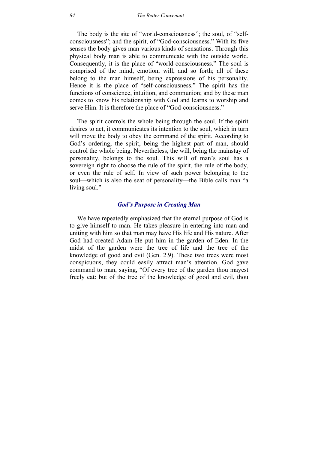The body is the site of "world-consciousness"; the soul, of "selfconsciousness"; and the spirit, of "God-consciousness." With its five senses the body gives man various kinds of sensations. Through this physical body man is able to communicate with the outside world. Consequently, it is the place of "world-consciousness." The soul is comprised of the mind, emotion, will, and so forth; all of these belong to the man himself, being expressions of his personality. Hence it is the place of "self-consciousness." The spirit has the functions of conscience, intuition, and communion; and by these man comes to know his relationship with God and learns to worship and serve Him. It is therefore the place of "God-consciousness."

The spirit controls the whole being through the soul. If the spirit desires to act, it communicates its intention to the soul, which in turn will move the body to obey the command of the spirit. According to God's ordering, the spirit, being the highest part of man, should control the whole being. Nevertheless, the will, being the mainstay of personality, belongs to the soul. This will of man's soul has a sovereign right to choose the rule of the spirit, the rule of the body, or even the rule of self. In view of such power belonging to the soul—which is also the seat of personality—the Bible calls man "a living soul."

#### *God's Purpose in Creating Man*

We have repeatedly emphasized that the eternal purpose of God is to give himself to man. He takes pleasure in entering into man and uniting with him so that man may have His life and His nature. After God had created Adam He put him in the garden of Eden. In the midst of the garden were the tree of life and the tree of the knowledge of good and evil (Gen. 2.9). These two trees were most conspicuous, they could easily attract man's attention. God gave command to man, saying, "Of every tree of the garden thou mayest freely eat: but of the tree of the knowledge of good and evil, thou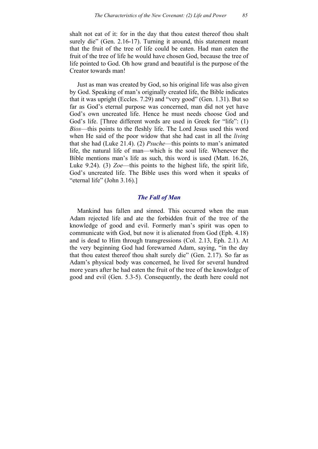shalt not eat of it: for in the day that thou eatest thereof thou shalt surely die" (Gen. 2.16-17). Turning it around, this statement meant that the fruit of the tree of life could be eaten. Had man eaten the fruit of the tree of life he would have chosen God, because the tree of life pointed to God. Oh how grand and beautiful is the purpose of the Creator towards man!

Just as man was created by God, so his original life was also given by God. Speaking of man's originally created life, the Bible indicates that it was upright (Eccles. 7.29) and "very good" (Gen. 1.31). But so far as God's eternal purpose was concerned, man did not yet have God's own uncreated life. Hence he must needs choose God and God's life. [Three different words are used in Greek for "life": (1) *Bios*—this points to the fleshly life. The Lord Jesus used this word when He said of the poor widow that she had cast in all the *living* that she had (Luke 21.4). (2) *Psuche*—this points to man's animated life, the natural life of man—which is the soul life. Whenever the Bible mentions man's life as such, this word is used (Matt. 16.26, Luke 9.24). (3) *Zoe*—this points to the highest life, the spirit life, God's uncreated life. The Bible uses this word when it speaks of "eternal life" (John 3.16).]

## *The Fall of Man*

Mankind has fallen and sinned. This occurred when the man Adam rejected life and ate the forbidden fruit of the tree of the knowledge of good and evil. Formerly man's spirit was open to communicate with God, but now it is alienated from God (Eph. 4.18) and is dead to Him through transgressions (Col. 2.13, Eph. 2.1). At the very beginning God had forewarned Adam, saying, "in the day that thou eatest thereof thou shalt surely die" (Gen. 2.17). So far as Adam's physical body was concerned, he lived for several hundred more years after he had eaten the fruit of the tree of the knowledge of good and evil (Gen. 5.3-5). Consequently, the death here could not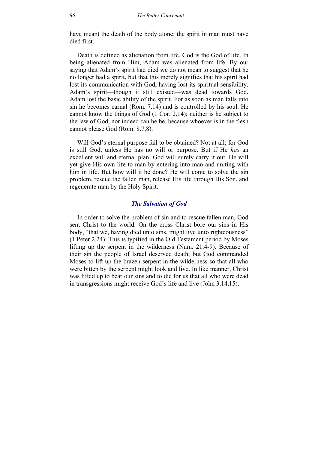have meant the death of the body alone; the spirit in man must have died first.

Death is defined as alienation from life. God is the God of life. In being alienated from Him, Adam was alienated from life. By our saying that Adam's spirit had died we do not mean to suggest that he no longer had a spirit, but that this merely signifies that his spirit had lost its communication with God, having lost its spiritual sensibility. Adam's spirit—though it still existed—was dead towards God. Adam lost the basic ability of the spirit. For as soon as man falls into sin he becomes carnal (Rom. 7.14) and is controlled by his soul. He cannot know the things of God (1 Cor. 2.14); neither is he subject to the law of God, nor indeed can he be, because whoever is in the flesh cannot please God (Rom. 8.7,8).

Will God's eternal purpose fail to be obtained? Not at all; for God is still God, unless He has no will or purpose. But if He *has* an excellent will and eternal plan, God will surely carry it out. He will yet give His own life to man by entering into man and uniting with him in life. But how will it be done? He will come to solve the sin problem, rescue the fallen man, release His life through His Son, and regenerate man by the Holy Spirit.

# *The Salvation of God*

In order to solve the problem of sin and to rescue fallen man, God sent Christ to the world. On the cross Christ bore our sins in His body, "that we, having died unto sins, might live unto righteousness" (1 Peter 2.24). This is typified in the Old Testament period by Moses lifting up the serpent in the wilderness (Num. 21.4-9). Because of their sin the people of Israel deserved death; but God commanded Moses to lift up the brazen serpent in the wilderness so that all who were bitten by the serpent might look and live. In like manner, Christ was lifted up to bear our sins and to die for us that all who were dead in transgressions might receive God's life and live (John 3.14,15).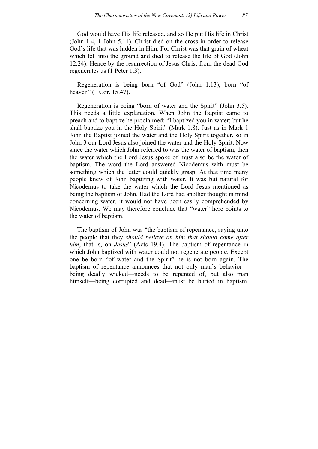God would have His life released, and so He put His life in Christ (John 1.4, 1 John 5.11). Christ died on the cross in order to release God's life that was hidden in Him. For Christ was that grain of wheat which fell into the ground and died to release the life of God (John 12.24). Hence by the resurrection of Jesus Christ from the dead God regenerates us (1 Peter 1.3).

Regeneration is being born "of God" (John 1.13), born "of heaven" (1 Cor. 15.47).

Regeneration is being "born of water and the Spirit" (John 3.5). This needs a little explanation. When John the Baptist came to preach and to baptize he proclaimed: "I baptized you in water; but he shall baptize you in the Holy Spirit" (Mark 1.8). Just as in Mark 1 John the Baptist joined the water and the Holy Spirit together, so in John 3 our Lord Jesus also joined the water and the Holy Spirit. Now since the water which John referred to was the water of baptism, then the water which the Lord Jesus spoke of must also be the water of baptism. The word the Lord answered Nicodemus with must be something which the latter could quickly grasp. At that time many people knew of John baptizing with water. It was but natural for Nicodemus to take the water which the Lord Jesus mentioned as being the baptism of John. Had the Lord had another thought in mind concerning water, it would not have been easily comprehended by Nicodemus. We may therefore conclude that "water" here points to the water of baptism.

The baptism of John was "the baptism of repentance, saying unto the people that they *should believe on him that should come after him*, that is, on *Jesus*" (Acts 19.4). The baptism of repentance in which John baptized with water could not regenerate people. Except one be born "of water and the Spirit" he is not born again. The baptism of repentance announces that not only man's behavior being deadly wicked—needs to be repented of, but also man himself—being corrupted and dead—must be buried in baptism.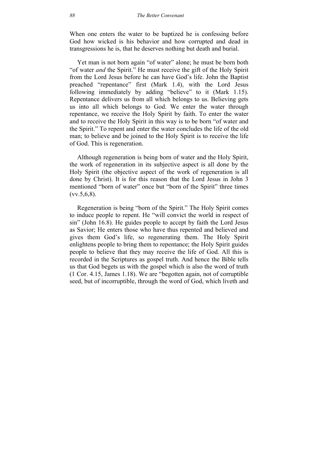When one enters the water to be baptized he is confessing before God how wicked is his behavior and how corrupted and dead in transgressions he is, that he deserves nothing but death and burial.

Yet man is not born again "of water" alone; he must be born both "of water *and* the Spirit." He must receive the gift of the Holy Spirit from the Lord Jesus before he can have God's life. John the Baptist preached "repentance" first (Mark 1.4), with the Lord Jesus following immediately by adding "believe" to it (Mark 1.15). Repentance delivers us from all which belongs to us. Believing gets us into all which belongs to God. We enter the water through repentance, we receive the Holy Spirit by faith. To enter the water and to receive the Holy Spirit in this way is to be born "of water and the Spirit." To repent and enter the water concludes the life of the old man; to believe and be joined to the Holy Spirit is to receive the life of God. This is regeneration.

Although regeneration is being born of water and the Holy Spirit, the work of regeneration in its subjective aspect is all done by the Holy Spirit (the objective aspect of the work of regeneration is all done by Christ). It is for this reason that the Lord Jesus in John 3 mentioned "born of water" once but "born of the Spirit" three times  $(vv.5,6,8)$ .

Regeneration is being "born of the Spirit." The Holy Spirit comes to induce people to repent. He "will convict the world in respect of sin" (John 16.8). He guides people to accept by faith the Lord Jesus as Savior; He enters those who have thus repented and believed and gives them God's life, so regenerating them. The Holy Spirit enlightens people to bring them to repentance; the Holy Spirit guides people to believe that they may receive the life of God. All this is recorded in the Scriptures as gospel truth. And hence the Bible tells us that God begets us with the gospel which is also the word of truth (1 Cor. 4.15, James 1.18). We are "begotten again, not of corruptible seed, but of incorruptible, through the word of God, which liveth and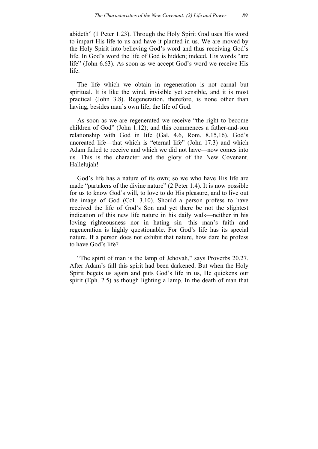abideth" (1 Peter 1.23). Through the Holy Spirit God uses His word to impart His life to us and have it planted in us. We are moved by the Holy Spirit into believing God's word and thus receiving God's life. In God's word the life of God is hidden; indeed, His words "are life" (John 6.63). As soon as we accept God's word we receive His life.

The life which we obtain in regeneration is not carnal but spiritual. It is like the wind, invisible yet sensible, and it is most practical (John 3.8). Regeneration, therefore, is none other than having, besides man's own life, the life of God.

As soon as we are regenerated we receive "the right to become children of God" (John 1.12); and this commences a father-and-son relationship with God in life (Gal. 4.6, Rom. 8.15,16). God's uncreated life—that which is "eternal life" (John 17.3) and which Adam failed to receive and which we did not have—now comes into us. This is the character and the glory of the New Covenant. Hallelujah!

God's life has a nature of its own; so we who have His life are made "partakers of the divine nature" (2 Peter 1.4). It is now possible for us to know God's will, to love to do His pleasure, and to live out the image of God (Col. 3.10). Should a person profess to have received the life of God's Son and yet there be not the slightest indication of this new life nature in his daily walk—neither in his loving righteousness nor in hating sin—this man's faith and regeneration is highly questionable. For God's life has its special nature. If a person does not exhibit that nature, how dare he profess to have God's life?

"The spirit of man is the lamp of Jehovah," says Proverbs 20.27. After Adam's fall this spirit had been darkened. But when the Holy Spirit begets us again and puts God's life in us, He quickens our spirit (Eph. 2.5) as though lighting a lamp. In the death of man that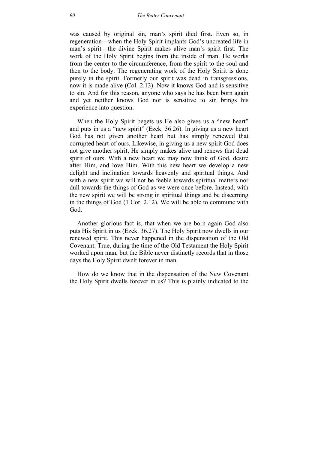was caused by original sin, man's spirit died first. Even so, in regeneration—when the Holy Spirit implants God's uncreated life in man's spirit—the divine Spirit makes alive man's spirit first. The work of the Holy Spirit begins from the inside of man. He works from the center to the circumference, from the spirit to the soul and then to the body. The regenerating work of the Holy Spirit is done purely in the spirit. Formerly our spirit was dead in transgressions, now it is made alive (Col. 2.13). Now it knows God and is sensitive to sin. And for this reason, anyone who says he has been born again and yet neither knows God nor is sensitive to sin brings his experience into question.

When the Holy Spirit begets us He also gives us a "new heart" and puts in us a "new spirit" (Ezek. 36.26). In giving us a new heart God has not given another heart but has simply renewed that corrupted heart of ours. Likewise, in giving us a new spirit God does not give another spirit, He simply makes alive and renews that dead spirit of ours. With a new heart we may now think of God, desire after Him, and love Him. With this new heart we develop a new delight and inclination towards heavenly and spiritual things. And with a new spirit we will not be feeble towards spiritual matters nor dull towards the things of God as we were once before. Instead, with the new spirit we will be strong in spiritual things and be discerning in the things of God (1 Cor. 2.12). We will be able to commune with God.

Another glorious fact is, that when we are born again God also puts His Spirit in us (Ezek. 36.27). The Holy Spirit now dwells in our renewed spirit. This never happened in the dispensation of the Old Covenant. True, during the time of the Old Testament the Holy Spirit worked upon man, but the Bible never distinctly records that in those days the Holy Spirit dwelt forever in man.

How do we know that in the dispensation of the New Covenant the Holy Spirit dwells forever in us? This is plainly indicated to the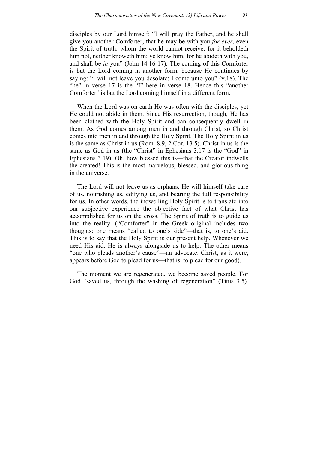disciples by our Lord himself: "I will pray the Father, and he shall give you another Comforter, that he may be with you *for ever*, even the Spirit of truth: whom the world cannot receive; for it beholdeth him not, neither knoweth him: ye know him; for he abideth with you, and shall be *in* you" (John 14.16-17). The coming of this Comforter is but the Lord coming in another form, because He continues by saying: "I will not leave you desolate: I come unto you" (v.18). The "he" in verse 17 is the "I" here in verse 18. Hence this "another Comforter" is but the Lord coming himself in a different form.

When the Lord was on earth He was often with the disciples, yet He could not abide in them. Since His resurrection, though, He has been clothed with the Holy Spirit and can consequently dwell in them. As God comes among men in and through Christ, so Christ comes into men in and through the Holy Spirit. The Holy Spirit in us is the same as Christ in us (Rom. 8.9, 2 Cor. 13.5). Christ in us is the same as God in us (the "Christ" in Ephesians 3.17 is the "God" in Ephesians 3.19). Oh, how blessed this is—that the Creator indwells the created! This is the most marvelous, blessed, and glorious thing in the universe.

The Lord will not leave us as orphans. He will himself take care of us, nourishing us, edifying us, and bearing the full responsibility for us. In other words, the indwelling Holy Spirit is to translate into our subjective experience the objective fact of what Christ has accomplished for us on the cross. The Spirit of truth is to guide us into the reality. ("Comforter" in the Greek original includes two thoughts: one means "called to one's side"—that is, to one's aid. This is to say that the Holy Spirit is our present help. Whenever we need His aid, He is always alongside us to help. The other means "one who pleads another's cause"—an advocate. Christ, as it were, appears before God to plead for us—that is, to plead for our good).

The moment we are regenerated, we become saved people. For God "saved us, through the washing of regeneration" (Titus 3.5).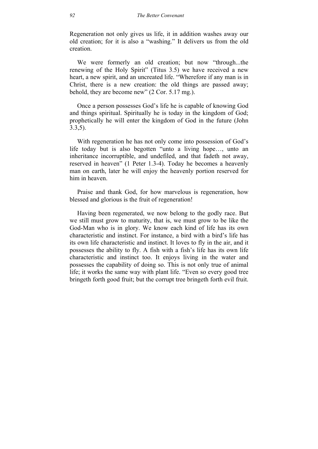Regeneration not only gives us life, it in addition washes away our old creation; for it is also a "washing." It delivers us from the old creation.

We were formerly an old creation; but now "through...the renewing of the Holy Spirit" (Titus 3.5) we have received a new heart, a new spirit, and an uncreated life. "Wherefore if any man is in Christ, there is a new creation: the old things are passed away; behold, they are become new" (2 Cor. 5.17 mg.).

Once a person possesses God's life he is capable of knowing God and things spiritual. Spiritually he is today in the kingdom of God; prophetically he will enter the kingdom of God in the future (John 3.3,5).

With regeneration he has not only come into possession of God's life today but is also begotten "unto a living hope…, unto an inheritance incorruptible, and undefiled, and that fadeth not away, reserved in heaven" (1 Peter 1.3-4). Today he becomes a heavenly man on earth, later he will enjoy the heavenly portion reserved for him in heaven.

Praise and thank God, for how marvelous is regeneration, how blessed and glorious is the fruit of regeneration!

Having been regenerated, we now belong to the godly race. But we still must grow to maturity, that is, we must grow to be like the God-Man who is in glory. We know each kind of life has its own characteristic and instinct. For instance, a bird with a bird's life has its own life characteristic and instinct. It loves to fly in the air, and it possesses the ability to fly. A fish with a fish's life has its own life characteristic and instinct too. It enjoys living in the water and possesses the capability of doing so. This is not only true of animal life; it works the same way with plant life. "Even so every good tree bringeth forth good fruit; but the corrupt tree bringeth forth evil fruit.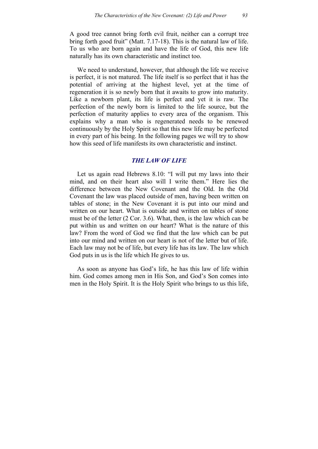A good tree cannot bring forth evil fruit, neither can a corrupt tree bring forth good fruit" (Matt. 7.17-18). This is the natural law of life. To us who are born again and have the life of God, this new life naturally has its own characteristic and instinct too.

We need to understand, however, that although the life we receive is perfect, it is not matured. The life itself is so perfect that it has the potential of arriving at the highest level, yet at the time of regeneration it is so newly born that it awaits to grow into maturity. Like a newborn plant, its life is perfect and yet it is raw. The perfection of the newly born is limited to the life source, but the perfection of maturity applies to every area of the organism. This explains why a man who is regenerated needs to be renewed continuously by the Holy Spirit so that this new life may be perfected in every part of his being. In the following pages we will try to show how this seed of life manifests its own characteristic and instinct.

## *THE LAW OF LIFE*

Let us again read Hebrews 8.10: "I will put my laws into their mind, and on their heart also will I write them." Here lies the difference between the New Covenant and the Old. In the Old Covenant the law was placed outside of men, having been written on tables of stone; in the New Covenant it is put into our mind and written on our heart. What is outside and written on tables of stone must be of the letter (2 Cor. 3.6). What, then, is the law which can be put within us and written on our heart? What is the nature of this law? From the word of God we find that the law which can be put into our mind and written on our heart is not of the letter but of life. Each law may not be of life, but every life has its law. The law which God puts in us is the life which He gives to us.

As soon as anyone has God's life, he has this law of life within him. God comes among men in His Son, and God's Son comes into men in the Holy Spirit. It is the Holy Spirit who brings to us this life,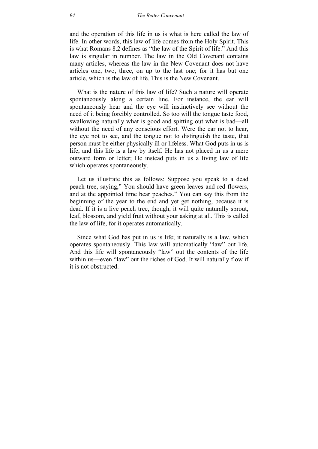and the operation of this life in us is what is here called the law of life. In other words, this law of life comes from the Holy Spirit. This is what Romans 8.2 defines as "the law of the Spirit of life." And this law is singular in number. The law in the Old Covenant contains many articles, whereas the law in the New Covenant does not have articles one, two, three, on up to the last one; for it has but one article, which is the law of life. This is the New Covenant.

What is the nature of this law of life? Such a nature will operate spontaneously along a certain line. For instance, the ear will spontaneously hear and the eye will instinctively see without the need of it being forcibly controlled. So too will the tongue taste food, swallowing naturally what is good and spitting out what is bad—all without the need of any conscious effort. Were the ear not to hear, the eye not to see, and the tongue not to distinguish the taste, that person must be either physically ill or lifeless. What God puts in us is life, and this life is a law by itself. He has not placed in us a mere outward form or letter; He instead puts in us a living law of life which operates spontaneously.

Let us illustrate this as follows: Suppose you speak to a dead peach tree, saying," You should have green leaves and red flowers, and at the appointed time bear peaches." You can say this from the beginning of the year to the end and yet get nothing, because it is dead. If it is a live peach tree, though, it will quite naturally sprout, leaf, blossom, and yield fruit without your asking at all. This is called the law of life, for it operates automatically.

Since what God has put in us is life; it naturally is a law, which operates spontaneously. This law will automatically "law" out life. And this life will spontaneously "law" out the contents of the life within us—even "law" out the riches of God. It will naturally flow if it is not obstructed.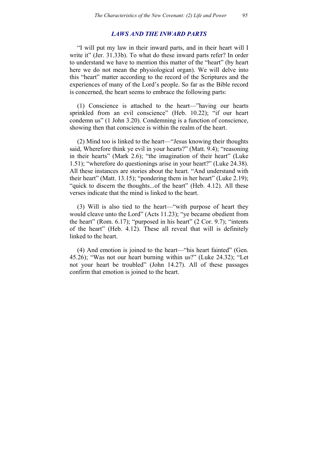### *LAWS AND THE INWARD PARTS*

"I will put my law in their inward parts, and in their heart will I write it" (Jer. 31.33b). To what do these inward parts refer? In order to understand we have to mention this matter of the "heart" (by heart here we do not mean the physiological organ). We will delve into this "heart" matter according to the record of the Scriptures and the experiences of many of the Lord's people. So far as the Bible record is concerned, the heart seems to embrace the following parts:

(1) Conscience is attached to the heart—"having our hearts sprinkled from an evil conscience" (Heb. 10.22); "if our heart condemn us" (1 John 3.20). Condemning is a function of conscience, showing then that conscience is within the realm of the heart.

(2) Mind too is linked to the heart—"Jesus knowing their thoughts said, Wherefore think ye evil in your hearts?" (Matt. 9.4); "reasoning in their hearts" (Mark 2.6); "the imagination of their heart" (Luke 1.51); "wherefore do questionings arise in your heart?" (Luke 24.38). All these instances are stories about the heart. "And understand with their heart" (Matt. 13.15); "pondering them in her heart" (Luke 2.19); "quick to discern the thoughts...of the heart" (Heb. 4.12). All these verses indicate that the mind is linked to the heart.

(3) Will is also tied to the heart—"with purpose of heart they would cleave unto the Lord" (Acts 11.23); "ye became obedient from the heart" (Rom. 6.17); "purposed in his heart" (2 Cor. 9.7); "intents of the heart" (Heb. 4.12). These all reveal that will is definitely linked to the heart.

(4) And emotion is joined to the heart—"his heart fainted" (Gen. 45.26); "Was not our heart burning within us?" (Luke 24.32); "Let not your heart be troubled" (John 14.27). All of these passages confirm that emotion is joined to the heart.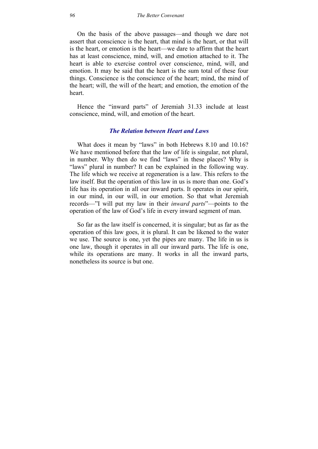On the basis of the above passages—and though we dare not assert that conscience is the heart, that mind is the heart, or that will is the heart, or emotion is the heart—we dare to affirm that the heart has at least conscience, mind, will, and emotion attached to it. The heart is able to exercise control over conscience, mind, will, and emotion. It may be said that the heart is the sum total of these four things. Conscience is the conscience of the heart; mind, the mind of the heart; will, the will of the heart; and emotion, the emotion of the heart.

Hence the "inward parts" of Jeremiah 31.33 include at least conscience, mind, will, and emotion of the heart.

## *The Relation between Heart and Laws*

What does it mean by "laws" in both Hebrews 8.10 and 10.16? We have mentioned before that the law of life is singular, not plural, in number. Why then do we find "laws" in these places? Why is "laws" plural in number? It can be explained in the following way. The life which we receive at regeneration is a law. This refers to the law itself. But the operation of this law in us is more than one. God's life has its operation in all our inward parts. It operates in our spirit, in our mind, in our will, in our emotion. So that what Jeremiah records—"I will put my law in their *inward parts*"—points to the operation of the law of God's life in every inward segment of man.

So far as the law itself is concerned, it is singular; but as far as the operation of this law goes, it is plural. It can be likened to the water we use. The source is one, yet the pipes are many. The life in us is one law, though it operates in all our inward parts. The life is one, while its operations are many. It works in all the inward parts, nonetheless its source is but one.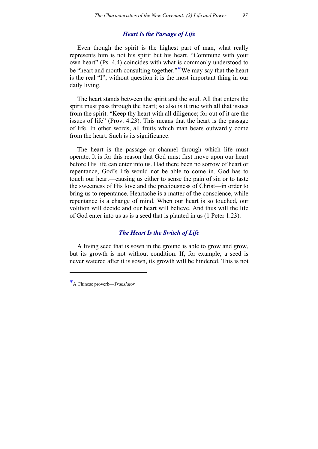## *Heart Is the Passage of Life*

Even though the spirit is the highest part of man, what really represents him is not his spirit but his heart. "Commune with your own heart" (Ps. 4.4) coincides with what is commonly understood to be "heart and mouth consulting together."<sup>\*</sup> We may say that the heart is the real "I"; without question it is the most important thing in our daily living.

The heart stands between the spirit and the soul. All that enters the spirit must pass through the heart; so also is it true with all that issues from the spirit. "Keep thy heart with all diligence; for out of it are the issues of life" (Prov. 4.23). This means that the heart is the passage of life. In other words, all fruits which man bears outwardly come from the heart. Such is its significance.

The heart is the passage or channel through which life must operate. It is for this reason that God must first move upon our heart before His life can enter into us. Had there been no sorrow of heart or repentance, God's life would not be able to come in. God has to touch our heart—causing us either to sense the pain of sin or to taste the sweetness of His love and the preciousness of Christ—in order to bring us to repentance. Heartache is a matter of the conscience, while repentance is a change of mind. When our heart is so touched, our volition will decide and our heart will believe. And thus will the life of God enter into us as is a seed that is planted in us (1 Peter 1.23).

## *The Heart Is the Switch of Life*

A living seed that is sown in the ground is able to grow and grow, but its growth is not without condition. If, for example, a seed is never watered after it is sown, its growth will be hindered. This is not

 $\overline{\phantom{a}}$ 

<sup>∗</sup> A Chinese proverb—*Translator*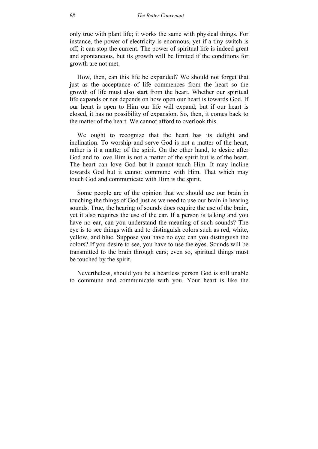only true with plant life; it works the same with physical things. For instance, the power of electricity is enormous, yet if a tiny switch is off, it can stop the current. The power of spiritual life is indeed great and spontaneous, but its growth will be limited if the conditions for growth are not met.

How, then, can this life be expanded? We should not forget that just as the acceptance of life commences from the heart so the growth of life must also start from the heart. Whether our spiritual life expands or not depends on how open our heart is towards God. If our heart is open to Him our life will expand; but if our heart is closed, it has no possibility of expansion. So, then, it comes back to the matter of the heart. We cannot afford to overlook this.

We ought to recognize that the heart has its delight and inclination. To worship and serve God is not a matter of the heart, rather is it a matter of the spirit. On the other hand, to desire after God and to love Him is not a matter of the spirit but is of the heart. The heart can love God but it cannot touch Him. It may incline towards God but it cannot commune with Him. That which may touch God and communicate with Him is the spirit.

Some people are of the opinion that we should use our brain in touching the things of God just as we need to use our brain in hearing sounds. True, the hearing of sounds does require the use of the brain, yet it also requires the use of the ear. If a person is talking and you have no ear, can you understand the meaning of such sounds? The eye is to see things with and to distinguish colors such as red, white, yellow, and blue. Suppose you have no eye; can you distinguish the colors? If you desire to see, you have to use the eyes. Sounds will be transmitted to the brain through ears; even so, spiritual things must be touched by the spirit.

Nevertheless, should you be a heartless person God is still unable to commune and communicate with you. Your heart is like the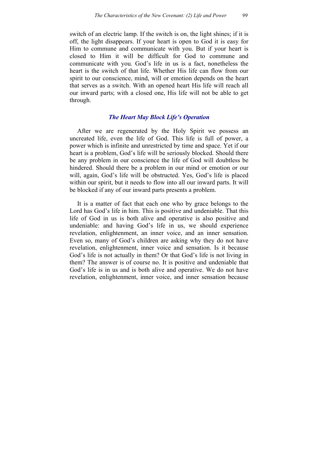switch of an electric lamp. If the switch is on, the light shines; if it is off, the light disappears. If your heart is open to God it is easy for Him to commune and communicate with you. But if your heart is closed to Him it will be difficult for God to commune and communicate with you. God's life in us is a fact, nonetheless the heart is the switch of that life. Whether His life can flow from our spirit to our conscience, mind, will or emotion depends on the heart that serves as a switch. With an opened heart His life will reach all our inward parts; with a closed one, His life will not be able to get through.

## *The Heart May Block Life's Operation*

After we are regenerated by the Holy Spirit we possess an uncreated life, even the life of God. This life is full of power, a power which is infinite and unrestricted by time and space. Yet if our heart is a problem, God's life will be seriously blocked. Should there be any problem in our conscience the life of God will doubtless be hindered. Should there be a problem in our mind or emotion or our will, again, God's life will be obstructed. Yes, God's life is placed within our spirit, but it needs to flow into all our inward parts. It will be blocked if any of our inward parts presents a problem.

It is a matter of fact that each one who by grace belongs to the Lord has God's life in him. This is positive and undeniable. That this life of God in us is both alive and operative is also positive and undeniable: and having God's life in us, we should experience revelation, enlightenment, an inner voice, and an inner sensation. Even so, many of God's children are asking why they do not have revelation, enlightenment, inner voice and sensation. Is it because God's life is not actually in them? Or that God's life is not living in them? The answer is of course no. It is positive and undeniable that God's life is in us and is both alive and operative. We do not have revelation, enlightenment, inner voice, and inner sensation because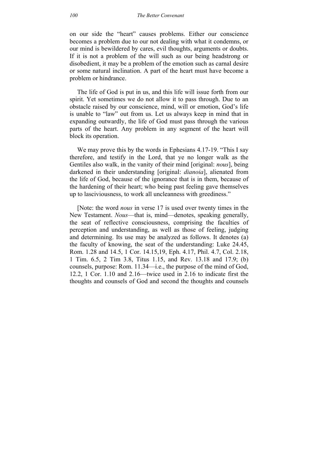on our side the "heart" causes problems. Either our conscience becomes a problem due to our not dealing with what it condemns, or our mind is bewildered by cares, evil thoughts, arguments or doubts. If it is not a problem of the will such as our being headstrong or disobedient, it may be a problem of the emotion such as carnal desire or some natural inclination. A part of the heart must have become a problem or hindrance.

The life of God is put in us, and this life will issue forth from our spirit. Yet sometimes we do not allow it to pass through. Due to an obstacle raised by our conscience, mind, will or emotion, God's life is unable to "law" out from us. Let us always keep in mind that in expanding outwardly, the life of God must pass through the various parts of the heart. Any problem in any segment of the heart will block its operation.

We may prove this by the words in Ephesians 4.17-19. "This I say therefore, and testify in the Lord, that ye no longer walk as the Gentiles also walk, in the vanity of their mind [original: *nous*], being darkened in their understanding [original: *dianoia*], alienated from the life of God, because of the ignorance that is in them, because of the hardening of their heart; who being past feeling gave themselves up to lasciviousness, to work all uncleanness with greediness."

[Note: the word *nous* in verse 17 is used over twenty times in the New Testament. *Nous*—that is, mind—denotes, speaking generally, the seat of reflective consciousness, comprising the faculties of perception and understanding, as well as those of feeling, judging and determining. Its use may be analyzed as follows. It denotes (a) the faculty of knowing, the seat of the understanding: Luke 24.45, Rom. 1.28 and 14.5, 1 Cor. 14.15,19, Eph. 4.17, Phil. 4.7, Col. 2.18, 1 Tim. 6.5, 2 Tim 3.8, Titus 1.15, and Rev. 13.18 and 17.9; (b) counsels, purpose: Rom. 11.34—i.e., the purpose of the mind of God, 12.2, 1 Cor. 1.10 and 2.16—twice used in 2.16 to indicate first the thoughts and counsels of God and second the thoughts and counsels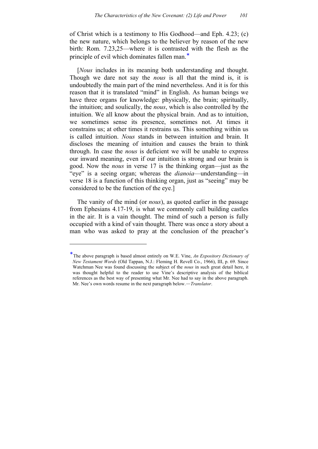of Christ which is a testimony to His Godhood—and Eph. 4.23; (c) the new nature, which belongs to the believer by reason of the new birth: Rom. 7.23,25—where it is contrasted with the flesh as the principle of evil which dominates fallen man.<sup>\*</sup>

[*Nous* includes in its meaning both understanding and thought. Though we dare not say the *nous* is all that the mind is, it is undoubtedly the main part of the mind nevertheless. And it is for this reason that it is translated "mind" in English. As human beings we have three organs for knowledge: physically, the brain; spiritually, the intuition; and soulically, the *nous*, which is also controlled by the intuition. We all know about the physical brain. And as to intuition, we sometimes sense its presence, sometimes not. At times it constrains us; at other times it restrains us. This something within us is called intuition. *Nous* stands in between intuition and brain. It discloses the meaning of intuition and causes the brain to think through. In case the *nous* is deficient we will be unable to express our inward meaning, even if our intuition is strong and our brain is good. Now the *nous* in verse 17 is the thinking organ—just as the "eye" is a seeing organ; whereas the *dianoia*—understanding—in verse 18 is a function of this thinking organ, just as "seeing" may be considered to be the function of the eye.]

The vanity of the mind (or *nous*), as quoted earlier in the passage from Ephesians 4.17-19, is what we commonly call building castles in the air. It is a vain thought. The mind of such a person is fully occupied with a kind of vain thought. There was once a story about a man who was asked to pray at the conclusion of the preacher's

 $\overline{\phantom{a}}$ 

<sup>∗</sup> The above paragraph is based almost entirely on W.E. Vine, *An Expository Dictionary of New Testament Words* (Old Tappan, N.J.: Fleming H. Revell Co., 1966), III, p. 69. Since Watchman Nee was found discussing the subject of the *nous* in such great detail here, it was thought helpful to the reader to use Vine's descriptive analysis of the biblical references as the best way of presenting what Mr. Nee had to say in the above paragraph. Mr. Nee's own words resume in the next paragraph below.—*Translator*.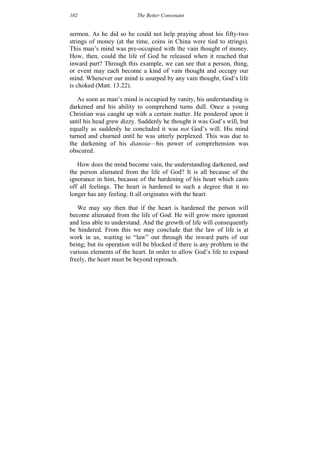sermon. As he did so he could not help praying about his fifty-two strings of money (at the time, coins in China were tied to strings). This man's mind was pre-occupied with the vain thought of money. How, then, could the life of God be released when it reached that inward part? Through this example, we can see that a person, thing, or event may each become a kind of vain thought and occupy our mind. Whenever our mind is usurped by any vain thought, God's life is choked (Matt. 13.22).

As soon as man's mind is occupied by vanity, his understanding is darkened and his ability to comprehend turns dull. Once a young Christian was caught up with a certain matter. He pondered upon it until his head grew dizzy. Suddenly he thought it was God's will, but equally as suddenly he concluded it was *not* God's will. His mind turned and churned until he was utterly perplexed. This was due to the darkening of his *dianoia*—his power of comprehension was obscured.

How does the mind become vain, the understanding darkened, and the person alienated from the life of God? It is all because of the ignorance in him, because of the hardening of his heart which casts off all feelings. The heart is hardened to such a degree that it no longer has any feeling. It all originates with the heart.

We may say then that if the heart is hardened the person will become alienated from the life of God. He will grow more ignorant and less able to understand. And the growth of life will consequently be hindered. From this we may conclude that the law of life is at work in us, waiting to "law" out through the inward parts of our being; but its operation will be blocked if there is any problem in the various elements of the heart. In order to allow God's life to expand freely, the heart must be beyond reproach.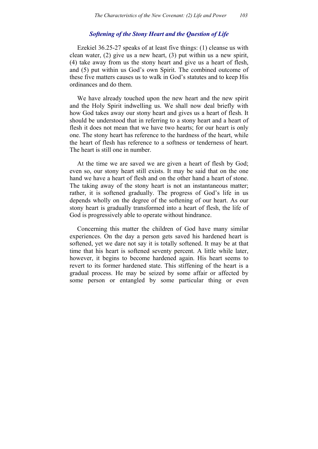## *Softening of the Stony Heart and the Question of Life*

Ezekiel 36.25-27 speaks of at least five things: (1) cleanse us with clean water, (2) give us a new heart, (3) put within us a new spirit, (4) take away from us the stony heart and give us a heart of flesh, and (5) put within us God's own Spirit. The combined outcome of these five matters causes us to walk in God's statutes and to keep His ordinances and do them.

We have already touched upon the new heart and the new spirit and the Holy Spirit indwelling us. We shall now deal briefly with how God takes away our stony heart and gives us a heart of flesh. It should be understood that in referring to a stony heart and a heart of flesh it does not mean that we have two hearts; for our heart is only one. The stony heart has reference to the hardness of the heart, while the heart of flesh has reference to a softness or tenderness of heart. The heart is still one in number.

At the time we are saved we are given a heart of flesh by God; even so, our stony heart still exists. It may be said that on the one hand we have a heart of flesh and on the other hand a heart of stone. The taking away of the stony heart is not an instantaneous matter; rather, it is softened gradually. The progress of God's life in us depends wholly on the degree of the softening of our heart. As our stony heart is gradually transformed into a heart of flesh, the life of God is progressively able to operate without hindrance.

Concerning this matter the children of God have many similar experiences. On the day a person gets saved his hardened heart is softened, yet we dare not say it is totally softened. It may be at that time that his heart is softened seventy percent. A little while later, however, it begins to become hardened again. His heart seems to revert to its former hardened state. This stiffening of the heart is a gradual process. He may be seized by some affair or affected by some person or entangled by some particular thing or even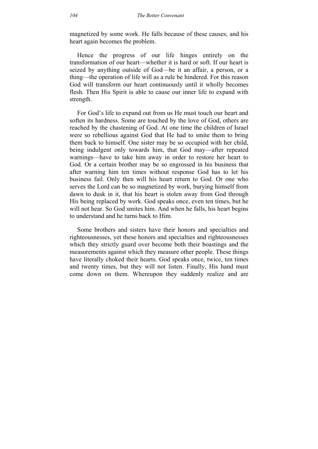magnetized by some work. He falls because of these causes; and his heart again becomes the problem.

Hence the progress of our life hinges entirely on the transformation of our heart—whether it is hard or soft. If our heart is seized by anything outside of God—be it an affair, a person, or a thing—the operation of life will as a rule be hindered. For this reason God will transform our heart continuously until it wholly becomes flesh. Then His Spirit is able to cause our inner life to expand with strength.

For God's life to expand out from us He must touch our heart and soften its hardness. Some are touched by the love of God, others are reached by the chastening of God. At one time the children of Israel were so rebellious against God that He had to smite them to bring them back to himself. One sister may be so occupied with her child, being indulgent only towards him, that God may—after repeated warnings—have to take him away in order to restore her heart to God. Or a certain brother may be so engrossed in his business that after warning him ten times without response God has to let his business fail. Only then will his heart return to God. Or one who serves the Lord can be so magnetized by work, burying himself from dawn to dusk in it, that his heart is stolen away from God through His being replaced by work. God speaks once, even ten times, but he will not hear. So God smites him. And when he falls, his heart begins to understand and he turns back to Him.

Some brothers and sisters have their honors and specialties and righteousnesses, yet these honors and specialties and righteousnesses which they strictly guard over become both their boastings and the measurements against which they measure other people. These things have literally choked their hearts. God speaks once, twice, ten times and twenty times, but they will not listen. Finally, His hand must come down on them. Whereupon they suddenly realize and are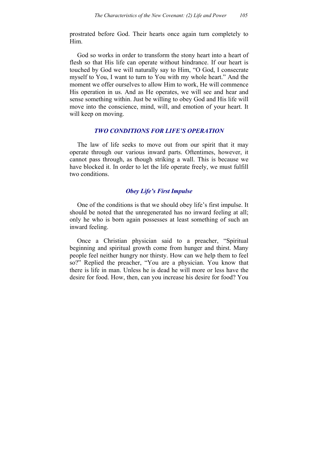prostrated before God. Their hearts once again turn completely to Him.

God so works in order to transform the stony heart into a heart of flesh so that His life can operate without hindrance. If our heart is touched by God we will naturally say to Him, "O God, I consecrate myself to You, I want to turn to You with my whole heart." And the moment we offer ourselves to allow Him to work, He will commence His operation in us. And as He operates, we will see and hear and sense something within. Just be willing to obey God and His life will move into the conscience, mind, will, and emotion of your heart. It will keep on moving.

## *TWO CONDITIONS FOR LIFE'S OPERATION*

The law of life seeks to move out from our spirit that it may operate through our various inward parts. Oftentimes, however, it cannot pass through, as though striking a wall. This is because we have blocked it. In order to let the life operate freely, we must fulfill two conditions.

## *Obey Life's First Impulse*

One of the conditions is that we should obey life's first impulse. It should be noted that the unregenerated has no inward feeling at all; only he who is born again possesses at least something of such an inward feeling.

Once a Christian physician said to a preacher, "Spiritual beginning and spiritual growth come from hunger and thirst. Many people feel neither hungry nor thirsty. How can we help them to feel so?" Replied the preacher, "You are a physician. You know that there is life in man. Unless he is dead he will more or less have the desire for food. How, then, can you increase his desire for food? You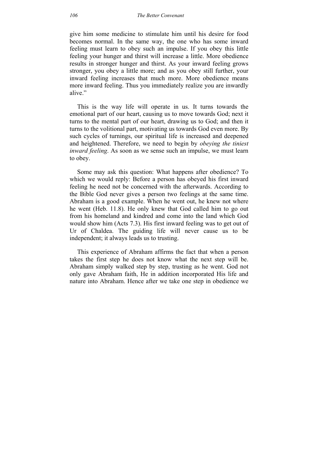give him some medicine to stimulate him until his desire for food becomes normal. In the same way, the one who has some inward feeling must learn to obey such an impulse. If you obey this little feeling your hunger and thirst will increase a little. More obedience results in stronger hunger and thirst. As your inward feeling grows stronger, you obey a little more; and as you obey still further, your inward feeling increases that much more. More obedience means more inward feeling. Thus you immediately realize you are inwardly alive."

This is the way life will operate in us. It turns towards the emotional part of our heart, causing us to move towards God; next it turns to the mental part of our heart, drawing us to God; and then it turns to the volitional part, motivating us towards God even more. By such cycles of turnings, our spiritual life is increased and deepened and heightened. Therefore, we need to begin by *obeying the tiniest inward feeling*. As soon as we sense such an impulse, we must learn to obey.

Some may ask this question: What happens after obedience? To which we would reply: Before a person has obeyed his first inward feeling he need not be concerned with the afterwards. According to the Bible God never gives a person two feelings at the same time. Abraham is a good example. When he went out, he knew not where he went (Heb. 11.8). He only knew that God called him to go out from his homeland and kindred and come into the land which God would show him (Acts 7.3). His first inward feeling was to get out of Ur of Chaldea. The guiding life will never cause us to be independent; it always leads us to trusting.

This experience of Abraham affirms the fact that when a person takes the first step he does not know what the next step will be. Abraham simply walked step by step, trusting as he went. God not only gave Abraham faith, He in addition incorporated His life and nature into Abraham. Hence after we take one step in obedience we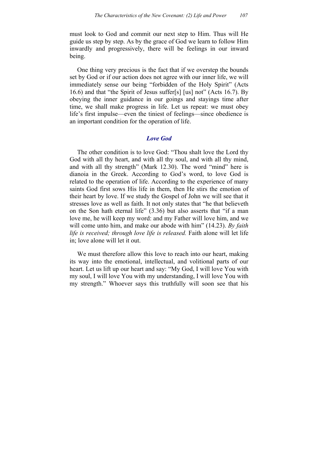must look to God and commit our next step to Him. Thus will He guide us step by step. As by the grace of God we learn to follow Him inwardly and progressively, there will be feelings in our inward being.

One thing very precious is the fact that if we overstep the bounds set by God or if our action does not agree with our inner life, we will immediately sense our being "forbidden of the Holy Spirit" (Acts 16.6) and that "the Spirit of Jesus suffer[s] [us] not" (Acts 16.7). By obeying the inner guidance in our goings and stayings time after time, we shall make progress in life. Let us repeat: we must obey life's first impulse—even the tiniest of feelings—since obedience is an important condition for the operation of life.

### *Love God*

The other condition is to love God: "Thou shalt love the Lord thy God with all thy heart, and with all thy soul, and with all thy mind, and with all thy strength" (Mark 12.30). The word "mind" here is dianoia in the Greek. According to God's word, to love God is related to the operation of life. According to the experience of many saints God first sows His life in them, then He stirs the emotion of their heart by love. If we study the Gospel of John we will see that it stresses love as well as faith. It not only states that "he that believeth on the Son hath eternal life" (3.36) but also asserts that "if a man love me, he will keep my word: and my Father will love him, and we will come unto him, and make our abode with him" (14.23). *By faith life is received; through love life is released.* Faith alone will let life in; love alone will let it out.

We must therefore allow this love to reach into our heart, making its way into the emotional, intellectual, and volitional parts of our heart. Let us lift up our heart and say: "My God, I will love You with my soul, I will love You with my understanding, I will love You with my strength." Whoever says this truthfully will soon see that his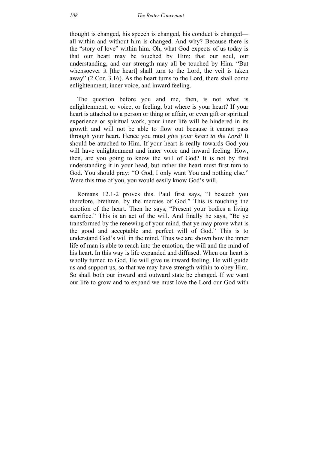thought is changed, his speech is changed, his conduct is changed all within and without him is changed. And why? Because there is the "story of love" within him. Oh, what God expects of us today is that our heart may be touched by Him; that our soul, our understanding, and our strength may all be touched by Him. "But whensoever it [the heart] shall turn to the Lord, the veil is taken away" (2 Cor. 3.16). As the heart turns to the Lord, there shall come enlightenment, inner voice, and inward feeling.

The question before you and me, then, is not what is enlightenment, or voice, or feeling, but where is your heart? If your heart is attached to a person or thing or affair, or even gift or spiritual experience or spiritual work, your inner life will be hindered in its growth and will not be able to flow out because it cannot pass through your heart. Hence you must *give your heart to the Lord!* It should be attached to Him. If your heart is really towards God you will have enlightenment and inner voice and inward feeling. How, then, are you going to know the will of God? It is not by first understanding it in your head, but rather the heart must first turn to God. You should pray: "O God, I only want You and nothing else." Were this true of you, you would easily know God's will.

Romans 12.1-2 proves this. Paul first says, "I beseech you therefore, brethren, by the mercies of God." This is touching the emotion of the heart. Then he says, "Present your bodies a living sacrifice." This is an act of the will. And finally he says, "Be ye transformed by the renewing of your mind, that ye may prove what is the good and acceptable and perfect will of God." This is to understand God's will in the mind. Thus we are shown how the inner life of man is able to reach into the emotion, the will and the mind of his heart. In this way is life expanded and diffused. When our heart is wholly turned to God, He will give us inward feeling, He will guide us and support us, so that we may have strength within to obey Him. So shall both our inward and outward state be changed. If we want our life to grow and to expand we must love the Lord our God with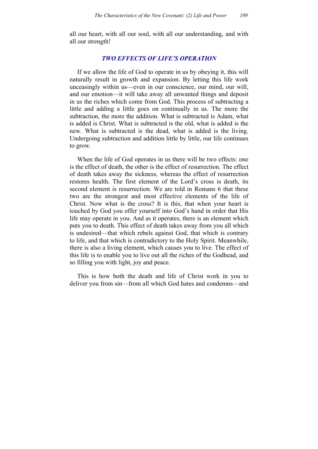all our heart, with all our soul, with all our understanding, and with all our strength!

#### *TWO EFFECTS OF LIFE'S OPERATION*

If we allow the life of God to operate in us by obeying it, this will naturally result in growth and expansion. By letting this life work unceasingly within us—even in our conscience, our mind, our will, and our emotion—it will take away all unwanted things and deposit in us the riches which come from God. This process of subtracting a little and adding a little goes on continually in us. The more the subtraction, the more the addition. What is subtracted is Adam, what is added is Christ. What is subtracted is the old, what is added is the new. What is subtracted is the dead, what is added is the living. Undergoing subtraction and addition little by little, our life continues to grow.

When the life of God operates in us there will be two effects: one is the effect of death, the other is the effect of resurrection. The effect of death takes away the sickness, whereas the effect of resurrection restores health. The first element of the Lord's cross is death, its second element is resurrection. We are told in Romans 6 that these two are the strongest and most effective elements of the life of Christ. Now what is the cross? It is this, that when your heart is touched by God you offer yourself into God's hand in order that His life may operate in you. And as it operates, there is an element which puts you to death. This effect of death takes away from you all which is undesired—that which rebels against God, that which is contrary to life, and that which is contradictory to the Holy Spirit. Meanwhile, there is also a living element, which causes you to live. The effect of this life is to enable you to live out all the riches of the Godhead, and so filling you with light, joy and peace.

This is how both the death and life of Christ work in you to deliver you from sin—from all which God hates and condemns—and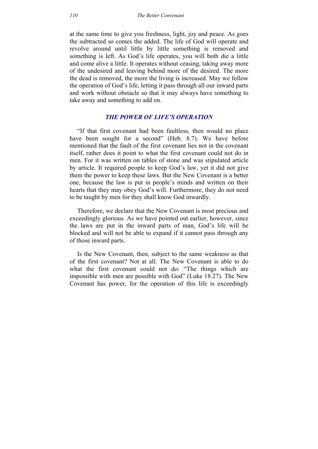at the same time to give you freshness, light, joy and peace. As goes the subtracted so comes the added. The life of God will operate and revolve around until little by little something is removed and something is left. As God's life operates, you will both die a little and come alive a little. It operates without ceasing, taking away more of the undesired and leaving behind more of the desired. The more the dead is removed, the more the living is increased. May we follow the operation of God's life, letting it pass through all our inward parts and work without obstacle so that it may always have something to take away and something to add on.

#### *THE POWER OF LIFE'S OPERATION*

"If that first covenant had been faultless, then would no place have been sought for a second" (Heb. 8.7). We have before mentioned that the fault of the first covenant lies not in the covenant itself, rather does it point to what the first covenant could not do in men. For it was written on tables of stone and was stipulated article by article. It required people to keep God's law, yet it did not give them the power to keep these laws. But the New Covenant is a better one, because the law is put in people's minds and written on their hearts that they may obey God's will. Furthermore, they do not need to be taught by men for they shall know God inwardly.

Therefore, we declare that the New Covenant is most precious and exceedingly glorious. As we have pointed out earlier, however, since the laws are put in the inward parts of man, God's life will be blocked and will not be able to expand if it cannot pass through any of those inward parts.

Is the New Covenant, then, subject to the same weakness as that of the first covenant? Not at all. The New Covenant is able to do what the first covenant could not do: "The things which are impossible with men are possible with God" (Luke 18.27). The New Covenant has power, for the operation of this life is exceedingly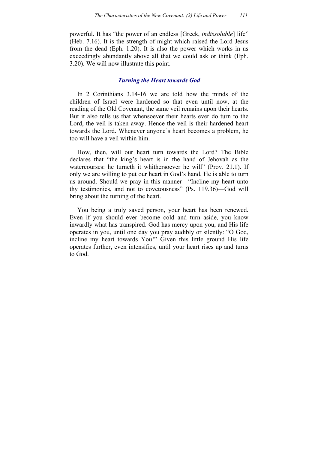powerful. It has "the power of an endless [Greek, *indissoluble*] life" (Heb. 7.16). It is the strength of might which raised the Lord Jesus from the dead (Eph. 1.20). It is also the power which works in us exceedingly abundantly above all that we could ask or think (Eph. 3.20). We will now illustrate this point.

#### *Turning the Heart towards God*

In 2 Corinthians 3.14-16 we are told how the minds of the children of Israel were hardened so that even until now, at the reading of the Old Covenant, the same veil remains upon their hearts. But it also tells us that whensoever their hearts ever do turn to the Lord, the veil is taken away. Hence the veil is their hardened heart towards the Lord. Whenever anyone's heart becomes a problem, he too will have a veil within him.

How, then, will our heart turn towards the Lord? The Bible declares that "the king's heart is in the hand of Jehovah as the watercourses: he turneth it whithersoever he will" (Prov. 21.1). If only we are willing to put our heart in God's hand, He is able to turn us around. Should we pray in this manner—"Incline my heart unto thy testimonies, and not to covetousness" (Ps. 119.36)—God will bring about the turning of the heart.

You being a truly saved person, your heart has been renewed. Even if you should ever become cold and turn aside, you know inwardly what has transpired. God has mercy upon you, and His life operates in you, until one day you pray audibly or silently: "O God, incline my heart towards You!" Given this little ground His life operates further, even intensifies, until your heart rises up and turns to God.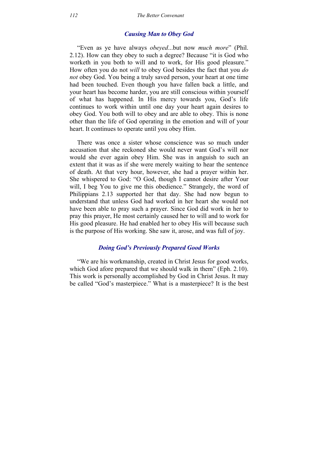#### *Causing Man to Obey God*

"Even as ye have always *obeyed*...but now *much more*" (Phil. 2.12). How can they obey to such a degree? Because "it is God who worketh in you both to will and to work, for His good pleasure." How often you do not *will* to obey God besides the fact that you *do not* obey God. You being a truly saved person, your heart at one time had been touched. Even though you have fallen back a little, and your heart has become harder, you are still conscious within yourself of what has happened. In His mercy towards you, God's life continues to work within until one day your heart again desires to obey God. You both will to obey and are able to obey. This is none other than the life of God operating in the emotion and will of your heart. It continues to operate until you obey Him.

There was once a sister whose conscience was so much under accusation that she reckoned she would never want God's will nor would she ever again obey Him. She was in anguish to such an extent that it was as if she were merely waiting to hear the sentence of death. At that very hour, however, she had a prayer within her. She whispered to God: "O God, though I cannot desire after Your will, I beg You to give me this obedience." Strangely, the word of Philippians 2.13 supported her that day. She had now begun to understand that unless God had worked in her heart she would not have been able to pray such a prayer. Since God did work in her to pray this prayer, He most certainly caused her to will and to work for His good pleasure. He had enabled her to obey His will because such is the purpose of His working. She saw it, arose, and was full of joy.

## *Doing God's Previously Prepared Good Works*

"We are his workmanship, created in Christ Jesus for good works, which God afore prepared that we should walk in them" (Eph. 2.10). This work is personally accomplished by God in Christ Jesus. It may be called "God's masterpiece." What is a masterpiece? It is the best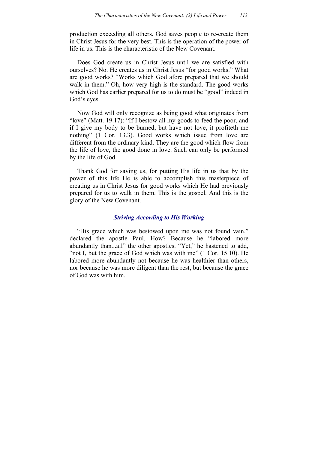production exceeding all others. God saves people to re-create them in Christ Jesus for the very best. This is the operation of the power of life in us. This is the characteristic of the New Covenant.

Does God create us in Christ Jesus until we are satisfied with ourselves? No. He creates us in Christ Jesus "for good works." What are good works? "Works which God afore prepared that we should walk in them." Oh, how very high is the standard. The good works which God has earlier prepared for us to do must be "good" indeed in God's eyes.

Now God will only recognize as being good what originates from "love" (Matt. 19.17): "If I bestow all my goods to feed the poor, and if I give my body to be burned, but have not love, it profiteth me nothing" (1 Cor. 13.3). Good works which issue from love are different from the ordinary kind. They are the good which flow from the life of love, the good done in love. Such can only be performed by the life of God.

Thank God for saving us, for putting His life in us that by the power of this life He is able to accomplish this masterpiece of creating us in Christ Jesus for good works which He had previously prepared for us to walk in them. This is the gospel. And this is the glory of the New Covenant.

## *Striving According to His Working*

"His grace which was bestowed upon me was not found vain," declared the apostle Paul. How? Because he "labored more abundantly than...all" the other apostles. "Yet," he hastened to add, "not I, but the grace of God which was with me" (1 Cor. 15.10). He labored more abundantly not because he was healthier than others, nor because he was more diligent than the rest, but because the grace of God was with him.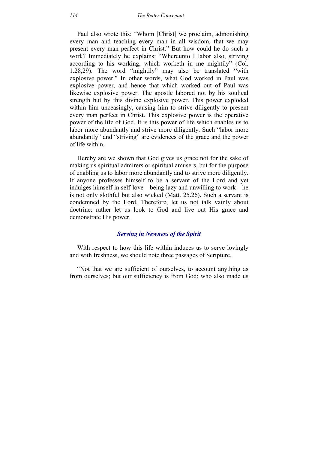Paul also wrote this: "Whom [Christ] we proclaim, admonishing every man and teaching every man in all wisdom, that we may present every man perfect in Christ." But how could he do such a work? Immediately he explains: "Whereunto I labor also, striving according to his working, which worketh in me mightily" (Col. 1.28,29). The word "mightily" may also be translated "with explosive power." In other words, what God worked in Paul was explosive power, and hence that which worked out of Paul was likewise explosive power. The apostle labored not by his soulical strength but by this divine explosive power. This power exploded within him unceasingly, causing him to strive diligently to present every man perfect in Christ. This explosive power is the operative power of the life of God. It is this power of life which enables us to labor more abundantly and strive more diligently. Such "labor more abundantly" and "striving" are evidences of the grace and the power of life within.

Hereby are we shown that God gives us grace not for the sake of making us spiritual admirers or spiritual amusers, but for the purpose of enabling us to labor more abundantly and to strive more diligently. If anyone professes himself to be a servant of the Lord and yet indulges himself in self-love—being lazy and unwilling to work—he is not only slothful but also wicked (Matt. 25.26). Such a servant is condemned by the Lord. Therefore, let us not talk vainly about doctrine: rather let us look to God and live out His grace and demonstrate His power.

#### *Serving in Newness of the Spirit*

With respect to how this life within induces us to serve lovingly and with freshness, we should note three passages of Scripture.

"Not that we are sufficient of ourselves, to account anything as from ourselves; but our sufficiency is from God; who also made us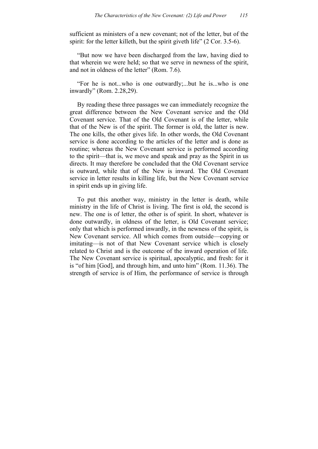sufficient as ministers of a new covenant; not of the letter, but of the spirit: for the letter killeth, but the spirit giveth life" (2 Cor. 3.5-6).

"But now we have been discharged from the law, having died to that wherein we were held; so that we serve in newness of the spirit, and not in oldness of the letter" (Rom. 7.6).

"For he is not...who is one outwardly;...but he is...who is one inwardly" (Rom. 2.28,29).

By reading these three passages we can immediately recognize the great difference between the New Covenant service and the Old Covenant service. That of the Old Covenant is of the letter, while that of the New is of the spirit. The former is old, the latter is new. The one kills, the other gives life. In other words, the Old Covenant service is done according to the articles of the letter and is done as routine; whereas the New Covenant service is performed according to the spirit—that is, we move and speak and pray as the Spirit in us directs. It may therefore be concluded that the Old Covenant service is outward, while that of the New is inward. The Old Covenant service in letter results in killing life, but the New Covenant service in spirit ends up in giving life.

To put this another way, ministry in the letter is death, while ministry in the life of Christ is living. The first is old, the second is new. The one is of letter, the other is of spirit. In short, whatever is done outwardly, in oldness of the letter, is Old Covenant service; only that which is performed inwardly, in the newness of the spirit, is New Covenant service. All which comes from outside—copying or imitating—is not of that New Covenant service which is closely related to Christ and is the outcome of the inward operation of life. The New Covenant service is spiritual, apocalyptic, and fresh: for it is "of him [God], and through him, and unto him" (Rom. 11.36). The strength of service is of Him, the performance of service is through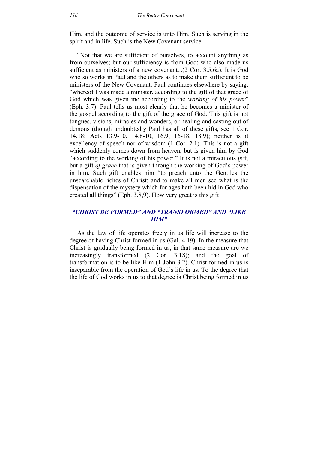Him, and the outcome of service is unto Him. Such is serving in the spirit and in life. Such is the New Covenant service.

"Not that we are sufficient of ourselves, to account anything as from ourselves; but our sufficiency is from God; who also made us sufficient as ministers of a new covenant...(2 Cor. 3.5,6a). It is God who so works in Paul and the others as to make them sufficient to be ministers of the New Covenant. Paul continues elsewhere by saying: "whereof I was made a minister, according to the gift of that grace of God which was given me according to the *working of his power*" (Eph. 3.7). Paul tells us most clearly that he becomes a minister of the gospel according to the gift of the grace of God. This gift is not tongues, visions, miracles and wonders, or healing and casting out of demons (though undoubtedly Paul has all of these gifts, see 1 Cor. 14.18; Acts 13.9-10, 14.8-10, 16.9, 16-18, 18.9); neither is it excellency of speech nor of wisdom (1 Cor. 2.1). This is not a gift which suddenly comes down from heaven, but is given him by God "according to the working of his power." It is not a miraculous gift, but a gift *of grace* that is given through the working of God's power in him. Such gift enables him "to preach unto the Gentiles the unsearchable riches of Christ; and to make all men see what is the dispensation of the mystery which for ages hath been hid in God who created all things" (Eph. 3.8,9). How very great is this gift!

## *"CHRIST BE FORMED" AND "TRANSFORMED" AND "LIKE HIM"*

As the law of life operates freely in us life will increase to the degree of having Christ formed in us (Gal. 4.19). In the measure that Christ is gradually being formed in us, in that same measure are we increasingly transformed (2 Cor. 3.18); and the goal of transformation is to be like Him (1 John 3.2). Christ formed in us is inseparable from the operation of God's life in us. To the degree that the life of God works in us to that degree is Christ being formed in us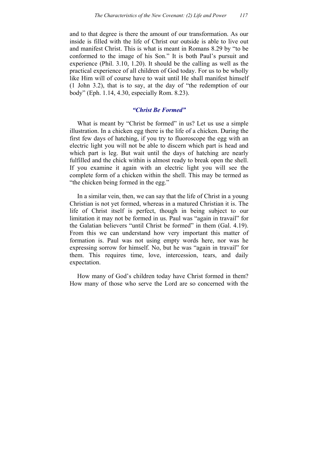and to that degree is there the amount of our transformation. As our inside is filled with the life of Christ our outside is able to live out and manifest Christ. This is what is meant in Romans 8.29 by "to be conformed to the image of his Son." It is both Paul's pursuit and experience (Phil. 3.10, 1.20). It should be the calling as well as the practical experience of all children of God today. For us to be wholly like Him will of course have to wait until He shall manifest himself (1 John 3.2), that is to say, at the day of "the redemption of our body" (Eph. 1.14, 4.30, especially Rom. 8.23).

#### *"Christ Be Formed"*

What is meant by "Christ be formed" in us? Let us use a simple illustration. In a chicken egg there is the life of a chicken. During the first few days of hatching, if you try to fluoroscope the egg with an electric light you will not be able to discern which part is head and which part is leg. But wait until the days of hatching are nearly fulfilled and the chick within is almost ready to break open the shell. If you examine it again with an electric light you will see the complete form of a chicken within the shell. This may be termed as "the chicken being formed in the egg."

In a similar vein, then, we can say that the life of Christ in a young Christian is not yet formed, whereas in a matured Christian it is. The life of Christ itself is perfect, though in being subject to our limitation it may not be formed in us. Paul was "again in travail" for the Galatian believers "until Christ be formed" in them (Gal. 4.19). From this we can understand how very important this matter of formation is. Paul was not using empty words here, nor was he expressing sorrow for himself. No, but he was "again in travail" for them. This requires time, love, intercession, tears, and daily expectation.

How many of God's children today have Christ formed in them? How many of those who serve the Lord are so concerned with the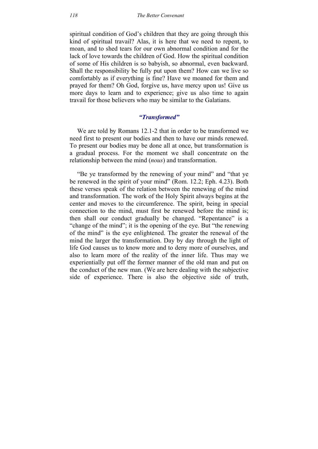spiritual condition of God's children that they are going through this kind of spiritual travail? Alas, it is here that we need to repent, to moan, and to shed tears for our own abnormal condition and for the lack of love towards the children of God. How the spiritual condition of some of His children is so babyish, so abnormal, even backward. Shall the responsibility be fully put upon them? How can we live so comfortably as if everything is fine? Have we moaned for them and prayed for them? Oh God, forgive us, have mercy upon us! Give us more days to learn and to experience; give us also time to again travail for those believers who may be similar to the Galatians.

#### *"Transformed"*

We are told by Romans 12.1-2 that in order to be transformed we need first to present our bodies and then to have our minds renewed. To present our bodies may be done all at once, but transformation is a gradual process. For the moment we shall concentrate on the relationship between the mind (*nous*) and transformation.

"Be ye transformed by the renewing of your mind" and "that ye be renewed in the spirit of your mind" (Rom. 12.2; Eph. 4.23). Both these verses speak of the relation between the renewing of the mind and transformation. The work of the Holy Spirit always begins at the center and moves to the circumference. The spirit, being in special connection to the mind, must first be renewed before the mind is; then shall our conduct gradually be changed. "Repentance" is a "change of the mind"; it is the opening of the eye. But "the renewing of the mind" is the eye enlightened. The greater the renewal of the mind the larger the transformation. Day by day through the light of life God causes us to know more and to deny more of ourselves, and also to learn more of the reality of the inner life. Thus may we experientially put off the former manner of the old man and put on the conduct of the new man. (We are here dealing with the subjective side of experience. There is also the objective side of truth,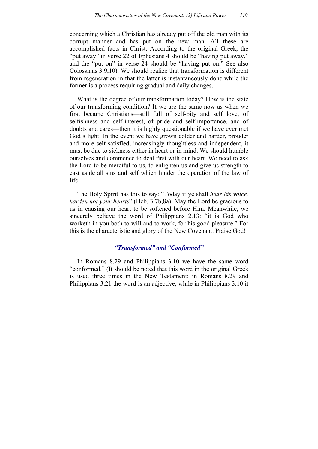concerning which a Christian has already put off the old man with its corrupt manner and has put on the new man. All these are accomplished facts in Christ. According to the original Greek, the "put away" in verse 22 of Ephesians 4 should be "having put away," and the "put on" in verse 24 should be "having put on." See also Colossians 3.9,10). We should realize that transformation is different from regeneration in that the latter is instantaneously done while the former is a process requiring gradual and daily changes.

What is the degree of our transformation today? How is the state of our transforming condition? If we are the same now as when we first became Christians—still full of self-pity and self love, of selfishness and self-interest, of pride and self-importance, and of doubts and cares—then it is highly questionable if we have ever met God's light. In the event we have grown colder and harder, prouder and more self-satisfied, increasingly thoughtless and independent, it must be due to sickness either in heart or in mind. We should humble ourselves and commence to deal first with our heart. We need to ask the Lord to be merciful to us, to enlighten us and give us strength to cast aside all sins and self which hinder the operation of the law of life.

The Holy Spirit has this to say: "Today if ye shall *hear his voice, harden not your hearts*" (Heb. 3.7b,8a). May the Lord be gracious to us in causing our heart to be softened before Him. Meanwhile, we sincerely believe the word of Philippians 2.13: "it is God who worketh in you both to will and to work, for his good pleasure." For this is the characteristic and glory of the New Covenant. Praise God!

## *"Transformed" and "Conformed"*

In Romans 8.29 and Philippians 3.10 we have the same word "conformed." (It should be noted that this word in the original Greek is used three times in the New Testament: in Romans 8.29 and Philippians 3.21 the word is an adjective, while in Philippians 3.10 it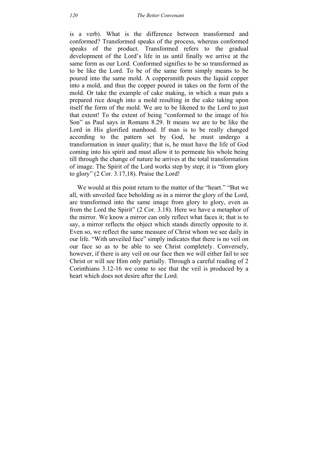is a verb). What is the difference between transformed and conformed? Transformed speaks of the process, whereas conformed speaks of the product. Transformed refers to the gradual development of the Lord's life in us until finally we arrive at the same form as our Lord. Conformed signifies to be so transformed as to be like the Lord. To be of the same form simply means to be poured into the same mold. A coppersmith pours the liquid copper into a mold, and thus the copper poured in takes on the form of the mold. Or take the example of cake making, in which a man puts a prepared rice dough into a mold resulting in the cake taking upon itself the form of the mold. We are to be likened to the Lord to just that extent! To the extent of being "conformed to the image of his Son" as Paul says in Romans 8.29. It means we are to be like the Lord in His glorified manhood. If man is to be really changed according to the pattern set by God, he must undergo a transformation in inner quality; that is, he must have the life of God coming into his spirit and must allow it to permeate his whole being till through the change of nature he arrives at the total transformation of image. The Spirit of the Lord works step by step; it is "from glory to glory" (2 Cor. 3.17,18). Praise the Lord!

We would at this point return to the matter of the "heart." "But we all, with unveiled face beholding as in a mirror the glory of the Lord, are transformed into the same image from glory to glory, even as from the Lord the Spirit" (2 Cor. 3.18). Here we have a metaphor of the mirror. We know a mirror can only reflect what faces it; that is to say, a mirror reflects the object which stands directly opposite to it. Even so, we reflect the same measure of Christ whom we see daily in our life. "With unveiled face" simply indicates that there is no veil on our face so as to be able to see Christ completely. Conversely, however, if there is any veil on our face then we will either fail to see Christ or will see Him only partially. Through a careful reading of 2 Corinthians 3.12-16 we come to see that the veil is produced by a heart which does not desire after the Lord.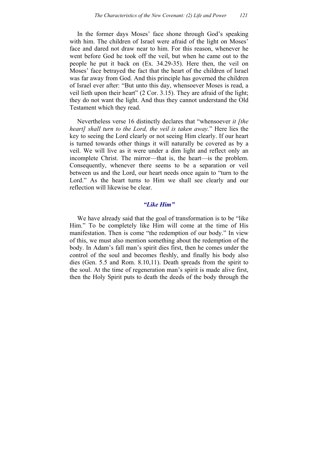In the former days Moses' face shone through God's speaking with him. The children of Israel were afraid of the light on Moses' face and dared not draw near to him. For this reason, whenever he went before God he took off the veil, but when he came out to the people he put it back on (Ex. 34.29-35). Here then, the veil on Moses' face betrayed the fact that the heart of the children of Israel was far away from God. And this principle has governed the children of Israel ever after: "But unto this day, whensoever Moses is read, a veil lieth upon their heart" (2 Cor. 3.15). They are afraid of the light; they do not want the light. And thus they cannot understand the Old Testament which they read.

Nevertheless verse 16 distinctly declares that "whensoever *it [the heart] shall turn to the Lord, the veil is taken away.*" Here lies the key to seeing the Lord clearly or not seeing Him clearly. If our heart is turned towards other things it will naturally be covered as by a veil. We will live as it were under a dim light and reflect only an incomplete Christ. The mirror—that is, the heart—is the problem. Consequently, whenever there seems to be a separation or veil between us and the Lord, our heart needs once again to "turn to the Lord." As the heart turns to Him we shall see clearly and our reflection will likewise be clear.

#### *"Like Him"*

We have already said that the goal of transformation is to be "like Him." To be completely like Him will come at the time of His manifestation. Then is come "the redemption of our body." In view of this, we must also mention something about the redemption of the body. In Adam's fall man's spirit dies first, then he comes under the control of the soul and becomes fleshly, and finally his body also dies (Gen. 5.5 and Rom. 8.10,11). Death spreads from the spirit to the soul. At the time of regeneration man's spirit is made alive first, then the Holy Spirit puts to death the deeds of the body through the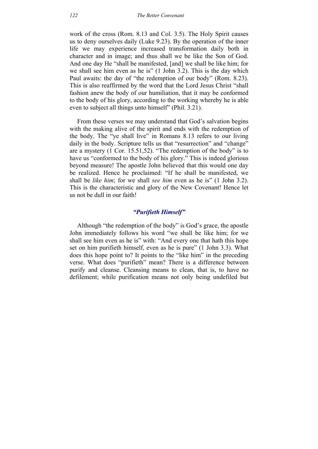work of the cross (Rom. 8.13 and Col. 3.5). The Holy Spirit causes us to deny ourselves daily (Luke 9.23). By the operation of the inner life we may experience increased transformation daily both in character and in image; and thus shall we be like the Son of God. And one day He "shall be manifested, [and] we shall be like him; for we shall see him even as he is" (1 John 3.2). This is the day which Paul awaits: the day of "the redemption of our body" (Rom. 8.23). This is also reaffirmed by the word that the Lord Jesus Christ "shall fashion anew the body of our humiliation, that it may be conformed to the body of his glory, according to the working whereby he is able even to subject all things unto himself" (Phil. 3.21).

From these verses we may understand that God's salvation begins with the making alive of the spirit and ends with the redemption of the body. The "ye shall live" in Romans 8.13 refers to our living daily in the body. Scripture tells us that "resurrection" and "change" are a mystery (1 Cor. 15.51,52). "The redemption of the body" is to have us "conformed to the body of his glory." This is indeed glorious beyond measure! The apostle John believed that this would one day be realized. Hence he proclaimed: "If he shall be manifested, we shall be *like him*; for we shall *see him* even as he is" (1 John 3.2). This is the characteristic and glory of the New Covenant! Hence let us not be dull in our faith!

#### *"Purifieth Himself"*

Although "the redemption of the body" is God's grace, the apostle John immediately follows his word "we shall be like him; for we shall see him even as he is" with: "And every one that hath this hope set on him purifieth himself, even as he is pure" (1 John 3.3). What does this hope point to? It points to the "like him" in the preceding verse. What does "purifieth" mean? There is a difference between purify and cleanse. Cleansing means to clean, that is, to have no defilement; while purification means not only being undefiled but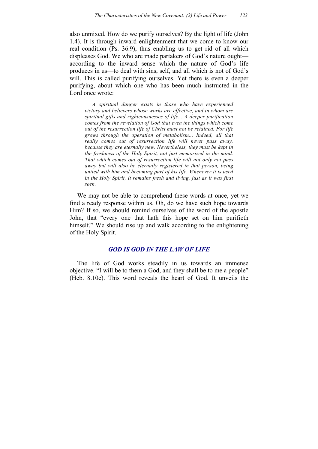also unmixed. How do we purify ourselves? By the light of life (John 1.4). It is through inward enlightenment that we come to know our real condition (Ps. 36.9), thus enabling us to get rid of all which displeases God. We who are made partakers of God's nature ought according to the inward sense which the nature of God's life produces in us—to deal with sins, self, and all which is not of God's will. This is called purifying ourselves. Yet there is even a deeper purifying, about which one who has been much instructed in the Lord once wrote:

*A spiritual danger exists in those who have experienced victory and believers whose works are effective, and in whom are spiritual gifts and righteousnesses of life... A deeper purification comes from the revelation of God that even the things which come out of the resurrection life of Christ must not be retained. For life grows through the operation of metabolism... Indeed, all that really comes out of resurrection life will never pass away, because they are eternally new. Nevertheless, they must be kept in the freshness of the Holy Spirit, not just memorized in the mind. That which comes out of resurrection life will not only not pass away but will also be eternally registered in that person, being united with him and becoming part of his life. Whenever it is used in the Holy Spirit, it remains fresh and living, just as it was first seen.* 

We may not be able to comprehend these words at once, yet we find a ready response within us. Oh, do we have such hope towards Him? If so, we should remind ourselves of the word of the apostle John, that "every one that hath this hope set on him purifieth himself." We should rise up and walk according to the enlightening of the Holy Spirit.

#### *GOD IS GOD IN THE LAW OF LIFE*

The life of God works steadily in us towards an immense objective. "I will be to them a God, and they shall be to me a people" (Heb. 8.10c). This word reveals the heart of God. It unveils the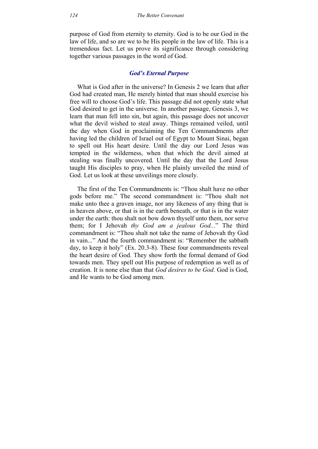purpose of God from eternity to eternity. God is to be our God in the law of life, and so are we to be His people in the law of life. This is a tremendous fact. Let us prove its significance through considering together various passages in the word of God.

## *God's Eternal Purpose*

What is God after in the universe? In Genesis 2 we learn that after God had created man, He merely hinted that man should exercise his free will to choose God's life. This passage did not openly state what God desired to get in the universe. In another passage, Genesis 3, we learn that man fell into sin, but again, this passage does not uncover what the devil wished to steal away. Things remained veiled, until the day when God in proclaiming the Ten Commandments after having led the children of Israel out of Egypt to Mount Sinai, began to spell out His heart desire. Until the day our Lord Jesus was tempted in the wilderness, when that which the devil aimed at stealing was finally uncovered. Until the day that the Lord Jesus taught His disciples to pray, when He plainly unveiled the mind of God. Let us look at these unveilings more closely.

The first of the Ten Commandments is: "Thou shalt have no other gods before me." The second commandment is: "Thou shalt not make unto thee a graven image, nor any likeness of any thing that is in heaven above, or that is in the earth beneath, or that is in the water under the earth: thou shalt not bow down thyself unto them, nor serve them; for I Jehovah *thy God am a jealous God...*" The third commandment is: "Thou shalt not take the name of Jehovah thy God in vain..." And the fourth commandment is: "Remember the sabbath day, to keep it holy" (Ex. 20.3-8). These four commandments reveal the heart desire of God. They show forth the formal demand of God towards men. They spell out His purpose of redemption as well as of creation. It is none else than that *God desires to be God*. God is God, and He wants to be God among men.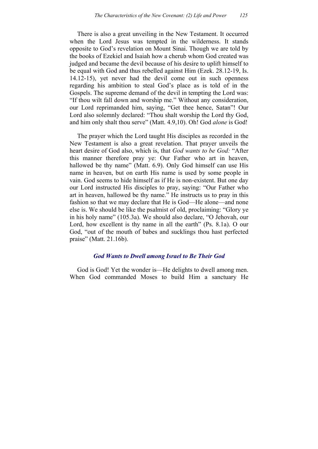There is also a great unveiling in the New Testament. It occurred when the Lord Jesus was tempted in the wilderness. It stands opposite to God's revelation on Mount Sinai. Though we are told by the books of Ezekiel and Isaiah how a cherub whom God created was judged and became the devil because of his desire to uplift himself to be equal with God and thus rebelled against Him (Ezek. 28.12-19, Is. 14.12-15), yet never had the devil come out in such openness regarding his ambition to steal God's place as is told of in the Gospels. The supreme demand of the devil in tempting the Lord was: "If thou wilt fall down and worship me." Without any consideration, our Lord reprimanded him, saying, "Get thee hence, Satan"! Our Lord also solemnly declared: "Thou shalt worship the Lord thy God, and him only shalt thou serve" (Matt. 4.9,10). Oh! God *alone* is God!

The prayer which the Lord taught His disciples as recorded in the New Testament is also a great revelation. That prayer unveils the heart desire of God also, which is, that *God wants to be God:* "After this manner therefore pray ye: Our Father who art in heaven, hallowed be thy name" (Matt. 6.9). Only God himself can use His name in heaven, but on earth His name is used by some people in vain. God seems to hide himself as if He is non-existent. But one day our Lord instructed His disciples to pray, saying: "Our Father who art in heaven, hallowed be thy name." He instructs us to pray in this fashion so that we may declare that He is God—He alone—and none else is. We should be like the psalmist of old, proclaiming: "Glory ye in his holy name" (105.3a). We should also declare, "O Jehovah, our Lord, how excellent is thy name in all the earth" (Ps. 8.1a). O our God, "out of the mouth of babes and sucklings thou hast perfected praise" (Matt. 21.16b).

## *God Wants to Dwell among Israel to Be Their God*

God is God! Yet the wonder is—He delights to dwell among men. When God commanded Moses to build Him a sanctuary He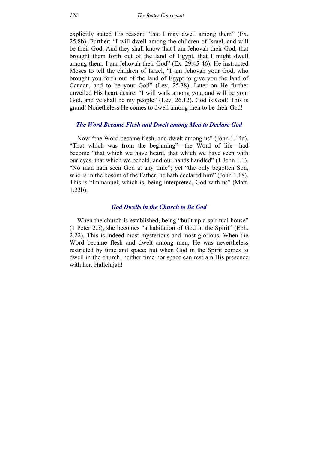explicitly stated His reason: "that I may dwell among them" (Ex. 25.8b). Further: "I will dwell among the children of Israel, and will be their God. And they shall know that I am Jehovah their God, that brought them forth out of the land of Egypt, that I might dwell among them: I am Jehovah their God" (Ex. 29.45-46). He instructed Moses to tell the children of Israel, "I am Jehovah your God, who brought you forth out of the land of Egypt to give you the land of Canaan, and to be your God" (Lev. 25.38). Later on He further unveiled His heart desire: "I will walk among you, and will be your God, and ye shall be my people" (Lev. 26.12). God is God! This is grand! Nonetheless He comes to dwell among men to be their God!

#### *The Word Became Flesh and Dwelt among Men to Declare God*

Now "the Word became flesh, and dwelt among us" (John 1.14a). "That which was from the beginning"—the Word of life—had become "that which we have heard, that which we have seen with our eyes, that which we beheld, and our hands handled" (1 John 1.1). "No man hath seen God at any time"; yet "the only begotten Son, who is in the bosom of the Father, he hath declared him" (John 1.18). This is "Immanuel; which is, being interpreted, God with us" (Matt. 1.23b).

#### *God Dwells in the Church to Be God*

When the church is established, being "built up a spiritual house" (1 Peter 2.5), she becomes "a habitation of God in the Spirit" (Eph. 2.22). This is indeed most mysterious and most glorious. When the Word became flesh and dwelt among men, He was nevertheless restricted by time and space; but when God in the Spirit comes to dwell in the church, neither time nor space can restrain His presence with her. Hallelujah!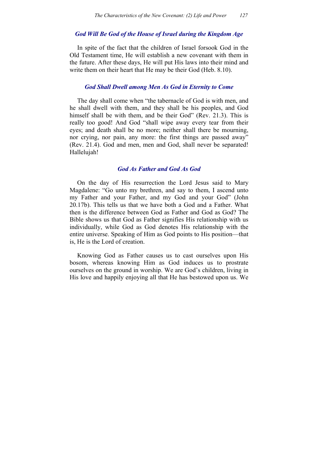#### *God Will Be God of the House of Israel during the Kingdom Age*

In spite of the fact that the children of Israel forsook God in the Old Testament time, He will establish a new covenant with them in the future. After these days, He will put His laws into their mind and write them on their heart that He may be their God (Heb. 8.10).

#### *God Shall Dwell among Men As God in Eternity to Come*

The day shall come when "the tabernacle of God is with men, and he shall dwell with them, and they shall be his peoples, and God himself shall be with them, and be their God" (Rev. 21.3). This is really too good! And God "shall wipe away every tear from their eyes; and death shall be no more; neither shall there be mourning, nor crying, nor pain, any more: the first things are passed away" (Rev. 21.4). God and men, men and God, shall never be separated! Hallelujah!

### *God As Father and God As God*

On the day of His resurrection the Lord Jesus said to Mary Magdalene: "Go unto my brethren, and say to them, I ascend unto my Father and your Father, and my God and your God" (John 20.17b). This tells us that we have both a God and a Father. What then is the difference between God as Father and God as God? The Bible shows us that God as Father signifies His relationship with us individually, while God as God denotes His relationship with the entire universe. Speaking of Him as God points to His position—that is, He is the Lord of creation.

Knowing God as Father causes us to cast ourselves upon His bosom, whereas knowing Him as God induces us to prostrate ourselves on the ground in worship. We are God's children, living in His love and happily enjoying all that He has bestowed upon us. We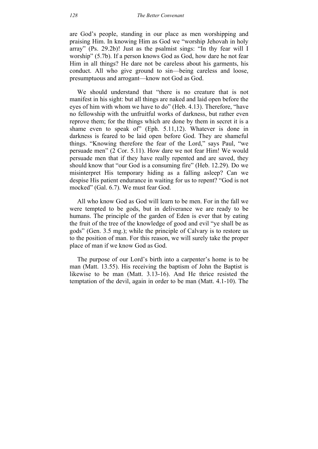are God's people, standing in our place as men worshipping and praising Him. In knowing Him as God we "worship Jehovah in holy array" (Ps. 29.2b)! Just as the psalmist sings: "In thy fear will I worship" (5.7b). If a person knows God as God, how dare he not fear Him in all things? He dare not be careless about his garments, his conduct. All who give ground to sin—being careless and loose, presumptuous and arrogant—know not God as God.

We should understand that "there is no creature that is not manifest in his sight: but all things are naked and laid open before the eyes of him with whom we have to do" (Heb. 4.13). Therefore, "have no fellowship with the unfruitful works of darkness, but rather even reprove them; for the things which are done by them in secret it is a shame even to speak of" (Eph. 5.11,12). Whatever is done in darkness is feared to be laid open before God. They are shameful things. "Knowing therefore the fear of the Lord," says Paul, "we persuade men" (2 Cor. 5.11). How dare we not fear Him! We would persuade men that if they have really repented and are saved, they should know that "our God is a consuming fire" (Heb. 12.29). Do we misinterpret His temporary hiding as a falling asleep? Can we despise His patient endurance in waiting for us to repent? "God is not mocked" (Gal. 6.7). We must fear God.

All who know God as God will learn to be men. For in the fall we were tempted to be gods, but in deliverance we are ready to be humans. The principle of the garden of Eden is ever that by eating the fruit of the tree of the knowledge of good and evil "ye shall be as gods" (Gen. 3.5 mg.); while the principle of Calvary is to restore us to the position of man. For this reason, we will surely take the proper place of man if we know God as God.

The purpose of our Lord's birth into a carpenter's home is to be man (Matt. 13.55). His receiving the baptism of John the Baptist is likewise to be man (Matt. 3.13-16). And He thrice resisted the temptation of the devil, again in order to be man (Matt. 4.1-10). The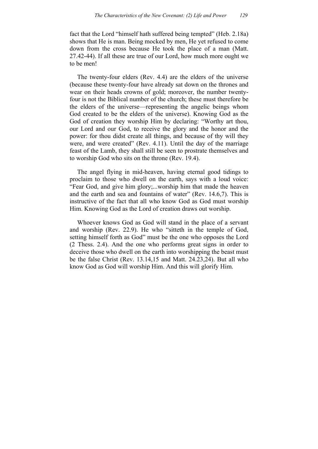fact that the Lord "himself hath suffered being tempted" (Heb. 2.18a) shows that He is man. Being mocked by men, He yet refused to come down from the cross because He took the place of a man (Matt. 27.42-44). If all these are true of our Lord, how much more ought we to be men!

The twenty-four elders (Rev. 4.4) are the elders of the universe (because these twenty-four have already sat down on the thrones and wear on their heads crowns of gold; moreover, the number twentyfour is not the Biblical number of the church; these must therefore be the elders of the universe—representing the angelic beings whom God created to be the elders of the universe). Knowing God as the God of creation they worship Him by declaring: "Worthy art thou, our Lord and our God, to receive the glory and the honor and the power: for thou didst create all things, and because of thy will they were, and were created" (Rev. 4.11). Until the day of the marriage feast of the Lamb, they shall still be seen to prostrate themselves and to worship God who sits on the throne (Rev. 19.4).

The angel flying in mid-heaven, having eternal good tidings to proclaim to those who dwell on the earth, says with a loud voice: "Fear God, and give him glory;...worship him that made the heaven and the earth and sea and fountains of water" (Rev. 14.6,7). This is instructive of the fact that all who know God as God must worship Him. Knowing God as the Lord of creation draws out worship.

Whoever knows God as God will stand in the place of a servant and worship (Rev. 22.9). He who "sitteth in the temple of God, setting himself forth as God" must be the one who opposes the Lord (2 Thess. 2.4). And the one who performs great signs in order to deceive those who dwell on the earth into worshipping the beast must be the false Christ (Rev. 13.14,15 and Matt. 24.23,24). But all who know God as God will worship Him. And this will glorify Him.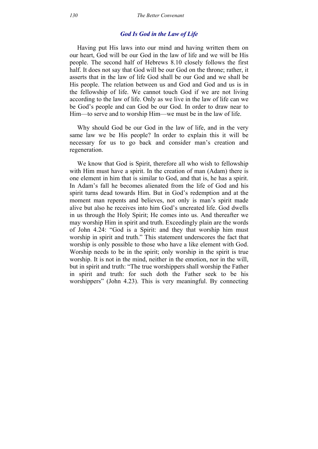#### *God Is God in the Law of Life*

Having put His laws into our mind and having written them on our heart, God will be our God in the law of life and we will be His people. The second half of Hebrews 8.10 closely follows the first half. It does not say that God will be our God on the throne; rather, it asserts that in the law of life God shall be our God and we shall be His people. The relation between us and God and God and us is in the fellowship of life. We cannot touch God if we are not living according to the law of life. Only as we live in the law of life can we be God's people and can God be our God. In order to draw near to Him—to serve and to worship Him—we must be in the law of life.

Why should God be our God in the law of life, and in the very same law we be His people? In order to explain this it will be necessary for us to go back and consider man's creation and regeneration.

We know that God is Spirit, therefore all who wish to fellowship with Him must have a spirit. In the creation of man (Adam) there is one element in him that is similar to God, and that is, he has a spirit. In Adam's fall he becomes alienated from the life of God and his spirit turns dead towards Him. But in God's redemption and at the moment man repents and believes, not only is man's spirit made alive but also he receives into him God's uncreated life. God dwells in us through the Holy Spirit; He comes into us. And thereafter we may worship Him in spirit and truth. Exceedingly plain are the words of John 4.24: "God is a Spirit: and they that worship him must worship in spirit and truth." This statement underscores the fact that worship is only possible to those who have a like element with God. Worship needs to be in the spirit; only worship in the spirit is true worship. It is not in the mind, neither in the emotion, nor in the will, but in spirit and truth: "The true worshippers shall worship the Father in spirit and truth: for such doth the Father seek to be his worshippers" (John 4.23). This is very meaningful. By connecting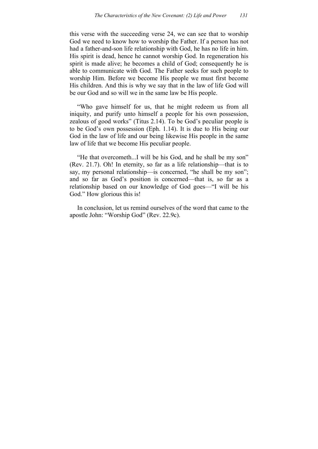this verse with the succeeding verse 24, we can see that to worship God we need to know how to worship the Father. If a person has not had a father-and-son life relationship with God, he has no life in him. His spirit is dead, hence he cannot worship God. In regeneration his spirit is made alive; he becomes a child of God; consequently he is able to communicate with God. The Father seeks for such people to worship Him. Before we become His people we must first become His children. And this is why we say that in the law of life God will be our God and so will we in the same law be His people.

"Who gave himself for us, that he might redeem us from all iniquity, and purify unto himself a people for his own possession, zealous of good works" (Titus 2.14). To be God's peculiar people is to be God's own possession (Eph. 1.14). It is due to His being our God in the law of life and our being likewise His people in the same law of life that we become His peculiar people.

"He that overcometh...I will be his God, and he shall be my son" (Rev. 21.7). Oh! In eternity, so far as a life relationship—that is to say, my personal relationship—is concerned, "he shall be my son"; and so far as God's position is concerned—that is, so far as a relationship based on our knowledge of God goes—"I will be his God." How glorious this is!

In conclusion, let us remind ourselves of the word that came to the apostle John: "Worship God" (Rev. 22.9c).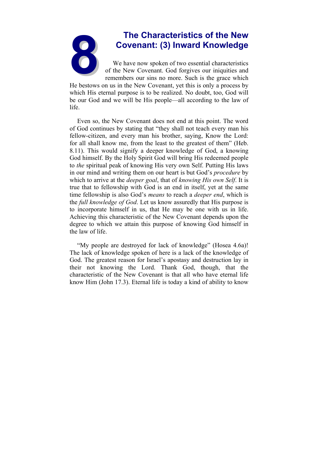# **Covenant: (3) Inward Knowledge**

**8The Characteristics of the New Covenant: (3) Inward Knowledge**<br>We have now spoken of two essential characteristics<br>of the New Covenant. God forgives our iniquities and<br>remembers our sins no more. Such is the grace which We have now spoken of two essential characteristics of the New Covenant. God forgives our iniquities and remembers our sins no more. Such is the grace which

He bestows on us in the New Covenant, yet this is only a process by which His eternal purpose is to be realized. No doubt, too, God will be our God and we will be His people—all according to the law of life.

Even so, the New Covenant does not end at this point. The word of God continues by stating that "they shall not teach every man his fellow-citizen, and every man his brother, saying, Know the Lord: for all shall know me, from the least to the greatest of them" (Heb. 8.11). This would signify a deeper knowledge of God, a knowing God himself. By the Holy Spirit God will bring His redeemed people to *the* spiritual peak of knowing His very own Self. Putting His laws in our mind and writing them on our heart is but God's *procedure* by which to arrive at the *deeper goal*, that of *knowing His own Self*. It is true that to fellowship with God is an end in itself, yet at the same time fellowship is also God's *means* to reach a *deeper end*, which is the *full knowledge of God*. Let us know assuredly that His purpose is to incorporate himself in us, that He may be one with us in life. Achieving this characteristic of the New Covenant depends upon the degree to which we attain this purpose of knowing God himself in the law of life.

"My people are destroyed for lack of knowledge" (Hosea 4.6a)! The lack of knowledge spoken of here is a lack of the knowledge of God. The greatest reason for Israel's apostasy and destruction lay in their not knowing the Lord. Thank God, though, that the characteristic of the New Covenant is that all who have eternal life know Him (John 17.3). Eternal life is today a kind of ability to know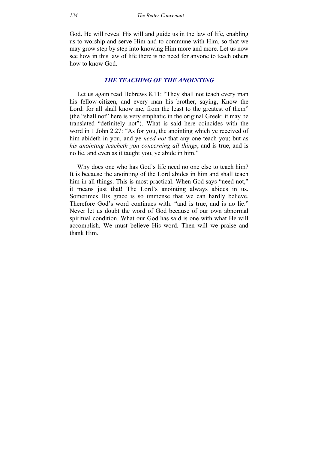God. He will reveal His will and guide us in the law of life, enabling us to worship and serve Him and to commune with Him, so that we may grow step by step into knowing Him more and more. Let us now see how in this law of life there is no need for anyone to teach others how to know God.

#### *THE TEACHING OF THE ANOINTING*

Let us again read Hebrews 8.11: "They shall not teach every man his fellow-citizen, and every man his brother, saying, Know the Lord: for all shall know me, from the least to the greatest of them" (the "shall not" here is very emphatic in the original Greek: it may be translated "definitely not"). What is said here coincides with the word in 1 John 2.27: "As for you, the anointing which ye received of him abideth in you, and ye *need not* that any one teach you; but as *his anointing teacheth you concerning all things*, and is true, and is no lie, and even as it taught you, ye abide in him."

Why does one who has God's life need no one else to teach him? It is because the anointing of the Lord abides in him and shall teach him in all things. This is most practical. When God says "need not," it means just that! The Lord's anointing always abides in us. Sometimes His grace is so immense that we can hardly believe. Therefore God's word continues with: "and is true, and is no lie." Never let us doubt the word of God because of our own abnormal spiritual condition. What our God has said is one with what He will accomplish. We must believe His word. Then will we praise and thank Him.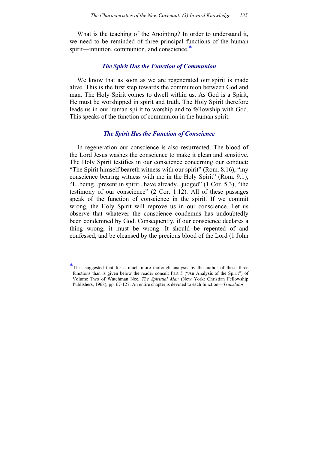What is the teaching of the Anointing? In order to understand it, we need to be reminded of three principal functions of the human spirit—intuition, communion, and conscience.<sup>∗</sup>

## *The Spirit Has the Function of Communion*

We know that as soon as we are regenerated our spirit is made alive. This is the first step towards the communion between God and man. The Holy Spirit comes to dwell within us. As God is a Spirit, He must be worshipped in spirit and truth. The Holy Spirit therefore leads us in our human spirit to worship and to fellowship with God. This speaks of the function of communion in the human spirit.

## *The Spirit Has the Function of Conscience*

In regeneration our conscience is also resurrected. The blood of the Lord Jesus washes the conscience to make it clean and sensitive. The Holy Spirit testifies in our conscience concerning our conduct: "The Spirit himself beareth witness with our spirit" (Rom. 8.16), "my conscience bearing witness with me in the Holy Spirit" (Rom. 9.1), "I...being...present in spirit...have already...judged" (1 Cor. 5.3), "the testimony of our conscience" (2 Cor. 1.12). All of these passages speak of the function of conscience in the spirit. If we commit wrong, the Holy Spirit will reprove us in our conscience. Let us observe that whatever the conscience condemns has undoubtedly been condemned by God. Consequently, if our conscience declares a thing wrong, it must be wrong. It should be repented of and confessed, and be cleansed by the precious blood of the Lord (1 John

 $\overline{a}$ 

<sup>∗</sup> It is suggested that for a much more thorough analysis by the author of these three functions than is given below the reader consult Part 5 ("An Analysis of the Spirit") of Volume Two of Watchman Nee, *The Spiritual Man* (New York: Christian Fellowship Publishers, 1968), pp. 67-127. An entire chapter is devoted to each function—*Translator*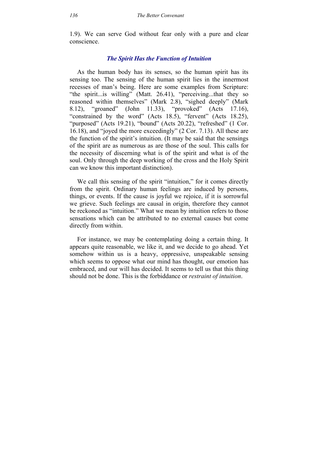1.9). We can serve God without fear only with a pure and clear conscience.

#### *The Spirit Has the Function of Intuition*

As the human body has its senses, so the human spirit has its sensing too. The sensing of the human spirit lies in the innermost recesses of man's being. Here are some examples from Scripture: "the spirit...is willing" (Matt. 26.41), "perceiving...that they so reasoned within themselves" (Mark 2.8), "sighed deeply" (Mark 8.12), "groaned" (John 11.33), "provoked" (Acts 17.16), "constrained by the word" (Acts 18.5), "fervent" (Acts 18.25), "purposed" (Acts 19.21), "bound" (Acts 20.22), "refreshed" (1 Cor. 16.18), and "joyed the more exceedingly" (2 Cor. 7.13). All these are the function of the spirit's intuition. (It may be said that the sensings of the spirit are as numerous as are those of the soul. This calls for the necessity of discerning what is of the spirit and what is of the soul. Only through the deep working of the cross and the Holy Spirit can we know this important distinction).

We call this sensing of the spirit "intuition," for it comes directly from the spirit. Ordinary human feelings are induced by persons, things, or events. If the cause is joyful we rejoice, if it is sorrowful we grieve. Such feelings are causal in origin, therefore they cannot be reckoned as "intuition." What we mean by intuition refers to those sensations which can be attributed to no external causes but come directly from within.

For instance, we may be contemplating doing a certain thing. It appears quite reasonable, we like it, and we decide to go ahead. Yet somehow within us is a heavy, oppressive, unspeakable sensing which seems to oppose what our mind has thought, our emotion has embraced, and our will has decided. It seems to tell us that this thing should not be done. This is the forbiddance or *restraint of intuition*.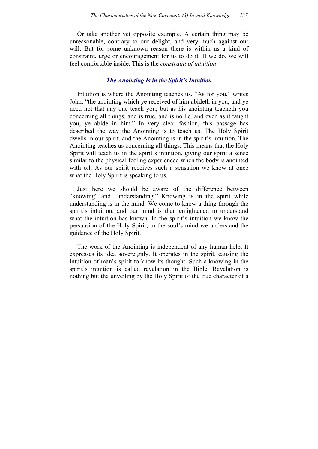Or take another yet opposite example. A certain thing may be unreasonable, contrary to our delight, and very much against our will. But for some unknown reason there is within us a kind of constraint, urge or encouragement for us to do it. If we do, we will feel comfortable inside. This is the *constraint of intuition*.

#### *The Anointing Is in the Spirit's Intuition*

Intuition is where the Anointing teaches us. "As for you," writes John, "the anointing which ye received of him abideth in you, and ye need not that any one teach you; but as his anointing teacheth you concerning all things, and is true, and is no lie, and even as it taught you, ye abide in him." In very clear fashion, this passage has described the way the Anointing is to teach us. The Holy Spirit dwells in our spirit, and the Anointing is in the spirit's intuition. The Anointing teaches us concerning all things. This means that the Holy Spirit will teach us in the spirit's intuition, giving our spirit a sense similar to the physical feeling experienced when the body is anointed with oil. As our spirit receives such a sensation we know at once what the Holy Spirit is speaking to us.

Just here we should be aware of the difference between "knowing" and "understanding." Knowing is in the spirit while understanding is in the mind. We come to know a thing through the spirit's intuition, and our mind is then enlightened to understand what the intuition has known. In the spirit's intuition we know the persuasion of the Holy Spirit; in the soul's mind we understand the guidance of the Holy Spirit.

The work of the Anointing is independent of any human help. It expresses its idea sovereignly. It operates in the spirit, causing the intuition of man's spirit to know its thought. Such a knowing in the spirit's intuition is called revelation in the Bible. Revelation is nothing but the unveiling by the Holy Spirit of the true character of a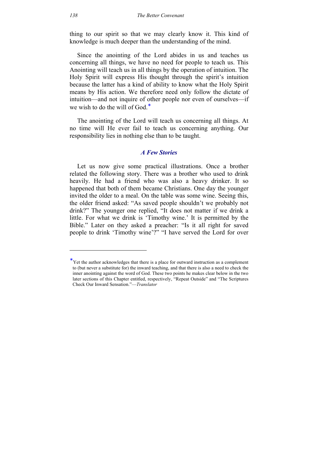thing to our spirit so that we may clearly know it. This kind of knowledge is much deeper than the understanding of the mind.

Since the anointing of the Lord abides in us and teaches us concerning all things, we have no need for people to teach us. This Anointing will teach us in all things by the operation of intuition. The Holy Spirit will express His thought through the spirit's intuition because the latter has a kind of ability to know what the Holy Spirit means by His action. We therefore need only follow the dictate of intuition—and not inquire of other people nor even of ourselves—if we wish to do the will of  $God^*$ 

The anointing of the Lord will teach us concerning all things. At no time will He ever fail to teach us concerning anything. Our responsibility lies in nothing else than to be taught.

## *A Few Stories*

Let us now give some practical illustrations. Once a brother related the following story. There was a brother who used to drink heavily. He had a friend who was also a heavy drinker. It so happened that both of them became Christians. One day the younger invited the older to a meal. On the table was some wine. Seeing this, the older friend asked: "As saved people shouldn't we probably not drink?" The younger one replied, "It does not matter if we drink a little. For what we drink is 'Timothy wine.' It is permitted by the Bible." Later on they asked a preacher: "Is it all right for saved people to drink 'Timothy wine'?" "I have served the Lord for over

 $\overline{\phantom{a}}$ 

<sup>∗</sup> Yet the author acknowledges that there is a place for outward instruction as a complement to (but never a substitute for) the inward teaching, and that there is also a need to check the inner anointing against the word of God. These two points he makes clear below in the two later sections of this Chapter entitled, respectively, "Repeat Outside" and "The Scriptures Check Our Inward Sensation."—*Translator*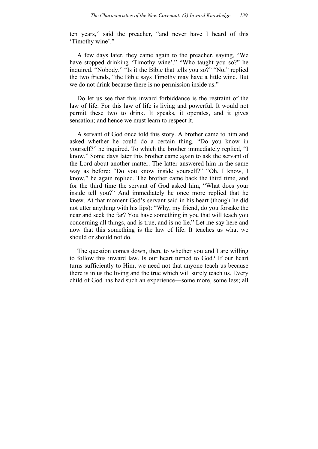ten years," said the preacher, "and never have I heard of this 'Timothy wine'."

A few days later, they came again to the preacher, saying, "We have stopped drinking 'Timothy wine'." "Who taught you so?" he inquired. "Nobody." "Is it the Bible that tells you so?" "No," replied the two friends, "the Bible says Timothy may have a little wine. But we do not drink because there is no permission inside us."

Do let us see that this inward forbiddance is the restraint of the law of life. For this law of life is living and powerful. It would not permit these two to drink. It speaks, it operates, and it gives sensation; and hence we must learn to respect it.

A servant of God once told this story. A brother came to him and asked whether he could do a certain thing. "Do you know in yourself?" he inquired. To which the brother immediately replied, "I know." Some days later this brother came again to ask the servant of the Lord about another matter. The latter answered him in the same way as before: "Do you know inside yourself?" "Oh, I know, I know," he again replied. The brother came back the third time, and for the third time the servant of God asked him, "What does your inside tell you?" And immediately he once more replied that he knew. At that moment God's servant said in his heart (though he did not utter anything with his lips): "Why, my friend, do you forsake the near and seek the far? You have something in you that will teach you concerning all things, and is true, and is no lie." Let me say here and now that this something is the law of life. It teaches us what we should or should not do.

The question comes down, then, to whether you and I are willing to follow this inward law. Is our heart turned to God? If our heart turns sufficiently to Him, we need not that anyone teach us because there is in us the living and the true which will surely teach us. Every child of God has had such an experience—some more, some less; all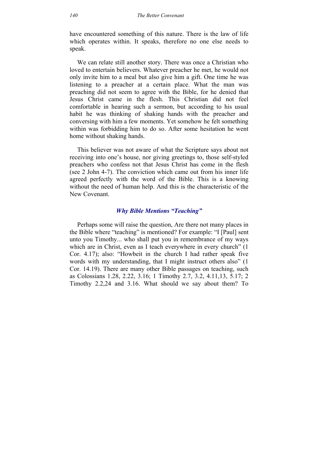have encountered something of this nature. There is the law of life which operates within. It speaks, therefore no one else needs to speak.

We can relate still another story. There was once a Christian who loved to entertain believers. Whatever preacher he met, he would not only invite him to a meal but also give him a gift. One time he was listening to a preacher at a certain place. What the man was preaching did not seem to agree with the Bible, for he denied that Jesus Christ came in the flesh. This Christian did not feel comfortable in hearing such a sermon, but according to his usual habit he was thinking of shaking hands with the preacher and conversing with him a few moments. Yet somehow he felt something within was forbidding him to do so. After some hesitation he went home without shaking hands.

This believer was not aware of what the Scripture says about not receiving into one's house, nor giving greetings to, those self-styled preachers who confess not that Jesus Christ has come in the flesh (see 2 John 4-7). The conviction which came out from his inner life agreed perfectly with the word of the Bible. This is a knowing without the need of human help. And this is the characteristic of the New Covenant.

# *Why Bible Mentions "Teaching"*

Perhaps some will raise the question, Are there not many places in the Bible where "teaching" is mentioned? For example: "I [Paul] sent unto you Timothy... who shall put you in remembrance of my ways which are in Christ, even as I teach everywhere in every church" (1 Cor. 4.17); also: "Howbeit in the church I had rather speak five words with my understanding, that I might instruct others also" (1 Cor. 14.19). There are many other Bible passages on teaching, such as Colossians 1.28, 2.22, 3.16; 1 Timothy 2.7, 3.2, 4.11,13, 5.17; 2 Timothy 2.2,24 and 3.16. What should we say about them? To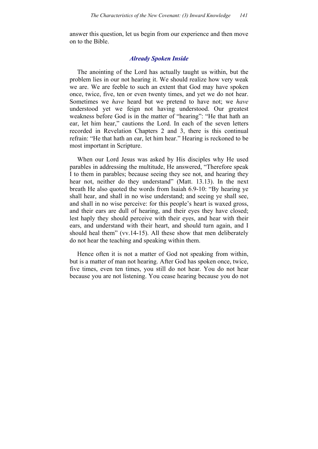answer this question, let us begin from our experience and then move on to the Bible.

#### *Already Spoken Inside*

The anointing of the Lord has actually taught us within, but the problem lies in our not hearing it. We should realize how very weak we are. We are feeble to such an extent that God may have spoken once, twice, five, ten or even twenty times, and yet we do not hear. Sometimes we *have* heard but we pretend to have not; we *have* understood yet we feign not having understood. Our greatest weakness before God is in the matter of "hearing": "He that hath an ear, let him hear," cautions the Lord. In each of the seven letters recorded in Revelation Chapters 2 and 3, there is this continual refrain: "He that hath an ear, let him hear." Hearing is reckoned to be most important in Scripture.

When our Lord Jesus was asked by His disciples why He used parables in addressing the multitude, He answered, "Therefore speak I to them in parables; because seeing they see not, and hearing they hear not, neither do they understand" (Matt. 13.13). In the next breath He also quoted the words from Isaiah 6.9-10: "By hearing ye shall hear, and shall in no wise understand; and seeing ye shall see, and shall in no wise perceive: for this people's heart is waxed gross, and their ears are dull of hearing, and their eyes they have closed; lest haply they should perceive with their eyes, and hear with their ears, and understand with their heart, and should turn again, and I should heal them" (vv.14-15). All these show that men deliberately do not hear the teaching and speaking within them.

Hence often it is not a matter of God not speaking from within, but is a matter of man not hearing. After God has spoken once, twice, five times, even ten times, you still do not hear. You do not hear because you are not listening. You cease hearing because you do not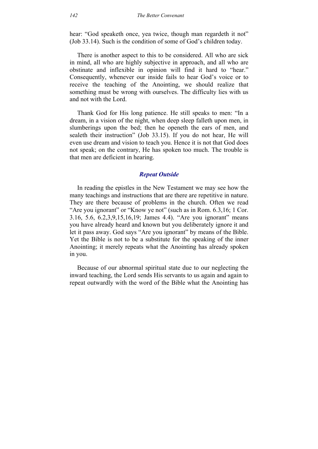hear: "God speaketh once, yea twice, though man regardeth it not" (Job 33.14). Such is the condition of some of God's children today.

There is another aspect to this to be considered. All who are sick in mind, all who are highly subjective in approach, and all who are obstinate and inflexible in opinion will find it hard to "hear." Consequently, whenever our inside fails to hear God's voice or to receive the teaching of the Anointing, we should realize that something must be wrong with ourselves. The difficulty lies with us and not with the Lord.

Thank God for His long patience. He still speaks to men: "In a dream, in a vision of the night, when deep sleep falleth upon men, in slumberings upon the bed; then he openeth the ears of men, and sealeth their instruction" (Job 33.15). If you do not hear, He will even use dream and vision to teach you. Hence it is not that God does not speak; on the contrary, He has spoken too much. The trouble is that men are deficient in hearing.

## *Repeat Outside*

In reading the epistles in the New Testament we may see how the many teachings and instructions that are there are repetitive in nature. They are there because of problems in the church. Often we read "Are you ignorant" or "Know ye not" (such as in Rom. 6.3,16; 1 Cor. 3.16, 5.6, 6.2,3,9,15,16,19; James 4.4). "Are you ignorant" means you have already heard and known but you deliberately ignore it and let it pass away. God says "Are you ignorant" by means of the Bible. Yet the Bible is not to be a substitute for the speaking of the inner Anointing; it merely repeats what the Anointing has already spoken in you.

Because of our abnormal spiritual state due to our neglecting the inward teaching, the Lord sends His servants to us again and again to repeat outwardly with the word of the Bible what the Anointing has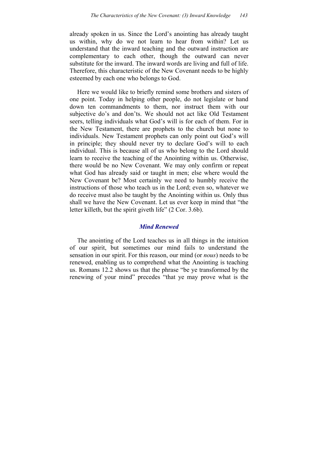already spoken in us. Since the Lord's anointing has already taught us within, why do we not learn to hear from within? Let us understand that the inward teaching and the outward instruction are complementary to each other, though the outward can never substitute for the inward. The inward words are living and full of life. Therefore, this characteristic of the New Covenant needs to be highly esteemed by each one who belongs to God.

Here we would like to briefly remind some brothers and sisters of one point. Today in helping other people, do not legislate or hand down ten commandments to them, nor instruct them with our subjective do's and don'ts. We should not act like Old Testament seers, telling individuals what God's will is for each of them. For in the New Testament, there are prophets to the church but none to individuals. New Testament prophets can only point out God's will in principle; they should never try to declare God's will to each individual. This is because all of us who belong to the Lord should learn to receive the teaching of the Anointing within us. Otherwise, there would be no New Covenant. We may only confirm or repeat what God has already said or taught in men; else where would the New Covenant be? Most certainly we need to humbly receive the instructions of those who teach us in the Lord; even so, whatever we do receive must also be taught by the Anointing within us. Only thus shall we have the New Covenant. Let us ever keep in mind that "the letter killeth, but the spirit giveth life" (2 Cor. 3.6b).

#### *Mind Renewed*

The anointing of the Lord teaches us in all things in the intuition of our spirit, but sometimes our mind fails to understand the sensation in our spirit. For this reason, our mind (or *nous*) needs to be renewed, enabling us to comprehend what the Anointing is teaching us. Romans 12.2 shows us that the phrase "be ye transformed by the renewing of your mind" precedes "that ye may prove what is the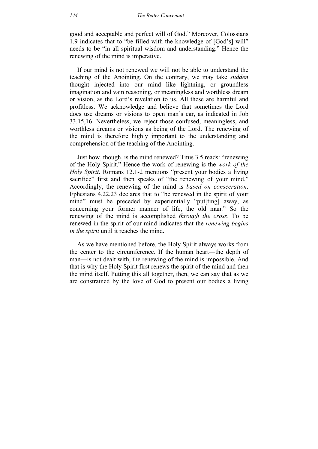good and acceptable and perfect will of God." Moreover, Colossians 1.9 indicates that to "be filled with the knowledge of [God's] will" needs to be "in all spiritual wisdom and understanding." Hence the renewing of the mind is imperative.

If our mind is not renewed we will not be able to understand the teaching of the Anointing. On the contrary, we may take *sudden* thought injected into our mind like lightning, or groundless imagination and vain reasoning, or meaningless and worthless dream or vision, as the Lord's revelation to us. All these are harmful and profitless. We acknowledge and believe that sometimes the Lord does use dreams or visions to open man's ear, as indicated in Job 33.15,16. Nevertheless, we reject those confused, meaningless, and worthless dreams or visions as being of the Lord. The renewing of the mind is therefore highly important to the understanding and comprehension of the teaching of the Anointing.

Just how, though, is the mind renewed? Titus 3.5 reads: "renewing of the Holy Spirit." Hence the work of renewing is the *work of the Holy Spirit*. Romans 12.1-2 mentions "present your bodies a living sacrifice" first and then speaks of "the renewing of your mind." Accordingly, the renewing of the mind is *based on consecration*. Ephesians 4.22,23 declares that to "be renewed in the spirit of your mind" must be preceded by experientially "put[ting] away, as concerning your former manner of life, the old man." So the renewing of the mind is accomplished *through the cross*. To be renewed in the spirit of our mind indicates that the *renewing begins in the spirit* until it reaches the mind.

As we have mentioned before, the Holy Spirit always works from the center to the circumference. If the human heart—the depth of man—is not dealt with, the renewing of the mind is impossible. And that is why the Holy Spirit first renews the spirit of the mind and then the mind itself. Putting this all together, then, we can say that as we are constrained by the love of God to present our bodies a living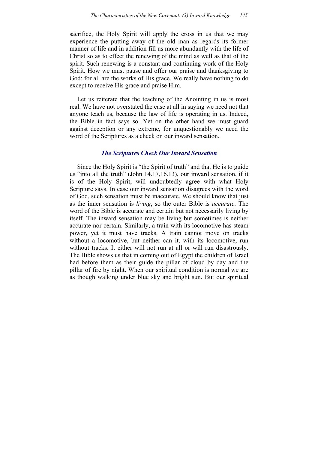sacrifice, the Holy Spirit will apply the cross in us that we may experience the putting away of the old man as regards its former manner of life and in addition fill us more abundantly with the life of Christ so as to effect the renewing of the mind as well as that of the spirit. Such renewing is a constant and continuing work of the Holy Spirit. How we must pause and offer our praise and thanksgiving to God: for all are the works of His grace. We really have nothing to do except to receive His grace and praise Him.

Let us reiterate that the teaching of the Anointing in us is most real. We have not overstated the case at all in saying we need not that anyone teach us, because the law of life is operating in us. Indeed, the Bible in fact says so. Yet on the other hand we must guard against deception or any extreme, for unquestionably we need the word of the Scriptures as a check on our inward sensation.

## *The Scriptures Check Our Inward Sensation*

Since the Holy Spirit is "the Spirit of truth" and that He is to guide us "into all the truth" (John 14.17,16.13), our inward sensation, if it is of the Holy Spirit, will undoubtedly agree with what Holy Scripture says. In case our inward sensation disagrees with the word of God, such sensation must be inaccurate. We should know that just as the inner sensation is *living*, so the outer Bible is *accurate*. The word of the Bible is accurate and certain but not necessarily living by itself. The inward sensation may be living but sometimes is neither accurate nor certain. Similarly, a train with its locomotive has steam power, yet it must have tracks. A train cannot move on tracks without a locomotive, but neither can it, with its locomotive, run without tracks. It either will not run at all or will run disastrously. The Bible shows us that in coming out of Egypt the children of Israel had before them as their guide the pillar of cloud by day and the pillar of fire by night. When our spiritual condition is normal we are as though walking under blue sky and bright sun. But our spiritual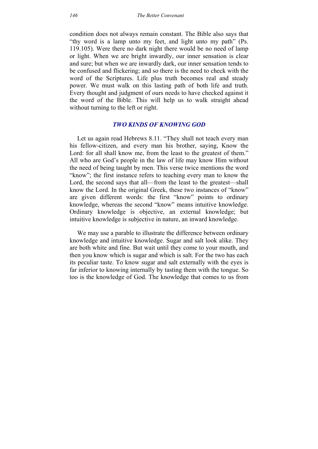condition does not always remain constant. The Bible also says that "thy word is a lamp unto my feet, and light unto my path" (Ps. 119.105). Were there no dark night there would be no need of lamp or light. When we are bright inwardly, our inner sensation is clear and sure; but when we are inwardly dark, our inner sensation tends to be confused and flickering; and so there is the need to check with the word of the Scriptures. Life plus truth becomes real and steady power. We must walk on this lasting path of both life and truth. Every thought and judgment of ours needs to have checked against it the word of the Bible. This will help us to walk straight ahead without turning to the left or right.

#### *TWO KINDS OF KNOWING GOD*

Let us again read Hebrews 8.11. "They shall not teach every man his fellow-citizen, and every man his brother, saying, Know the Lord: for all shall know me, from the least to the greatest of them." All who are God's people in the law of life may know Him without the need of being taught by men. This verse twice mentions the word "know"; the first instance refers to teaching every man to know the Lord, the second says that all—from the least to the greatest—shall know the Lord. In the original Greek, these two instances of "know" are given different words: the first "know" points to ordinary knowledge, whereas the second "know" means intuitive knowledge. Ordinary knowledge is objective, an external knowledge; but intuitive knowledge is subjective in nature, an inward knowledge.

We may use a parable to illustrate the difference between ordinary knowledge and intuitive knowledge. Sugar and salt look alike. They are both white and fine. But wait until they come to your mouth, and then you know which is sugar and which is salt. For the two has each its peculiar taste. To know sugar and salt externally with the eyes is far inferior to knowing internally by tasting them with the tongue. So too is the knowledge of God. The knowledge that comes to us from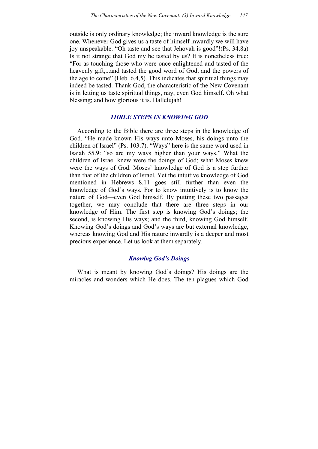outside is only ordinary knowledge; the inward knowledge is the sure one. Whenever God gives us a taste of himself inwardly we will have joy unspeakable. "Oh taste and see that Jehovah is good"!(Ps. 34.8a) Is it not strange that God my be tasted by us? It is nonetheless true: "For as touching those who were once enlightened and tasted of the heavenly gift,...and tasted the good word of God, and the powers of the age to come" (Heb. 6.4,5). This indicates that spiritual things may indeed be tasted. Thank God, the characteristic of the New Covenant is in letting us taste spiritual things, nay, even God himself. Oh what blessing; and how glorious it is. Hallelujah!

#### *THREE STEPS IN KNOWING GOD*

According to the Bible there are three steps in the knowledge of God. "He made known His ways unto Moses, his doings unto the children of Israel" (Ps. 103.7). "Ways" here is the same word used in Isaiah 55.9: "so are my ways higher than your ways." What the children of Israel knew were the doings of God; what Moses knew were the ways of God. Moses' knowledge of God is a step further than that of the children of Israel. Yet the intuitive knowledge of God mentioned in Hebrews 8.11 goes still further than even the knowledge of God's ways. For to know intuitively is to know the nature of God—even God himself. By putting these two passages together, we may conclude that there are three steps in our knowledge of Him. The first step is knowing God's doings; the second, is knowing His ways; and the third, knowing God himself. Knowing God's doings and God's ways are but external knowledge, whereas knowing God and His nature inwardly is a deeper and most precious experience. Let us look at them separately.

#### *Knowing God's Doings*

What is meant by knowing God's doings? His doings are the miracles and wonders which He does. The ten plagues which God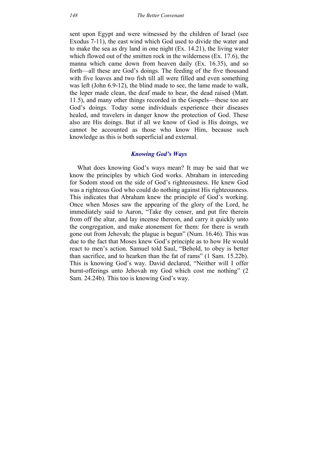sent upon Egypt and were witnessed by the children of Israel (see Exodus 7-11), the east wind which God used to divide the water and to make the sea as dry land in one night (Ex. 14.21), the living water which flowed out of the smitten rock in the wilderness (Ex. 17.6), the manna which came down from heaven daily (Ex. 16.35), and so forth—all these are God's doings. The feeding of the five thousand with five loaves and two fish till all were filled and even something was left (John 6.9-12), the blind made to see, the lame made to walk, the leper made clean, the deaf made to hear, the dead raised (Matt. 11.5), and many other things recorded in the Gospels—these too are God's doings. Today some individuals experience their diseases healed, and travelers in danger know the protection of God. These also are His doings. But if all we know of God is His doings, we cannot be accounted as those who know Him, because such knowledge as this is both superficial and external.

# *Knowing God's Ways*

What does knowing God's ways mean? It may be said that we know the principles by which God works. Abraham in interceding for Sodom stood on the side of God's righteousness. He knew God was a righteous God who could do nothing against His righteousness. This indicates that Abraham knew the principle of God's working. Once when Moses saw the appearing of the glory of the Lord, he immediately said to Aaron, "Take thy censer, and put fire therein from off the altar, and lay incense thereon, and carry it quickly unto the congregation, and make atonement for them: for there is wrath gone out from Jehovah; the plague is begun" (Num. 16.46). This was due to the fact that Moses knew God's principle as to how He would react to men's action. Samuel told Saul, "Behold, to obey is better than sacrifice, and to hearken than the fat of rams" (1 Sam. 15.22b). This is knowing God's way. David declared, "Neither will I offer burnt-offerings unto Jehovah my God which cost me nothing" (2 Sam. 24.24b). This too is knowing God's way.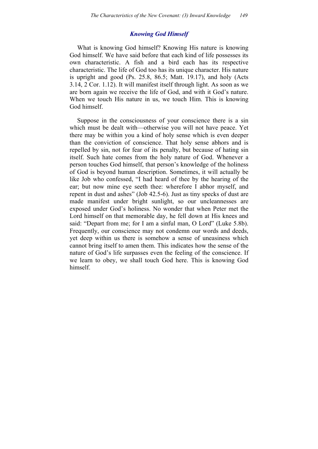## *Knowing God Himself*

What is knowing God himself? Knowing His nature is knowing God himself. We have said before that each kind of life possesses its own characteristic. A fish and a bird each has its respective characteristic. The life of God too has its unique character. His nature is upright and good (Ps. 25.8, 86.5; Matt. 19.17), and holy (Acts 3.14, 2 Cor. 1.12). It will manifest itself through light. As soon as we are born again we receive the life of God, and with it God's nature. When we touch His nature in us, we touch Him. This is knowing God himself.

Suppose in the consciousness of your conscience there is a sin which must be dealt with—otherwise you will not have peace. Yet there may be within you a kind of holy sense which is even deeper than the conviction of conscience. That holy sense abhors and is repelled by sin, not for fear of its penalty, but because of hating sin itself. Such hate comes from the holy nature of God. Whenever a person touches God himself, that person's knowledge of the holiness of God is beyond human description. Sometimes, it will actually be like Job who confessed, "I had heard of thee by the hearing of the ear; but now mine eye seeth thee: wherefore I abhor myself, and repent in dust and ashes" (Job 42.5-6). Just as tiny specks of dust are made manifest under bright sunlight, so our uncleannesses are exposed under God's holiness. No wonder that when Peter met the Lord himself on that memorable day, he fell down at His knees and said: "Depart from me; for I am a sinful man, O Lord" (Luke 5.8b). Frequently, our conscience may not condemn our words and deeds, yet deep within us there is somehow a sense of uneasiness which cannot bring itself to amen them. This indicates how the sense of the nature of God's life surpasses even the feeling of the conscience. If we learn to obey, we shall touch God here. This is knowing God himself.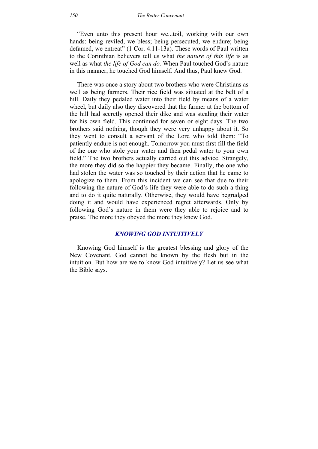"Even unto this present hour we...toil, working with our own hands: being reviled, we bless; being persecuted, we endure; being defamed, we entreat" (1 Cor. 4.11-13a). These words of Paul written to the Corinthian believers tell us what *the nature of this life* is as well as what *the life of God can do.* When Paul touched God's nature in this manner, he touched God himself. And thus, Paul knew God.

There was once a story about two brothers who were Christians as well as being farmers. Their rice field was situated at the belt of a hill. Daily they pedaled water into their field by means of a water wheel, but daily also they discovered that the farmer at the bottom of the hill had secretly opened their dike and was stealing their water for his own field. This continued for seven or eight days. The two brothers said nothing, though they were very unhappy about it. So they went to consult a servant of the Lord who told them: "To patiently endure is not enough. Tomorrow you must first fill the field of the one who stole your water and then pedal water to your own field." The two brothers actually carried out this advice. Strangely, the more they did so the happier they became. Finally, the one who had stolen the water was so touched by their action that he came to apologize to them. From this incident we can see that due to their following the nature of God's life they were able to do such a thing and to do it quite naturally. Otherwise, they would have begrudged doing it and would have experienced regret afterwards. Only by following God's nature in them were they able to rejoice and to praise. The more they obeyed the more they knew God.

#### *KNOWING GOD INTUITIVELY*

Knowing God himself is the greatest blessing and glory of the New Covenant. God cannot be known by the flesh but in the intuition. But how are we to know God intuitively? Let us see what the Bible says.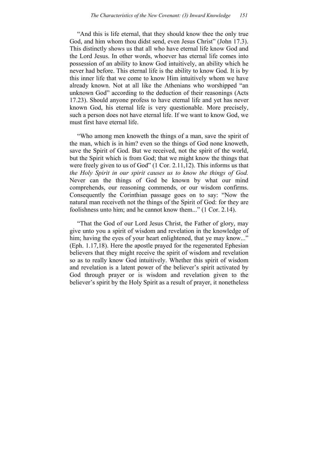"And this is life eternal, that they should know thee the only true God, and him whom thou didst send, even Jesus Christ" (John 17.3). This distinctly shows us that all who have eternal life know God and the Lord Jesus. In other words, whoever has eternal life comes into possession of an ability to know God intuitively, an ability which he never had before. This eternal life is the ability to know God. It is by this inner life that we come to know Him intuitively whom we have already known. Not at all like the Athenians who worshipped "an unknown God" according to the deduction of their reasonings (Acts 17.23). Should anyone profess to have eternal life and yet has never known God, his eternal life is very questionable. More precisely, such a person does not have eternal life. If we want to know God, we must first have eternal life.

"Who among men knoweth the things of a man, save the spirit of the man, which is in him? even so the things of God none knoweth, save the Spirit of God. But we received, not the spirit of the world, but the Spirit which is from God; that we might know the things that were freely given to us of God" (1 Cor. 2.11,12). This informs us that *the Holy Spirit in our spirit causes us to know the things of God.* Never can the things of God be known by what our mind comprehends, our reasoning commends, or our wisdom confirms. Consequently the Corinthian passage goes on to say: "Now the natural man receiveth not the things of the Spirit of God: for they are foolishness unto him; and he cannot know them..." (1 Cor. 2.14).

"That the God of our Lord Jesus Christ, the Father of glory, may give unto you a spirit of wisdom and revelation in the knowledge of him; having the eyes of your heart enlightened, that ye may know..." (Eph. 1.17,18). Here the apostle prayed for the regenerated Ephesian believers that they might receive the spirit of wisdom and revelation so as to really know God intuitively. Whether this spirit of wisdom and revelation is a latent power of the believer's spirit activated by God through prayer or is wisdom and revelation given to the believer's spirit by the Holy Spirit as a result of prayer, it nonetheless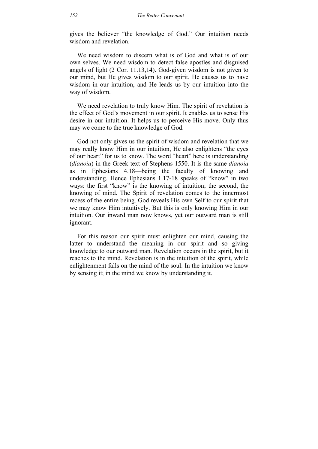gives the believer "the knowledge of God." Our intuition needs wisdom and revelation.

We need wisdom to discern what is of God and what is of our own selves. We need wisdom to detect false apostles and disguised angels of light (2 Cor. 11.13,14). God-given wisdom is not given to our mind, but He gives wisdom to our spirit. He causes us to have wisdom in our intuition, and He leads us by our intuition into the way of wisdom.

We need revelation to truly know Him. The spirit of revelation is the effect of God's movement in our spirit. It enables us to sense His desire in our intuition. It helps us to perceive His move. Only thus may we come to the true knowledge of God.

God not only gives us the spirit of wisdom and revelation that we may really know Him in our intuition, He also enlightens "the eyes of our heart" for us to know. The word "heart" here is understanding (*dianoia*) in the Greek text of Stephens 1550. It is the same *dianoia* as in Ephesians 4.18—being the faculty of knowing and understanding. Hence Ephesians 1.17-18 speaks of "know" in two ways: the first "know" is the knowing of intuition; the second, the knowing of mind. The Spirit of revelation comes to the innermost recess of the entire being. God reveals His own Self to our spirit that we may know Him intuitively. But this is only knowing Him in our intuition. Our inward man now knows, yet our outward man is still ignorant.

For this reason our spirit must enlighten our mind, causing the latter to understand the meaning in our spirit and so giving knowledge to our outward man. Revelation occurs in the spirit, but it reaches to the mind. Revelation is in the intuition of the spirit, while enlightenment falls on the mind of the soul. In the intuition we know by sensing it; in the mind we know by understanding it.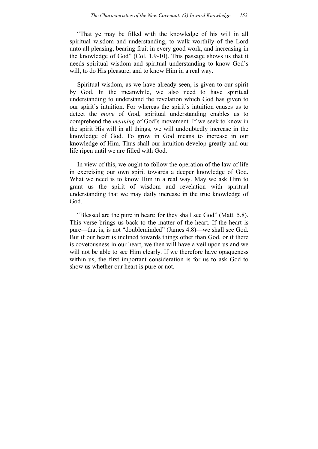"That ye may be filled with the knowledge of his will in all spiritual wisdom and understanding, to walk worthily of the Lord unto all pleasing, bearing fruit in every good work, and increasing in the knowledge of God" (Col. 1.9-10). This passage shows us that it needs spiritual wisdom and spiritual understanding to know God's will, to do His pleasure, and to know Him in a real way.

Spiritual wisdom, as we have already seen, is given to our spirit by God. In the meanwhile, we also need to have spiritual understanding to understand the revelation which God has given to our spirit's intuition. For whereas the spirit's intuition causes us to detect the *move* of God, spiritual understanding enables us to comprehend the *meaning* of God's movement. If we seek to know in the spirit His will in all things, we will undoubtedly increase in the knowledge of God. To grow in God means to increase in our knowledge of Him. Thus shall our intuition develop greatly and our life ripen until we are filled with God.

In view of this, we ought to follow the operation of the law of life in exercising our own spirit towards a deeper knowledge of God. What we need is to know Him in a real way. May we ask Him to grant us the spirit of wisdom and revelation with spiritual understanding that we may daily increase in the true knowledge of God.

"Blessed are the pure in heart: for they shall see God" (Matt. 5.8). This verse brings us back to the matter of the heart. If the heart is pure—that is, is not "doubleminded" (James 4.8)—we shall see God. But if our heart is inclined towards things other than God, or if there is covetousness in our heart, we then will have a veil upon us and we will not be able to see Him clearly. If we therefore have opaqueness within us, the first important consideration is for us to ask God to show us whether our heart is pure or not.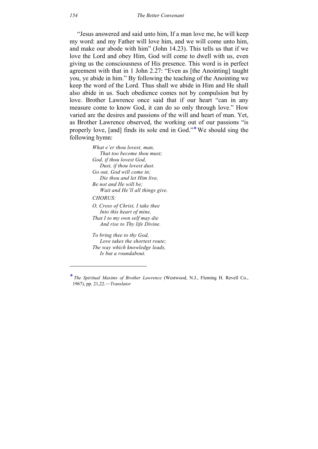"Jesus answered and said unto him, If a man love me, he will keep my word: and my Father will love him, and we will come unto him, and make our abode with him" (John 14.23). This tells us that if we love the Lord and obey Him, God will come to dwell with us, even giving us the consciousness of His presence. This word is in perfect agreement with that in 1 John 2.27: "Even as [the Anointing] taught you, ye abide in him." By following the teaching of the Anointing we keep the word of the Lord. Thus shall we abide in Him and He shall also abide in us. Such obedience comes not by compulsion but by love. Brother Lawrence once said that if our heart "can in any measure come to know God, it can do so only through love." How varied are the desires and passions of the will and heart of man. Yet, as Brother Lawrence observed, the working out of our passions "is properly love, [and] finds its sole end in God."<sup>\*</sup> We should sing the following hymn:

> *What e'er thou lovest, man, That too become thou must; God, if thou lovest God, Dust, if thou lovest dust. Go out, God will come in; Die thou and let Him live, Be not and He will be; Wait and He'll all things give. CHORUS: O, Cross of Christ, I take thee Into this heart of mine, That I to my own self may die*

*And rise to Thy life Divine.* 

*To bring thee to thy God, Love takes the shortest route; The way which knowledge leads, Is but a roundabout.* 

 $\overline{a}$ 

*The Spiritual Maxims of Brother Lawrence* (Westwood, N.J., Fleming H. Revell Co., 1967), pp. 21,22.—*Translator*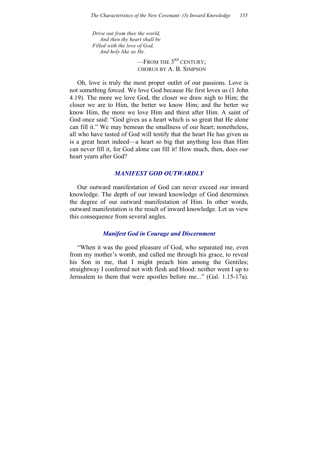*Drive out from thee the world, And then thy heart shall be Filled with the love of God, And holy like as He.* 

# $-$ FROM THE  $3^{RD}$  CENTURY; CHORUS BY A. B. SIMPSON

Oh, love is truly the most proper outlet of our passions. Love is not something forced. We love God because He first loves us (1 John 4.19). The more we love God, the closer we draw nigh to Him; the closer we are to Him, the better we know Him; and the better we know Him, the more we love Him and thirst after Him. A saint of God once said: "God gives us a heart which is so great that He alone can fill it." We may bemoan the smallness of our heart; nonetheless, all who have tasted of God will testify that the heart He has given us is a great heart indeed—a heart so big that anything less than Him can never fill it, for God alone can fill it! How much, then, does *our* heart yearn after God?

# *MANIFEST GOD OUTWARDLY*

Our outward manifestation of God can never exceed our inward knowledge. The depth of our inward knowledge of God determines the degree of our outward manifestation of Him. In other words, outward manifestation is the result of inward knowledge. Let us view this consequence from several angles.

## *Manifest God in Courage and Discernment*

"When it was the good pleasure of God, who separated me, even from my mother's womb, and called me through his grace, to reveal his Son in me, that I might preach him among the Gentiles; straightway I conferred not with flesh and blood: neither went I up to Jerusalem to them that were apostles before me..." (Gal. 1.15-17a).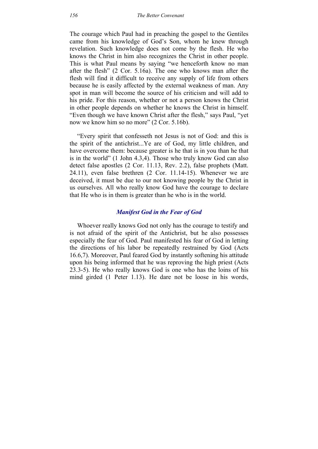The courage which Paul had in preaching the gospel to the Gentiles came from his knowledge of God's Son, whom he knew through revelation. Such knowledge does not come by the flesh. He who knows the Christ in him also recognizes the Christ in other people. This is what Paul means by saying "we henceforth know no man after the flesh" (2 Cor. 5.16a). The one who knows man after the flesh will find it difficult to receive any supply of life from others because he is easily affected by the external weakness of man. Any spot in man will become the source of his criticism and will add to his pride. For this reason, whether or not a person knows the Christ in other people depends on whether he knows the Christ in himself. "Even though we have known Christ after the flesh," says Paul, "yet now we know him so no more" (2 Cor. 5.16b).

"Every spirit that confesseth not Jesus is not of God: and this is the spirit of the antichrist...Ye are of God, my little children, and have overcome them: because greater is he that is in you than he that is in the world" (1 John 4.3,4). Those who truly know God can also detect false apostles (2 Cor. 11.13, Rev. 2.2), false prophets (Matt. 24.11), even false brethren (2 Cor. 11.14-15). Whenever we are deceived, it must be due to our not knowing people by the Christ in us ourselves. All who really know God have the courage to declare that He who is in them is greater than he who is in the world.

## *Manifest God in the Fear of God*

Whoever really knows God not only has the courage to testify and is not afraid of the spirit of the Antichrist, but he also possesses especially the fear of God. Paul manifested his fear of God in letting the directions of his labor be repeatedly restrained by God (Acts 16.6,7). Moreover, Paul feared God by instantly softening his attitude upon his being informed that he was reproving the high priest (Acts 23.3-5). He who really knows God is one who has the loins of his mind girded (1 Peter 1.13). He dare not be loose in his words,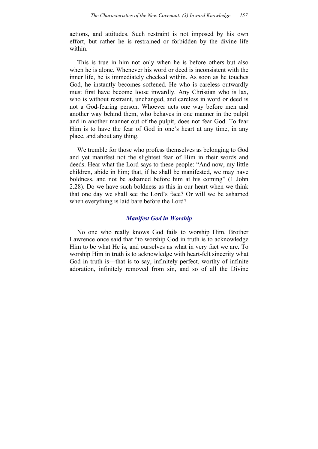actions, and attitudes. Such restraint is not imposed by his own effort, but rather he is restrained or forbidden by the divine life within.

This is true in him not only when he is before others but also when he is alone. Whenever his word or deed is inconsistent with the inner life, he is immediately checked within. As soon as he touches God, he instantly becomes softened. He who is careless outwardly must first have become loose inwardly. Any Christian who is lax, who is without restraint, unchanged, and careless in word or deed is not a God-fearing person. Whoever acts one way before men and another way behind them, who behaves in one manner in the pulpit and in another manner out of the pulpit, does not fear God. To fear Him is to have the fear of God in one's heart at any time, in any place, and about any thing.

We tremble for those who profess themselves as belonging to God and yet manifest not the slightest fear of Him in their words and deeds. Hear what the Lord says to these people: "And now, my little children, abide in him; that, if he shall be manifested, we may have boldness, and not be ashamed before him at his coming" (1 John 2.28). Do we have such boldness as this in our heart when we think that one day we shall see the Lord's face? Or will we be ashamed when everything is laid bare before the Lord?

# *Manifest God in Worship*

No one who really knows God fails to worship Him. Brother Lawrence once said that "to worship God in truth is to acknowledge Him to be what He is, and ourselves as what in very fact we are. To worship Him in truth is to acknowledge with heart-felt sincerity what God in truth is—that is to say, infinitely perfect, worthy of infinite adoration, infinitely removed from sin, and so of all the Divine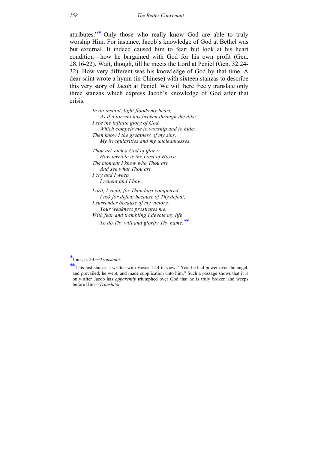attributes."<sup>∗</sup> Only those who really know God are able to truly worship Him. For instance, Jacob's knowledge of God at Bethel was but external. It indeed caused him to fear; but look at his heart condition—how he bargained with God for his own profit (Gen. 28.16-22). Wait, though, till he meets the Lord at Peniel (Gen. 32.24- 32). How very different was his knowledge of God by that time. A dear saint wrote a hymn (in Chinese) with sixteen stanzas to describe this very story of Jacob at Peniel. We will here freely translate only three stanzas which express Jacob's knowledge of God after that crisis.

> *In an instant, light floods my heart, As if a torrent has broken through the dike. I see the infinite glory of God, Which compels me to worship and to hide; Then know I the greatness of my sins, My irregularities and my uncleannesses.*

*Thou art such a God of glory. How terrible is the Lord of Hosts; The moment I know who Thou art, And see what Thou art, I cry and I weep I repent and I bow.* 

*Lord, I yield, for Thou hast conquered. I ask for defeat because of Thy defeat, I surrender because of my victory. Your weakness prostrates me, With fear and trembling I devote my life To do Thy will and glorify Thy name.*∗∗

 $\overline{a}$ 

<sup>∗</sup> Ibid., p. 20.—*Translator*

This last stanza is written with Hosea 12.4 in view: "Yea, he had power over the angel, and prevailed; he wept, and made supplication unto him." Such a passage shows that it is only after Jacob has *apparently* triumphed over God that he is truly broken and weeps before Him—*Translator*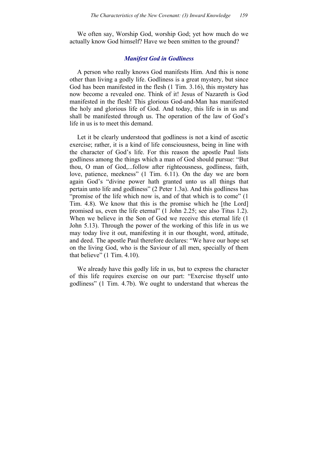We often say, Worship God, worship God; yet how much do we actually know God himself? Have we been smitten to the ground?

## *Manifest God in Godliness*

A person who really knows God manifests Him. And this is none other than living a godly life. Godliness is a great mystery, but since God has been manifested in the flesh (1 Tim. 3.16), this mystery has now become a revealed one. Think of it! Jesus of Nazareth is God manifested in the flesh! This glorious God-and-Man has manifested the holy and glorious life of God. And today, this life is in us and shall be manifested through us. The operation of the law of God's life in us is to meet this demand.

Let it be clearly understood that godliness is not a kind of ascetic exercise; rather, it is a kind of life consciousness, being in line with the character of God's life. For this reason the apostle Paul lists godliness among the things which a man of God should pursue: "But thou, O man of God,...follow after righteousness, godliness, faith, love, patience, meekness" (1 Tim. 6.11). On the day we are born again God's "divine power hath granted unto us all things that pertain unto life and godliness" (2 Peter 1.3a). And this godliness has "promise of the life which now is, and of that which is to come" (1 Tim. 4.8). We know that this is the promise which he [the Lord] promised us, even the life eternal" (1 John 2.25; see also Titus 1.2). When we believe in the Son of God we receive this eternal life (1 John 5.13). Through the power of the working of this life in us we may today live it out, manifesting it in our thought, word, attitude, and deed. The apostle Paul therefore declares: "We have our hope set on the living God, who is the Saviour of all men, specially of them that believe" (1 Tim. 4.10).

We already have this godly life in us, but to express the character of this life requires exercise on our part: "Exercise thyself unto godliness" (1 Tim. 4.7b). We ought to understand that whereas the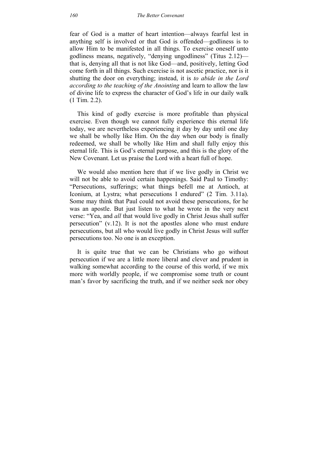fear of God is a matter of heart intention—always fearful lest in anything self is involved or that God is offended—godliness is to allow Him to be manifested in all things. To exercise oneself unto godliness means, negatively, "denying ungodliness" (Titus 2.12) that is, denying all that is not like God—and, positively, letting God come forth in all things. Such exercise is not ascetic practice, nor is it shutting the door on everything; instead, it is *to abide in the Lord according to the teaching of the Anointing* and learn to allow the law of divine life to express the character of God's life in our daily walk (1 Tim. 2.2).

This kind of godly exercise is more profitable than physical exercise. Even though we cannot fully experience this eternal life today, we are nevertheless experiencing it day by day until one day we shall be wholly like Him. On the day when our body is finally redeemed, we shall be wholly like Him and shall fully enjoy this eternal life. This is God's eternal purpose, and this is the glory of the New Covenant. Let us praise the Lord with a heart full of hope.

We would also mention here that if we live godly in Christ we will not be able to avoid certain happenings. Said Paul to Timothy: "Persecutions, sufferings; what things befell me at Antioch, at Iconium, at Lystra; what persecutions I endured" (2 Tim. 3.11a). Some may think that Paul could not avoid these persecutions, for he was an apostle. But just listen to what he wrote in the very next verse: "Yea, and *all* that would live godly in Christ Jesus shall suffer persecution" (v.12). It is not the apostles alone who must endure persecutions, but all who would live godly in Christ Jesus will suffer persecutions too. No one is an exception.

It is quite true that we can be Christians who go without persecution if we are a little more liberal and clever and prudent in walking somewhat according to the course of this world, if we mix more with worldly people, if we compromise some truth or count man's favor by sacrificing the truth, and if we neither seek nor obey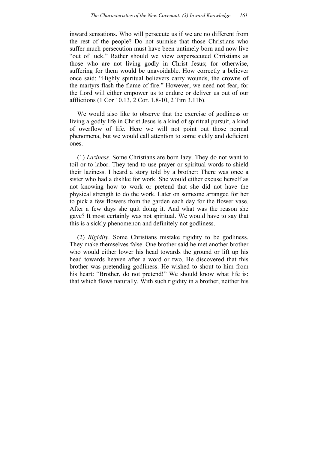inward sensations. Who will persecute us if we are no different from the rest of the people? Do not surmise that those Christians who suffer much persecution must have been untimely born and now live "out of luck." Rather should we view *un*persecuted Christians as those who are not living godly in Christ Jesus; for otherwise, suffering for them would be unavoidable. How correctly a believer once said: "Highly spiritual believers carry wounds, the crowns of the martyrs flash the flame of fire." However, we need not fear, for the Lord will either empower us to endure or deliver us out of our afflictions (1 Cor 10.13, 2 Cor. 1.8-10, 2 Tim 3.11b).

We would also like to observe that the exercise of godliness or living a godly life in Christ Jesus is a kind of spiritual pursuit, a kind of overflow of life. Here we will not point out those normal phenomena, but we would call attention to some sickly and deficient ones.

(1) *Laziness.* Some Christians are born lazy. They do not want to toil or to labor. They tend to use prayer or spiritual words to shield their laziness. I heard a story told by a brother: There was once a sister who had a dislike for work. She would either excuse herself as not knowing how to work or pretend that she did not have the physical strength to do the work. Later on someone arranged for her to pick a few flowers from the garden each day for the flower vase. After a few days she quit doing it. And what was the reason she gave? It most certainly was not spiritual. We would have to say that this is a sickly phenomenon and definitely not godliness.

(2) *Rigidity*. Some Christians mistake rigidity to be godliness. They make themselves false. One brother said he met another brother who would either lower his head towards the ground or lift up his head towards heaven after a word or two. He discovered that this brother was pretending godliness. He wished to shout to him from his heart: "Brother, do not pretend!" We should know what life is: that which flows naturally. With such rigidity in a brother, neither his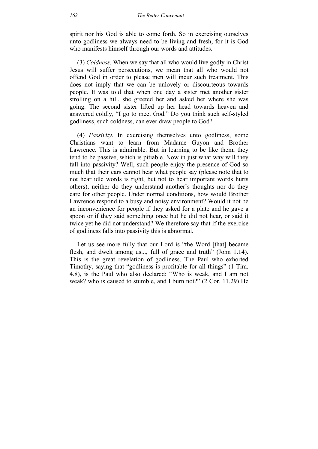spirit nor his God is able to come forth. So in exercising ourselves unto godliness we always need to be living and fresh, for it is God who manifests himself through our words and attitudes.

(3) *Coldness*. When we say that all who would live godly in Christ Jesus will suffer persecutions, we mean that all who would not offend God in order to please men will incur such treatment. This does not imply that we can be unlovely or discourteous towards people. It was told that when one day a sister met another sister strolling on a hill, she greeted her and asked her where she was going. The second sister lifted up her head towards heaven and answered coldly, "I go to meet God." Do you think such self-styled godliness, such coldness, can ever draw people to God?

(4) *Passivity*. In exercising themselves unto godliness, some Christians want to learn from Madame Guyon and Brother Lawrence. This is admirable. But in learning to be like them, they tend to be passive, which is pitiable. Now in just what way will they fall into passivity? Well, such people enjoy the presence of God so much that their ears cannot hear what people say (please note that to not hear idle words is right, but not to hear important words hurts others), neither do they understand another's thoughts nor do they care for other people. Under normal conditions, how would Brother Lawrence respond to a busy and noisy environment? Would it not be an inconvenience for people if they asked for a plate and he gave a spoon or if they said something once but he did not hear, or said it twice yet he did not understand? We therefore say that if the exercise of godliness falls into passivity this is abnormal.

Let us see more fully that our Lord is "the Word [that] became flesh, and dwelt among us..., full of grace and truth" (John 1.14). This is the great revelation of godliness. The Paul who exhorted Timothy, saying that "godliness is profitable for all things" (1 Tim. 4.8), is the Paul who also declared: "Who is weak, and I am not weak? who is caused to stumble, and I burn not?" (2 Cor. 11.29) He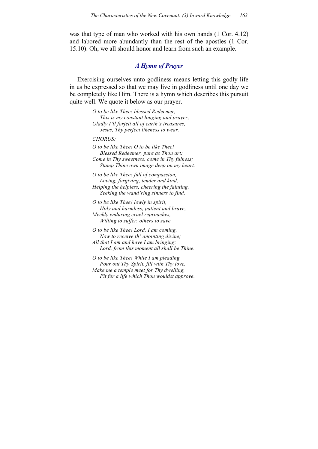was that type of man who worked with his own hands (1 Cor. 4.12) and labored more abundantly than the rest of the apostles (1 Cor. 15.10). Oh, we all should honor and learn from such an example.

# *A Hymn of Prayer*

Exercising ourselves unto godliness means letting this godly life in us be expressed so that we may live in godliness until one day we be completely like Him. There is a hymn which describes this pursuit quite well. We quote it below as our prayer.

> *O to be like Thee! blessed Redeemer; This is my constant longing and prayer; Gladly I'll forfeit all of earth's treasures, Jesus, Thy perfect likeness to wear.*

*CHORUS:* 

*O to be like Thee! O to be like Thee! Blessed Redeemer, pure as Thou art; Come in Thy sweetness, come in Thy fulness; Stamp Thine own image deep on my heart.* 

*O to be like Thee! full of compassion, Loving, forgiving, tender and kind, Helping the helpless, cheering the fainting, Seeking the wand'ring sinners to find.* 

*O to be like Thee! lowly in spirit, Holy and harmless, patient and brave; Meekly enduring cruel reproaches, Willing to suffer, others to save.* 

*O to be like Thee! Lord, I am coming, Now to receive th' anointing divine; All that I am and have I am bringing; Lord, from this moment all shall be Thine.* 

*O to be like Thee! While I am pleading Pour out Thy Spirit, fill with Thy love, Make me a temple meet for Thy dwelling, Fit for a life which Thou wouldst approve.*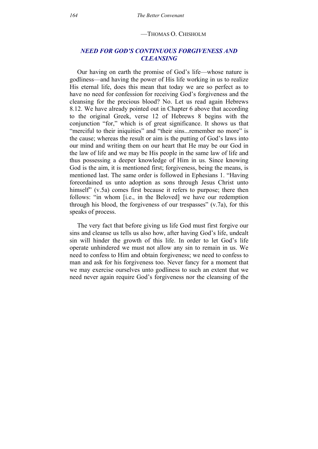#### —THOMAS O. CHISHOLM

## *NEED FOR GOD'S CONTINUOUS FORGIVENESS AND CLEANSING*

Our having on earth the promise of God's life—whose nature is godliness—and having the power of His life working in us to realize His eternal life, does this mean that today we are so perfect as to have no need for confession for receiving God's forgiveness and the cleansing for the precious blood? No. Let us read again Hebrews 8.12. We have already pointed out in Chapter 6 above that according to the original Greek, verse 12 of Hebrews 8 begins with the conjunction "for," which is of great significance. It shows us that "merciful to their iniquities" and "their sins...remember no more" is the cause; whereas the result or aim is the putting of God's laws into our mind and writing them on our heart that He may be our God in the law of life and we may be His people in the same law of life and thus possessing a deeper knowledge of Him in us. Since knowing God is the aim, it is mentioned first; forgiveness, being the means, is mentioned last. The same order is followed in Ephesians 1. "Having foreordained us unto adoption as sons through Jesus Christ unto himself" (v.5a) comes first because it refers to purpose; there then follows: "in whom [i.e., in the Beloved] we have our redemption through his blood, the forgiveness of our trespasses" (v.7a), for this speaks of process.

The very fact that before giving us life God must first forgive our sins and cleanse us tells us also how, after having God's life, undealt sin will hinder the growth of this life. In order to let God's life operate unhindered we must not allow any sin to remain in us. We need to confess to Him and obtain forgiveness; we need to confess to man and ask for his forgiveness too. Never fancy for a moment that we may exercise ourselves unto godliness to such an extent that we need never again require God's forgiveness nor the cleansing of the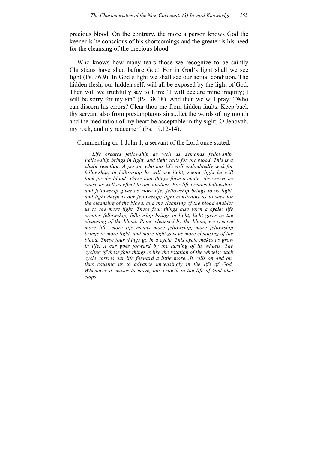precious blood. On the contrary, the more a person knows God the keener is he conscious of his shortcomings and the greater is his need for the cleansing of the precious blood.

Who knows how many tears those we recognize to be saintly Christians have shed before God! For in God's light shall we see light (Ps. 36.9). In God's light we shall see our actual condition. The hidden flesh, our hidden self, will all be exposed by the light of God. Then will we truthfully say to Him: "I will declare mine iniquity; I will be sorry for my sin" (Ps. 38.18). And then we will pray: "Who can discern his errors? Clear thou me from hidden faults. Keep back thy servant also from presumptuous sins...Let the words of my mouth and the meditation of my heart be acceptable in thy sight, O Jehovah, my rock, and my redeemer" (Ps. 19.12-14).

Commenting on 1 John 1, a servant of the Lord once stated:

*Life creates fellowship as well as demands fellowship. Fellowship brings in light, and light calls for the blood. This is a chain reaction. A person who has life will undoubtedly seek for fellowship; in fellowship he will see light; seeing light he will look for the blood. These four things form a chain; they serve as cause as well as effect to one another. For life creates fellowship, and fellowship gives us more life; fellowship brings to us light, and light deepens our fellowship; light constrains us to seek for the cleansing of the blood, and the cleansing of the blood enables us to see more light. These four things also form a cycle: life creates fellowship, fellowship brings in light, light gives us the cleansing of the blood. Being cleansed by the blood, we receive more life; more life means more fellowship, more fellowship brings in more light, and more light gets us more cleansing of the blood. These four things go in a cycle. This cycle makes us grow in life. A car goes forward by the turning of its wheels. The cycling of these four things is like the rotation of the wheels; each cycle carries our life forward a little more...It rolls on and on, thus causing us to advance unceasingly in the life of God. Whenever it ceases to move, our growth in the life of God also stops.*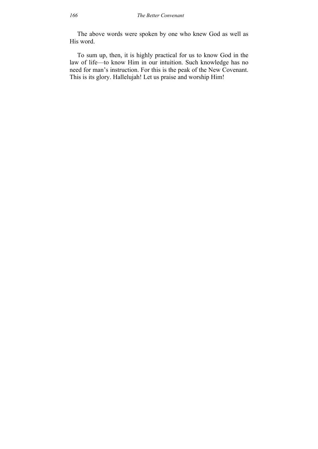The above words were spoken by one who knew God as well as His word.

To sum up, then, it is highly practical for us to know God in the law of life—to know Him in our intuition. Such knowledge has no need for man's instruction. For this is the peak of the New Covenant. This is its glory. Hallelujah! Let us praise and worship Him!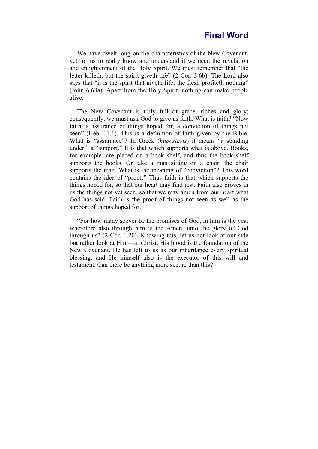# **Final Word**

We have dwelt long on the characteristics of the New Covenant, yet for us to really know and understand it we need the revelation and enlightenment of the Holy Spirit. We must remember that "the letter killeth, but the spirit giveth life" (2 Cor. 3.6b). The Lord also says that "it is the spirit that giveth life; the flesh profiteth nothing" (John 6.63a). Apart from the Holy Spirit, nothing can make people alive.

The New Covenant is truly full of grace, riches and glory; consequently, we must ask God to give us faith. What is faith? "Now faith is assurance of things hoped for, a conviction of things not seen" (Heb. 11.1). This is a definition of faith given by the Bible. What is "assurance"? In Greek (*hupostasis*) it means "a standing under," a "support." It is that which supports what is above. Books, for example, are placed on a book shelf, and thus the book shelf supports the books. Or take a man sitting on a chair: the chair supports the man. What is the meaning of "conviction"? This word contains the idea of "proof." Thus faith is that which supports the things hoped for, so that our heart may find rest. Faith also proves in us the things not yet seen, so that we may amen from our heart what God has said. Faith is the proof of things not seen as well as the support of things hoped for.

"For how many soever be the promises of God, in him is the yea: wherefore also through him is the Amen, unto the glory of God through us" (2 Cor. 1.20). Knowing this, let us not look at our side but rather look at Him—at Christ. His blood is the foundation of the New Covenant. He has left to us as our inheritance every spiritual blessing, and He himself also is the executor of this will and testament. Can there be anything more secure than this?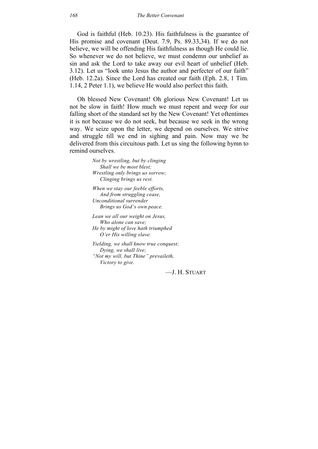God is faithful (Heb. 10.23). His faithfulness is the guarantee of His promise and covenant (Deut. 7.9, Ps. 89.33,34). If we do not believe, we will be offending His faithfulness as though He could lie. So whenever we do not believe, we must condemn our unbelief as sin and ask the Lord to take away our evil heart of unbelief (Heb. 3.12). Let us "look unto Jesus the author and perfecter of our faith" (Heb. 12.2a). Since the Lord has created our faith (Eph. 2.8, 1 Tim. 1.14, 2 Peter 1.1), we believe He would also perfect this faith.

Oh blessed New Covenant! Oh glorious New Covenant! Let us not be slow in faith! How much we must repent and weep for our falling short of the standard set by the New Covenant! Yet oftentimes it is not because we do not seek, but because we seek in the wrong way. We seize upon the letter, we depend on ourselves. We strive and struggle till we end in sighing and pain. Now may we be delivered from this circuitous path. Let us sing the following hymn to remind ourselves.

> *Not by wrestling, but by clinging Shall we be most blest; Wrestling only brings us sorrow; Clinging brings us rest.*

*When we stay our feeble efforts, And from struggling cease, Unconditional surrender Brings us God's own peace.* 

*Lean we all our weight on Jesus, Who alone can save; He by might of love hath triumphed O'er His willing slave.* 

*Yielding, we shall know true conquest; Dying, we shall live; "Not my will, but Thine" prevaileth, Victory to give.* 

—J. H. STUART